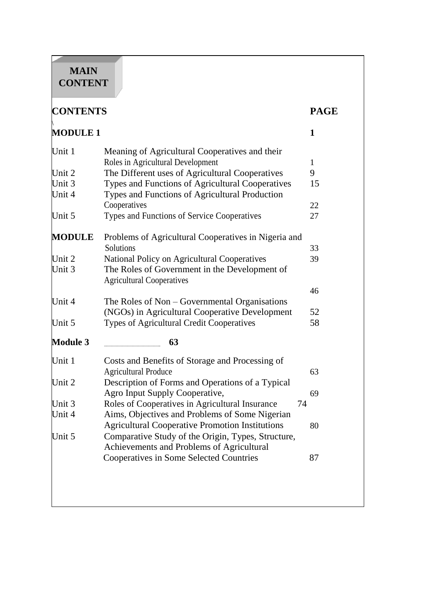# **MAIN CONTENT**

| <b>CONTENTS</b>  |                                                                                                    | <b>PAGE</b>  |
|------------------|----------------------------------------------------------------------------------------------------|--------------|
| <b>MODULE 1</b>  |                                                                                                    | $\mathbf{1}$ |
| Unit 1           | Meaning of Agricultural Cooperatives and their                                                     |              |
|                  | Roles in Agricultural Development                                                                  |              |
| Unit 2           | The Different uses of Agricultural Cooperatives                                                    | 9            |
| Unit 3<br>Unit 4 | Types and Functions of Agricultural Cooperatives<br>Types and Functions of Agricultural Production | 15           |
|                  | Cooperatives                                                                                       | 22           |
| Unit 5           | Types and Functions of Service Cooperatives                                                        | 27           |
| <b>MODULE</b>    | Problems of Agricultural Cooperatives in Nigeria and                                               |              |
|                  | Solutions                                                                                          | 33           |
| Unit 2           | National Policy on Agricultural Cooperatives                                                       | 39           |
| Unit 3           | The Roles of Government in the Development of<br><b>Agricultural Cooperatives</b>                  |              |
|                  |                                                                                                    | 46           |
| Unit 4           | The Roles of Non – Governmental Organisations                                                      |              |
|                  | (NGOs) in Agricultural Cooperative Development                                                     | 52           |
| Unit 5           | Types of Agricultural Credit Cooperatives                                                          | 58           |
| <b>Module 3</b>  | 63                                                                                                 |              |
| Unit 1           | Costs and Benefits of Storage and Processing of                                                    |              |
|                  | <b>Agricultural Produce</b>                                                                        | 63           |
| Unit 2           | Description of Forms and Operations of a Typical                                                   |              |
|                  | Agro Input Supply Cooperative,                                                                     | 69           |
| Unit 3           | Roles of Cooperatives in Agricultural Insurance<br>74                                              |              |
| Unit 4           | Aims, Objectives and Problems of Some Nigerian                                                     |              |
|                  | <b>Agricultural Cooperative Promotion Institutions</b>                                             | 80           |
| Unit 5           | Comparative Study of the Origin, Types, Structure,                                                 |              |
|                  | Achievements and Problems of Agricultural                                                          |              |
|                  | Cooperatives in Some Selected Countries                                                            | 87           |
|                  |                                                                                                    |              |
|                  |                                                                                                    |              |
|                  |                                                                                                    |              |
|                  |                                                                                                    |              |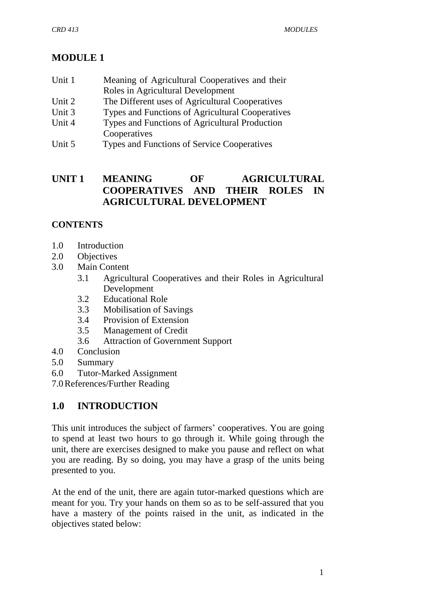# **MODULE 1**

| Unit 1 | Meaning of Agricultural Cooperatives and their   |
|--------|--------------------------------------------------|
|        | Roles in Agricultural Development                |
| Unit 2 | The Different uses of Agricultural Cooperatives  |
| Unit 3 | Types and Functions of Agricultural Cooperatives |
| Unit 4 | Types and Functions of Agricultural Production   |
|        | Cooperatives                                     |

Unit 5 Types and Functions of Service Cooperatives

# **UNIT 1 MEANING OF AGRICULTURAL COOPERATIVES AND THEIR ROLES IN AGRICULTURAL DEVELOPMENT**

## **CONTENTS**

- 1.0 Introduction
- 2.0 Objectives
- 3.0 Main Content
	- 3.1 Agricultural Cooperatives and their Roles in Agricultural Development
	- 3.2 Educational Role
	- 3.3 Mobilisation of Savings
	- 3.4 Provision of Extension
	- 3.5 Management of Credit
	- 3.6 Attraction of Government Support
- 4.0 Conclusion
- 5.0 Summary
- 6.0 Tutor-Marked Assignment

7.0References/Further Reading

# **1.0 INTRODUCTION**

This unit introduces the subject of farmers' cooperatives. You are going to spend at least two hours to go through it. While going through the unit, there are exercises designed to make you pause and reflect on what you are reading. By so doing, you may have a grasp of the units being presented to you.

At the end of the unit, there are again tutor-marked questions which are meant for you. Try your hands on them so as to be self-assured that you have a mastery of the points raised in the unit, as indicated in the objectives stated below: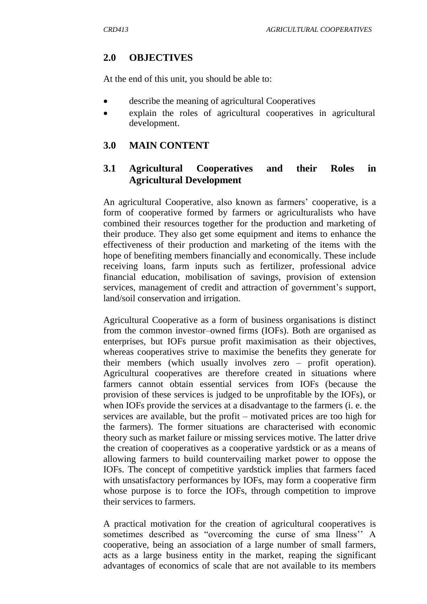#### **2.0 OBJECTIVES**

At the end of this unit, you should be able to:

- describe the meaning of agricultural Cooperatives
- explain the roles of agricultural cooperatives in agricultural development.

#### **3.0 MAIN CONTENT**

### **3.1 Agricultural Cooperatives and their Roles in Agricultural Development**

An agricultural Cooperative, also known as farmers' cooperative, is a form of cooperative formed by farmers or agriculturalists who have combined their resources together for the production and marketing of their produce. They also get some equipment and items to enhance the effectiveness of their production and marketing of the items with the hope of benefiting members financially and economically. These include receiving loans, farm inputs such as fertilizer, professional advice financial education, mobilisation of savings, provision of extension services, management of credit and attraction of government's support, land/soil conservation and irrigation.

Agricultural Cooperative as a form of business organisations is distinct from the common investor–owned firms (IOFs). Both are organised as enterprises, but IOFs pursue profit maximisation as their objectives, whereas cooperatives strive to maximise the benefits they generate for their members (which usually involves zero – profit operation). Agricultural cooperatives are therefore created in situations where farmers cannot obtain essential services from IOFs (because the provision of these services is judged to be unprofitable by the IOFs), or when IOFs provide the services at a disadvantage to the farmers (i. e. the services are available, but the profit – motivated prices are too high for the farmers). The former situations are characterised with economic theory such as market failure or missing services motive. The latter drive the creation of cooperatives as a cooperative yardstick or as a means of allowing farmers to build countervailing market power to oppose the IOFs. The concept of competitive yardstick implies that farmers faced with unsatisfactory performances by IOFs, may form a cooperative firm whose purpose is to force the IOFs, through competition to improve their services to farmers.

A practical motivation for the creation of agricultural cooperatives is sometimes described as "overcoming the curse of sma llness" A cooperative, being an association of a large number of small farmers, acts as a large business entity in the market, reaping the significant advantages of economics of scale that are not available to its members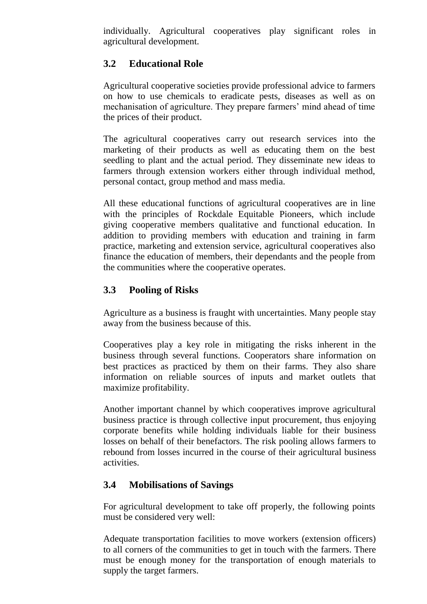individually. Agricultural cooperatives play significant roles in agricultural development.

# **3.2 Educational Role**

Agricultural cooperative societies provide professional advice to farmers on how to use chemicals to eradicate pests, diseases as well as on mechanisation of agriculture. They prepare farmers' mind ahead of time the prices of their product.

The agricultural cooperatives carry out research services into the marketing of their products as well as educating them on the best seedling to plant and the actual period. They disseminate new ideas to farmers through extension workers either through individual method, personal contact, group method and mass media.

All these educational functions of agricultural cooperatives are in line with the principles of Rockdale Equitable Pioneers, which include giving cooperative members qualitative and functional education. In addition to providing members with education and training in farm practice, marketing and extension service, agricultural cooperatives also finance the education of members, their dependants and the people from the communities where the cooperative operates.

# **3.3 Pooling of Risks**

Agriculture as a business is fraught with uncertainties. Many people stay away from the business because of this.

Cooperatives play a key role in mitigating the risks inherent in the business through several functions. Cooperators share information on best practices as practiced by them on their farms. They also share information on reliable sources of inputs and market outlets that maximize profitability.

Another important channel by which cooperatives improve agricultural business practice is through collective input procurement, thus enjoying corporate benefits while holding individuals liable for their business losses on behalf of their benefactors. The risk pooling allows farmers to rebound from losses incurred in the course of their agricultural business activities.

# **3.4 Mobilisations of Savings**

For agricultural development to take off properly, the following points must be considered very well:

Adequate transportation facilities to move workers (extension officers) to all corners of the communities to get in touch with the farmers. There must be enough money for the transportation of enough materials to supply the target farmers.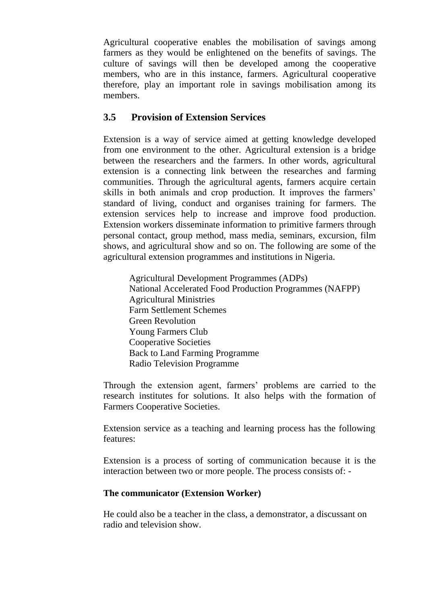Agricultural cooperative enables the mobilisation of savings among farmers as they would be enlightened on the benefits of savings. The culture of savings will then be developed among the cooperative members, who are in this instance, farmers. Agricultural cooperative therefore, play an important role in savings mobilisation among its members.

### **3.5 Provision of Extension Services**

Extension is a way of service aimed at getting knowledge developed from one environment to the other. Agricultural extension is a bridge between the researchers and the farmers. In other words, agricultural extension is a connecting link between the researches and farming communities. Through the agricultural agents, farmers acquire certain skills in both animals and crop production. It improves the farmers' standard of living, conduct and organises training for farmers. The extension services help to increase and improve food production. Extension workers disseminate information to primitive farmers through personal contact, group method, mass media, seminars, excursion, film shows, and agricultural show and so on. The following are some of the agricultural extension programmes and institutions in Nigeria.

Agricultural Development Programmes (ADPs) National Accelerated Food Production Programmes (NAFPP) Agricultural Ministries Farm Settlement Schemes Green Revolution Young Farmers Club Cooperative Societies Back to Land Farming Programme Radio Television Programme

Through the extension agent, farmers' problems are carried to the research institutes for solutions. It also helps with the formation of Farmers Cooperative Societies.

Extension service as a teaching and learning process has the following features:

Extension is a process of sorting of communication because it is the interaction between two or more people. The process consists of: -

#### **The communicator (Extension Worker)**

He could also be a teacher in the class, a demonstrator, a discussant on radio and television show.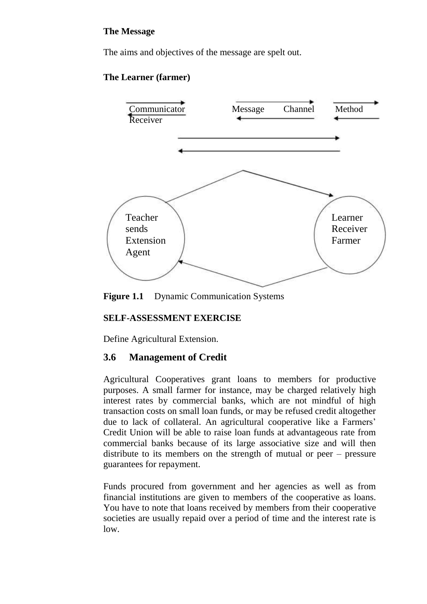### **The Message**

The aims and objectives of the message are spelt out.

### **The Learner (farmer)**



**Figure 1.1** Dynamic Communication Systems

#### **SELF-ASSESSMENT EXERCISE**

Define Agricultural Extension.

### **3.6 Management of Credit**

Agricultural Cooperatives grant loans to members for productive purposes. A small farmer for instance, may be charged relatively high interest rates by commercial banks, which are not mindful of high transaction costs on small loan funds, or may be refused credit altogether due to lack of collateral. An agricultural cooperative like a Farmers' Credit Union will be able to raise loan funds at advantageous rate from commercial banks because of its large associative size and will then distribute to its members on the strength of mutual or peer – pressure guarantees for repayment.

Funds procured from government and her agencies as well as from financial institutions are given to members of the cooperative as loans. You have to note that loans received by members from their cooperative societies are usually repaid over a period of time and the interest rate is low.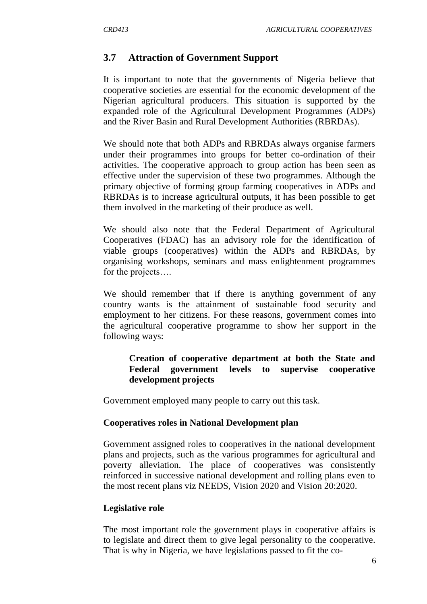### **3.7 Attraction of Government Support**

It is important to note that the governments of Nigeria believe that cooperative societies are essential for the economic development of the Nigerian agricultural producers. This situation is supported by the expanded role of the Agricultural Development Programmes (ADPs) and the River Basin and Rural Development Authorities (RBRDAs).

We should note that both ADPs and RBRDAs always organise farmers under their programmes into groups for better co-ordination of their activities. The cooperative approach to group action has been seen as effective under the supervision of these two programmes. Although the primary objective of forming group farming cooperatives in ADPs and RBRDAs is to increase agricultural outputs, it has been possible to get them involved in the marketing of their produce as well.

We should also note that the Federal Department of Agricultural Cooperatives (FDAC) has an advisory role for the identification of viable groups (cooperatives) within the ADPs and RBRDAs, by organising workshops, seminars and mass enlightenment programmes for the projects….

We should remember that if there is anything government of any country wants is the attainment of sustainable food security and employment to her citizens. For these reasons, government comes into the agricultural cooperative programme to show her support in the following ways:

### **Creation of cooperative department at both the State and Federal government levels to supervise cooperative development projects**

Government employed many people to carry out this task.

#### **Cooperatives roles in National Development plan**

Government assigned roles to cooperatives in the national development plans and projects, such as the various programmes for agricultural and poverty alleviation. The place of cooperatives was consistently reinforced in successive national development and rolling plans even to the most recent plans viz NEEDS, Vision 2020 and Vision 20:2020.

#### **Legislative role**

The most important role the government plays in cooperative affairs is to legislate and direct them to give legal personality to the cooperative. That is why in Nigeria, we have legislations passed to fit the co-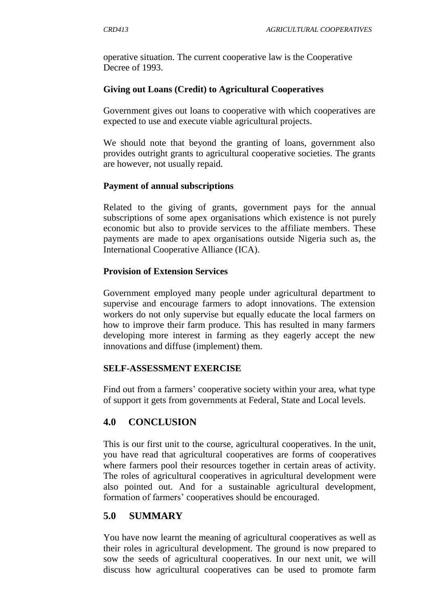operative situation. The current cooperative law is the Cooperative Decree of 1993.

### **Giving out Loans (Credit) to Agricultural Cooperatives**

Government gives out loans to cooperative with which cooperatives are expected to use and execute viable agricultural projects.

We should note that beyond the granting of loans, government also provides outright grants to agricultural cooperative societies. The grants are however, not usually repaid.

### **Payment of annual subscriptions**

Related to the giving of grants, government pays for the annual subscriptions of some apex organisations which existence is not purely economic but also to provide services to the affiliate members. These payments are made to apex organisations outside Nigeria such as, the International Cooperative Alliance (ICA).

### **Provision of Extension Services**

Government employed many people under agricultural department to supervise and encourage farmers to adopt innovations. The extension workers do not only supervise but equally educate the local farmers on how to improve their farm produce. This has resulted in many farmers developing more interest in farming as they eagerly accept the new innovations and diffuse (implement) them.

#### **SELF-ASSESSMENT EXERCISE**

Find out from a farmers' cooperative society within your area, what type of support it gets from governments at Federal, State and Local levels.

# **4.0 CONCLUSION**

This is our first unit to the course, agricultural cooperatives. In the unit, you have read that agricultural cooperatives are forms of cooperatives where farmers pool their resources together in certain areas of activity. The roles of agricultural cooperatives in agricultural development were also pointed out. And for a sustainable agricultural development, formation of farmers' cooperatives should be encouraged.

# **5.0 SUMMARY**

You have now learnt the meaning of agricultural cooperatives as well as their roles in agricultural development. The ground is now prepared to sow the seeds of agricultural cooperatives. In our next unit, we will discuss how agricultural cooperatives can be used to promote farm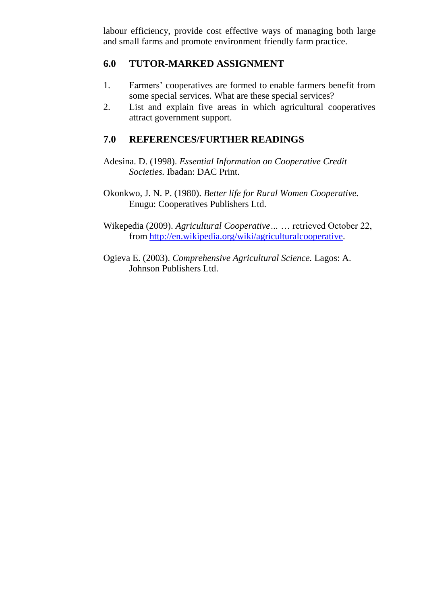labour efficiency, provide cost effective ways of managing both large and small farms and promote environment friendly farm practice.

## **6.0 TUTOR-MARKED ASSIGNMENT**

- 1. Farmers" cooperatives are formed to enable farmers benefit from some special services. What are these special services?
- 2. List and explain five areas in which agricultural cooperatives attract government support.

## **7.0 REFERENCES/FURTHER READINGS**

- Adesina. D. (1998). *Essential Information on Cooperative Credit Societies.* Ibadan: DAC Print.
- Okonkwo, J. N. P. (1980). *Better life for Rural Women Cooperative.* Enugu: Cooperatives Publishers Ltd.
- Wikepedia (2009). *Agricultural Cooperative…* … retrieved October 22, from http://en.wikipedia.org/wiki/agriculturalcooperative.
- Ogieva E. (2003). *Comprehensive Agricultural Science.* Lagos: A. Johnson Publishers Ltd.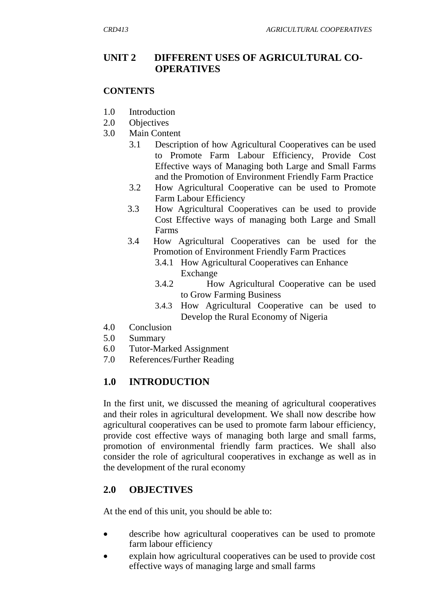### **UNIT 2 DIFFERENT USES OF AGRICULTURAL CO-OPERATIVES**

#### **CONTENTS**

- 1.0 Introduction
- 2.0 Objectives
- 3.0 Main Content
	- 3.1 Description of how Agricultural Cooperatives can be used to Promote Farm Labour Efficiency, Provide Cost Effective ways of Managing both Large and Small Farms and the Promotion of Environment Friendly Farm Practice
	- 3.2 How Agricultural Cooperative can be used to Promote Farm Labour Efficiency
	- 3.3 How Agricultural Cooperatives can be used to provide Cost Effective ways of managing both Large and Small Farms
	- 3.4 How Agricultural Cooperatives can be used for the Promotion of Environment Friendly Farm Practices
		- 3.4.1 How Agricultural Cooperatives can Enhance Exchange
		- 3.4.2 How Agricultural Cooperative can be used to Grow Farming Business
		- 3.4.3 How Agricultural Cooperative can be used to Develop the Rural Economy of Nigeria
- 4.0 Conclusion
- 5.0 Summary
- 6.0 Tutor-Marked Assignment
- 7.0 References/Further Reading

# **1.0 INTRODUCTION**

In the first unit, we discussed the meaning of agricultural cooperatives and their roles in agricultural development. We shall now describe how agricultural cooperatives can be used to promote farm labour efficiency, provide cost effective ways of managing both large and small farms, promotion of environmental friendly farm practices. We shall also consider the role of agricultural cooperatives in exchange as well as in the development of the rural economy

# **2.0 OBJECTIVES**

At the end of this unit, you should be able to:

- describe how agricultural cooperatives can be used to promote farm labour efficiency
- explain how agricultural cooperatives can be used to provide cost effective ways of managing large and small farms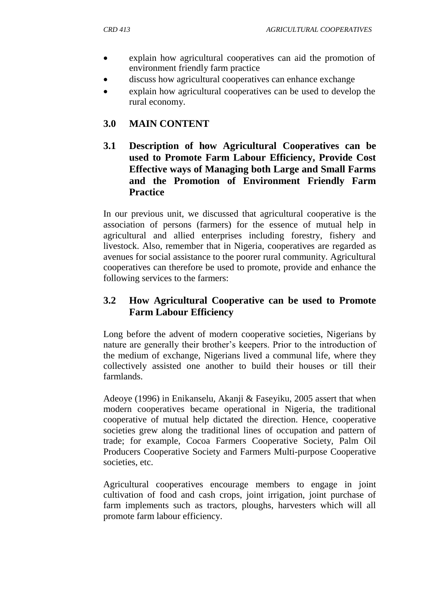- explain how agricultural cooperatives can aid the promotion of environment friendly farm practice
- discuss how agricultural cooperatives can enhance exchange
- explain how agricultural cooperatives can be used to develop the rural economy.

## **3.0 MAIN CONTENT**

**3.1 Description of how Agricultural Cooperatives can be used to Promote Farm Labour Efficiency, Provide Cost Effective ways of Managing both Large and Small Farms and the Promotion of Environment Friendly Farm Practice**

In our previous unit, we discussed that agricultural cooperative is the association of persons (farmers) for the essence of mutual help in agricultural and allied enterprises including forestry, fishery and livestock. Also, remember that in Nigeria, cooperatives are regarded as avenues for social assistance to the poorer rural community. Agricultural cooperatives can therefore be used to promote, provide and enhance the following services to the farmers:

## **3.2 How Agricultural Cooperative can be used to Promote Farm Labour Efficiency**

Long before the advent of modern cooperative societies, Nigerians by nature are generally their brother"s keepers. Prior to the introduction of the medium of exchange, Nigerians lived a communal life, where they collectively assisted one another to build their houses or till their farmlands.

Adeoye (1996) in Enikanselu, Akanji & Faseyiku, 2005 assert that when modern cooperatives became operational in Nigeria, the traditional cooperative of mutual help dictated the direction. Hence, cooperative societies grew along the traditional lines of occupation and pattern of trade; for example, Cocoa Farmers Cooperative Society, Palm Oil Producers Cooperative Society and Farmers Multi-purpose Cooperative societies, etc.

Agricultural cooperatives encourage members to engage in joint cultivation of food and cash crops, joint irrigation, joint purchase of farm implements such as tractors, ploughs, harvesters which will all promote farm labour efficiency.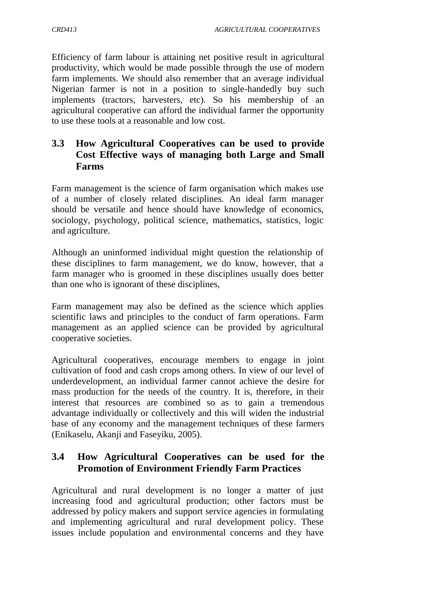Efficiency of farm labour is attaining net positive result in agricultural productivity, which would be made possible through the use of modern farm implements. We should also remember that an average individual Nigerian farmer is not in a position to single-handedly buy such implements (tractors, harvesters, etc). So his membership of an agricultural cooperative can afford the individual farmer the opportunity to use these tools at a reasonable and low cost.

### **3.3 How Agricultural Cooperatives can be used to provide Cost Effective ways of managing both Large and Small Farms**

Farm management is the science of farm organisation which makes use of a number of closely related disciplines. An ideal farm manager should be versatile and hence should have knowledge of economics, sociology, psychology, political science, mathematics, statistics, logic and agriculture.

Although an uninformed individual might question the relationship of these disciplines to farm management, we do know, however, that a farm manager who is groomed in these disciplines usually does better than one who is ignorant of these disciplines,

Farm management may also be defined as the science which applies scientific laws and principles to the conduct of farm operations. Farm management as an applied science can be provided by agricultural cooperative societies.

Agricultural cooperatives, encourage members to engage in joint cultivation of food and cash crops among others. In view of our level of underdevelopment, an individual farmer cannot achieve the desire for mass production for the needs of the country. It is, therefore, in their interest that resources are combined so as to gain a tremendous advantage individually or collectively and this will widen the industrial base of any economy and the management techniques of these farmers (Enikaselu, Akanji and Faseyiku, 2005).

## **3.4 How Agricultural Cooperatives can be used for the Promotion of Environment Friendly Farm Practices**

Agricultural and rural development is no longer a matter of just increasing food and agricultural production; other factors must be addressed by policy makers and support service agencies in formulating and implementing agricultural and rural development policy. These issues include population and environmental concerns and they have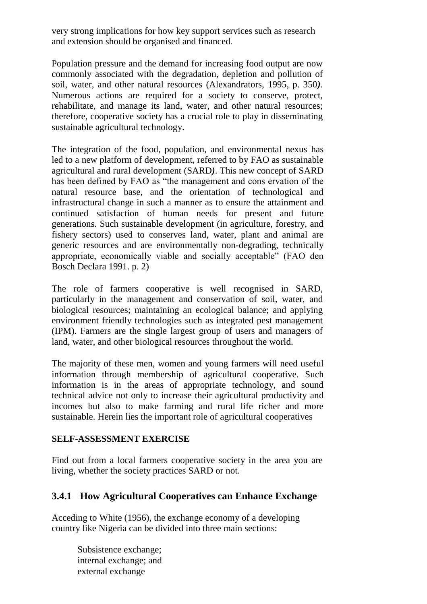very strong implications for how key support services such as research and extension should be organised and financed.

Population pressure and the demand for increasing food output are now commonly associated with the degradation, depletion and pollution of soil, water, and other natural resources (Alexandrators, 1995, p. 350*)*. Numerous actions are required for a society to conserve, protect, rehabilitate, and manage its land, water, and other natural resources; therefore, cooperative society has a crucial role to play in disseminating sustainable agricultural technology.

The integration of the food, population, and environmental nexus has led to a new platform of development, referred to by FAO as sustainable agricultural and rural development (SARD*)*. This new concept of SARD has been defined by FAO as "the management and cons ervation of the natural resource base, and the orientation of technological and infrastructural change in such a manner as to ensure the attainment and continued satisfaction of human needs for present and future generations. Such sustainable development (in agriculture, forestry, and fishery sectors) used to conserves land, water, plant and animal are generic resources and are environmentally non-degrading, technically appropriate, economically viable and socially acceptable" (FAO den Bosch Declara 1991. p. 2)

The role of farmers cooperative is well recognised in SARD, particularly in the management and conservation of soil, water, and biological resources; maintaining an ecological balance; and applying environment friendly technologies such as integrated pest management (IPM). Farmers are the single largest group of users and managers of land, water, and other biological resources throughout the world.

The majority of these men, women and young farmers will need useful information through membership of agricultural cooperative. Such information is in the areas of appropriate technology, and sound technical advice not only to increase their agricultural productivity and incomes but also to make farming and rural life richer and more sustainable. Herein lies the important role of agricultural cooperatives

#### **SELF-ASSESSMENT EXERCISE**

Find out from a local farmers cooperative society in the area you are living, whether the society practices SARD or not.

# **3.4.1 How Agricultural Cooperatives can Enhance Exchange**

Acceding to White (1956), the exchange economy of a developing country like Nigeria can be divided into three main sections:

> Subsistence exchange; internal exchange; and external exchange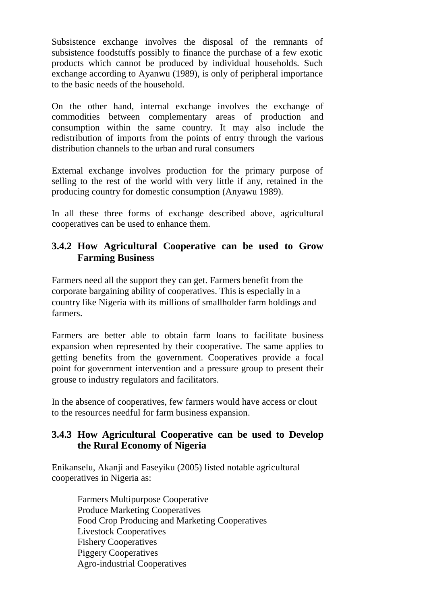Subsistence exchange involves the disposal of the remnants of subsistence foodstuffs possibly to finance the purchase of a few exotic products which cannot be produced by individual households. Such exchange according to Ayanwu (1989), is only of peripheral importance to the basic needs of the household.

On the other hand, internal exchange involves the exchange of commodities between complementary areas of production and consumption within the same country. It may also include the redistribution of imports from the points of entry through the various distribution channels to the urban and rural consumers

External exchange involves production for the primary purpose of selling to the rest of the world with very little if any, retained in the producing country for domestic consumption (Anyawu 1989).

In all these three forms of exchange described above, agricultural cooperatives can be used to enhance them.

### **3.4.2 How Agricultural Cooperative can be used to Grow Farming Business**

Farmers need all the support they can get. Farmers benefit from the corporate bargaining ability of cooperatives. This is especially in a country like Nigeria with its millions of smallholder farm holdings and farmers.

Farmers are better able to obtain farm loans to facilitate business expansion when represented by their cooperative. The same applies to getting benefits from the government. Cooperatives provide a focal point for government intervention and a pressure group to present their grouse to industry regulators and facilitators.

In the absence of cooperatives, few farmers would have access or clout to the resources needful for farm business expansion.

### **3.4.3 How Agricultural Cooperative can be used to Develop the Rural Economy of Nigeria**

Enikanselu, Akanji and Faseyiku (2005) listed notable agricultural cooperatives in Nigeria as:

> Farmers Multipurpose Cooperative Produce Marketing Cooperatives Food Crop Producing and Marketing Cooperatives Livestock Cooperatives Fishery Cooperatives Piggery Cooperatives Agro-industrial Cooperatives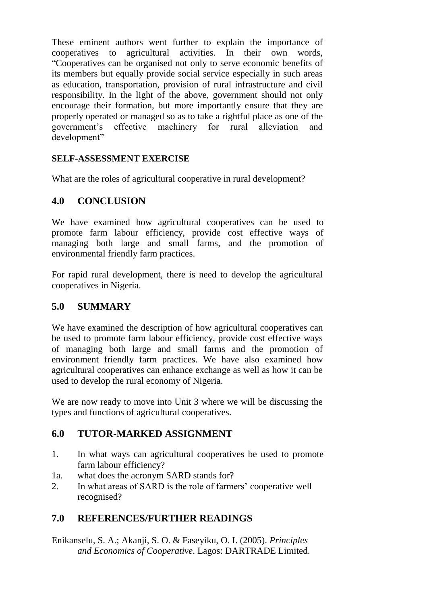These eminent authors went further to explain the importance of cooperatives to agricultural activities. In their own words, "Cooperatives can be organised not only to serve economic benefits of its members but equally provide social service especially in such areas as education, transportation, provision of rural infrastructure and civil responsibility. In the light of the above, government should not only encourage their formation, but more importantly ensure that they are properly operated or managed so as to take a rightful place as one of the government"s effective machinery for rural alleviation and development"

### **SELF-ASSESSMENT EXERCISE**

What are the roles of agricultural cooperative in rural development?

### **4.0 CONCLUSION**

We have examined how agricultural cooperatives can be used to promote farm labour efficiency, provide cost effective ways of managing both large and small farms, and the promotion of environmental friendly farm practices.

For rapid rural development, there is need to develop the agricultural cooperatives in Nigeria.

### **5.0 SUMMARY**

We have examined the description of how agricultural cooperatives can be used to promote farm labour efficiency, provide cost effective ways of managing both large and small farms and the promotion of environment friendly farm practices. We have also examined how agricultural cooperatives can enhance exchange as well as how it can be used to develop the rural economy of Nigeria.

We are now ready to move into Unit 3 where we will be discussing the types and functions of agricultural cooperatives.

### **6.0 TUTOR-MARKED ASSIGNMENT**

- 1. In what ways can agricultural cooperatives be used to promote farm labour efficiency?
- 1a. what does the acronym SARD stands for?
- 2. In what areas of SARD is the role of farmers' cooperative well recognised?

### **7.0 REFERENCES/FURTHER READINGS**

Enikanselu, S. A.; Akanji, S. O. & Faseyiku, O. I. (2005). *Principles and Economics of Cooperative*. Lagos: DARTRADE Limited.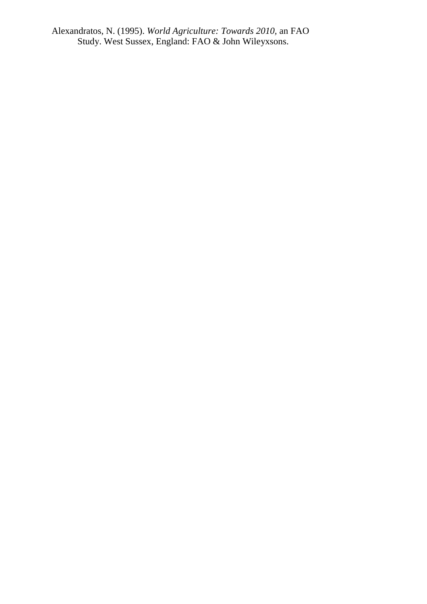Alexandratos, N. (1995). *World Agriculture: Towards 2010,* an FAO Study. West Sussex, England: FAO & John Wileyxsons.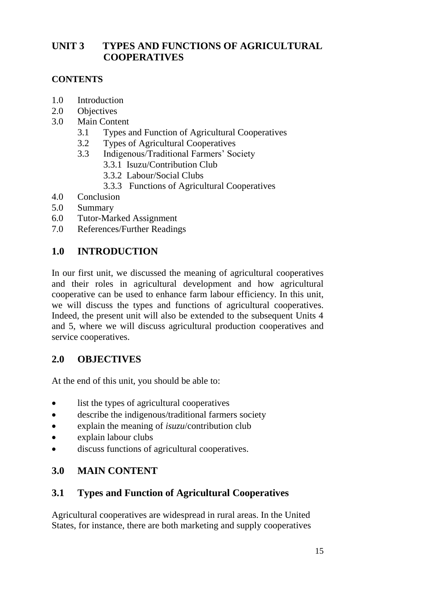# **UNIT 3 TYPES AND FUNCTIONS OF AGRICULTURAL COOPERATIVES**

### **CONTENTS**

- 1.0 Introduction
- 2.0 Objectives
- 3.0 Main Content
	- 3.1 Types and Function of Agricultural Cooperatives
	- 3.2 Types of Agricultural Cooperatives
	- 3.3 Indigenous/Traditional Farmers" Society
		- 3.3.1 Isuzu/Contribution Club
		- 3.3.2 Labour/Social Clubs
		- 3.3.3 Functions of Agricultural Cooperatives
- 4.0 Conclusion
- 5.0 Summary
- 6.0 Tutor-Marked Assignment
- 7.0 References/Further Readings

# **1.0 INTRODUCTION**

In our first unit, we discussed the meaning of agricultural cooperatives and their roles in agricultural development and how agricultural cooperative can be used to enhance farm labour efficiency. In this unit, we will discuss the types and functions of agricultural cooperatives. Indeed, the present unit will also be extended to the subsequent Units 4 and 5, where we will discuss agricultural production cooperatives and service cooperatives.

# **2.0 OBJECTIVES**

At the end of this unit, you should be able to:

- list the types of agricultural cooperatives
- describe the indigenous/traditional farmers society
- explain the meaning of *isuzu*/contribution club
- explain labour clubs
- discuss functions of agricultural cooperatives.

# **3.0 MAIN CONTENT**

# **3.1 Types and Function of Agricultural Cooperatives**

Agricultural cooperatives are widespread in rural areas. In the United States, for instance, there are both marketing and supply cooperatives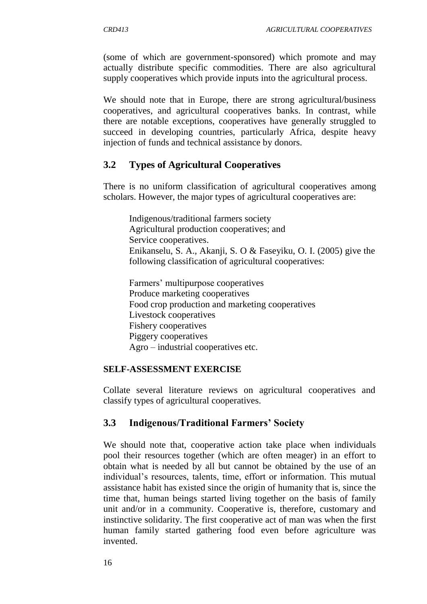(some of which are government-sponsored) which promote and may actually distribute specific commodities. There are also agricultural supply cooperatives which provide inputs into the agricultural process.

We should note that in Europe, there are strong agricultural/business cooperatives, and agricultural cooperatives banks. In contrast, while there are notable exceptions, cooperatives have generally struggled to succeed in developing countries, particularly Africa, despite heavy injection of funds and technical assistance by donors.

### **3.2 Types of Agricultural Cooperatives**

There is no uniform classification of agricultural cooperatives among scholars. However, the major types of agricultural cooperatives are:

Indigenous/traditional farmers society Agricultural production cooperatives; and Service cooperatives. Enikanselu, S. A., Akanji, S. O & Faseyiku, O. I. (2005) give the following classification of agricultural cooperatives:

Farmers" multipurpose cooperatives Produce marketing cooperatives Food crop production and marketing cooperatives Livestock cooperatives Fishery cooperatives Piggery cooperatives Agro – industrial cooperatives etc.

#### **SELF-ASSESSMENT EXERCISE**

Collate several literature reviews on agricultural cooperatives and classify types of agricultural cooperatives.

#### **3.3 Indigenous/Traditional Farmers' Society**

We should note that, cooperative action take place when individuals pool their resources together (which are often meager) in an effort to obtain what is needed by all but cannot be obtained by the use of an individual's resources, talents, time, effort or information. This mutual assistance habit has existed since the origin of humanity that is, since the time that, human beings started living together on the basis of family unit and/or in a community. Cooperative is, therefore, customary and instinctive solidarity. The first cooperative act of man was when the first human family started gathering food even before agriculture was invented.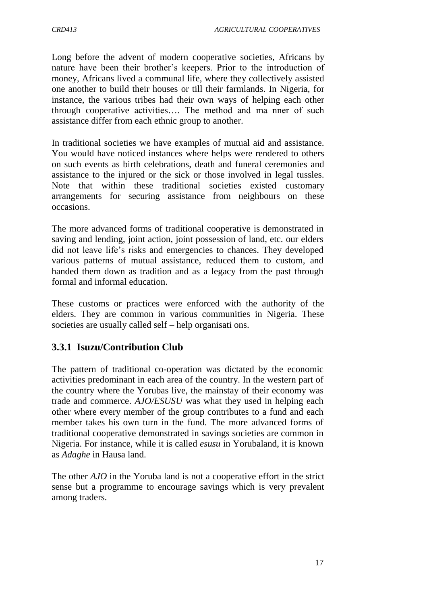Long before the advent of modern cooperative societies, Africans by nature have been their brother"s keepers. Prior to the introduction of money, Africans lived a communal life, where they collectively assisted one another to build their houses or till their farmlands. In Nigeria, for instance, the various tribes had their own ways of helping each other through cooperative activities…. The method and ma nner of such assistance differ from each ethnic group to another.

In traditional societies we have examples of mutual aid and assistance. You would have noticed instances where helps were rendered to others on such events as birth celebrations, death and funeral ceremonies and assistance to the injured or the sick or those involved in legal tussles. Note that within these traditional societies existed customary arrangements for securing assistance from neighbours on these occasions.

The more advanced forms of traditional cooperative is demonstrated in saving and lending, joint action, joint possession of land, etc. our elders did not leave life"s risks and emergencies to chances. They developed various patterns of mutual assistance, reduced them to custom, and handed them down as tradition and as a legacy from the past through formal and informal education.

These customs or practices were enforced with the authority of the elders. They are common in various communities in Nigeria. These societies are usually called self – help organisati ons.

### **3.3.1 Isuzu/Contribution Club**

The pattern of traditional co-operation was dictated by the economic activities predominant in each area of the country. In the western part of the country where the Yorubas live, the mainstay of their economy was trade and commerce. *AJO/ESUSU* was what they used in helping each other where every member of the group contributes to a fund and each member takes his own turn in the fund. The more advanced forms of traditional cooperative demonstrated in savings societies are common in Nigeria. For instance, while it is called *esusu* in Yorubaland, it is known as *Adaghe* in Hausa land.

The other *AJO* in the Yoruba land is not a cooperative effort in the strict sense but a programme to encourage savings which is very prevalent among traders.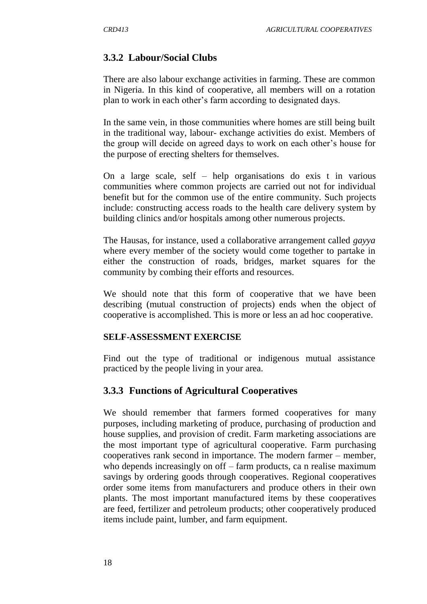### **3.3.2 Labour/Social Clubs**

There are also labour exchange activities in farming. These are common in Nigeria. In this kind of cooperative, all members will on a rotation plan to work in each other"s farm according to designated days.

In the same vein, in those communities where homes are still being built in the traditional way, labour- exchange activities do exist. Members of the group will decide on agreed days to work on each other"s house for the purpose of erecting shelters for themselves.

On a large scale, self – help organisations do exis t in various communities where common projects are carried out not for individual benefit but for the common use of the entire community. Such projects include: constructing access roads to the health care delivery system by building clinics and/or hospitals among other numerous projects.

The Hausas, for instance, used a collaborative arrangement called *gayya* where every member of the society would come together to partake in either the construction of roads, bridges, market squares for the community by combing their efforts and resources.

We should note that this form of cooperative that we have been describing (mutual construction of projects) ends when the object of cooperative is accomplished. This is more or less an ad hoc cooperative.

#### **SELF-ASSESSMENT EXERCISE**

Find out the type of traditional or indigenous mutual assistance practiced by the people living in your area.

#### **3.3.3 Functions of Agricultural Cooperatives**

We should remember that farmers formed cooperatives for many purposes, including marketing of produce, purchasing of production and house supplies, and provision of credit. Farm marketing associations are the most important type of agricultural cooperative. Farm purchasing cooperatives rank second in importance. The modern farmer – member, who depends increasingly on off – farm products, can realise maximum savings by ordering goods through cooperatives. Regional cooperatives order some items from manufacturers and produce others in their own plants. The most important manufactured items by these cooperatives are feed, fertilizer and petroleum products; other cooperatively produced items include paint, lumber, and farm equipment.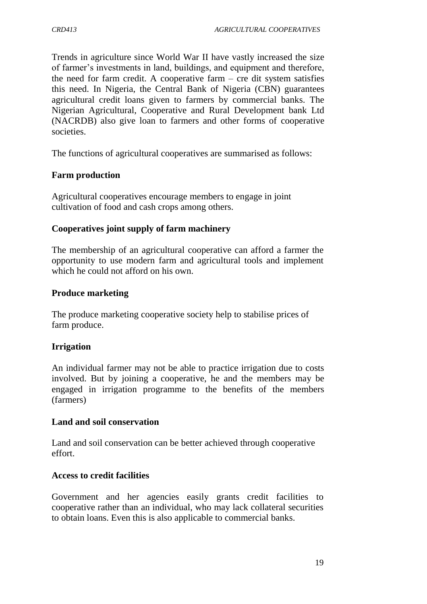Trends in agriculture since World War II have vastly increased the size of farmer"s investments in land, buildings, and equipment and therefore, the need for farm credit. A cooperative farm  $-$  cre dit system satisfies this need. In Nigeria, the Central Bank of Nigeria (CBN) guarantees agricultural credit loans given to farmers by commercial banks. The Nigerian Agricultural, Cooperative and Rural Development bank Ltd (NACRDB) also give loan to farmers and other forms of cooperative societies.

The functions of agricultural cooperatives are summarised as follows:

#### **Farm production**

Agricultural cooperatives encourage members to engage in joint cultivation of food and cash crops among others.

#### **Cooperatives joint supply of farm machinery**

The membership of an agricultural cooperative can afford a farmer the opportunity to use modern farm and agricultural tools and implement which he could not afford on his own.

### **Produce marketing**

The produce marketing cooperative society help to stabilise prices of farm produce.

#### **Irrigation**

An individual farmer may not be able to practice irrigation due to costs involved. But by joining a cooperative, he and the members may be engaged in irrigation programme to the benefits of the members (farmers)

#### **Land and soil conservation**

Land and soil conservation can be better achieved through cooperative effort.

#### **Access to credit facilities**

Government and her agencies easily grants credit facilities to cooperative rather than an individual, who may lack collateral securities to obtain loans. Even this is also applicable to commercial banks.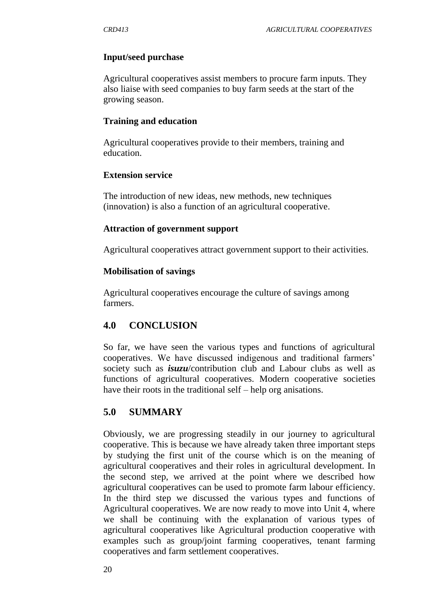#### **Input/seed purchase**

Agricultural cooperatives assist members to procure farm inputs. They also liaise with seed companies to buy farm seeds at the start of the growing season.

#### **Training and education**

Agricultural cooperatives provide to their members, training and education.

#### **Extension service**

The introduction of new ideas, new methods, new techniques (innovation) is also a function of an agricultural cooperative.

#### **Attraction of government support**

Agricultural cooperatives attract government support to their activities.

#### **Mobilisation of savings**

Agricultural cooperatives encourage the culture of savings among farmers.

### **4.0 CONCLUSION**

So far, we have seen the various types and functions of agricultural cooperatives. We have discussed indigenous and traditional farmers" society such as *isuzu*/contribution club and Labour clubs as well as functions of agricultural cooperatives. Modern cooperative societies have their roots in the traditional self – help organisations.

### **5.0 SUMMARY**

Obviously, we are progressing steadily in our journey to agricultural cooperative. This is because we have already taken three important steps by studying the first unit of the course which is on the meaning of agricultural cooperatives and their roles in agricultural development. In the second step, we arrived at the point where we described how agricultural cooperatives can be used to promote farm labour efficiency. In the third step we discussed the various types and functions of Agricultural cooperatives. We are now ready to move into Unit 4, where we shall be continuing with the explanation of various types of agricultural cooperatives like Agricultural production cooperative with examples such as group/joint farming cooperatives, tenant farming cooperatives and farm settlement cooperatives.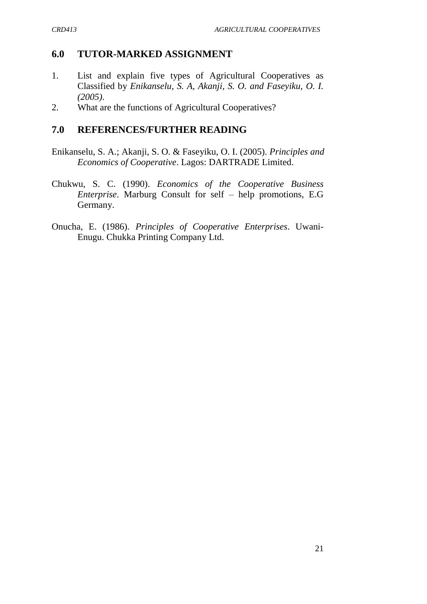## **6.0 TUTOR-MARKED ASSIGNMENT**

- 1. List and explain five types of Agricultural Cooperatives as Classified by *Enikanselu, S. A, Akanji, S. O. and Faseyiku, O. I. (2005)*.
- 2. What are the functions of Agricultural Cooperatives?

## **7.0 REFERENCES/FURTHER READING**

- Enikanselu, S. A.; Akanji, S. O. & Faseyiku, O. I. (2005). *Principles and Economics of Cooperative*. Lagos: DARTRADE Limited.
- Chukwu, S. C. (1990). *Economics of the Cooperative Business Enterprise*. Marburg Consult for self – help promotions, E.G Germany.
- Onucha, E. (1986). *Principles of Cooperative Enterprises*. Uwani-Enugu. Chukka Printing Company Ltd.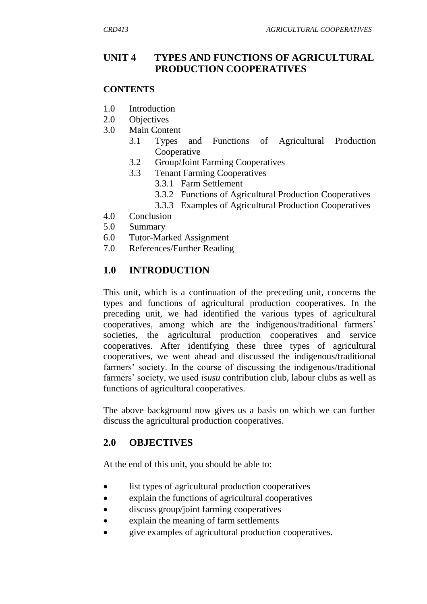### **UNIT 4 TYPES AND FUNCTIONS OF AGRICULTURAL PRODUCTION COOPERATIVES**

#### **CONTENTS**

- 1.0 Introduction
- 2.0 Objectives
- 3.0 Main Content
	- 3.1 Types and Functions of Agricultural Production Cooperative
	- 3.2 Group/Joint Farming Cooperatives
	- 3.3 Tenant Farming Cooperatives
		- 3.3.1 Farm Settlement
		- 3.3.2 Functions of Agricultural Production Cooperatives
		- 3.3.3 Examples of Agricultural Production Cooperatives
- 4.0 Conclusion
- 5.0 Summary
- 6.0 Tutor-Marked Assignment
- 7.0 References/Further Reading

### **1.0 INTRODUCTION**

This unit, which is a continuation of the preceding unit, concerns the types and functions of agricultural production cooperatives. In the preceding unit, we had identified the various types of agricultural cooperatives, among which are the indigenous/traditional farmers" societies, the agricultural production cooperatives and service cooperatives. After identifying these three types of agricultural cooperatives, we went ahead and discussed the indigenous/traditional farmers' society. In the course of discussing the indigenous/traditional farmers" society, we used *isusu* contribution club, labour clubs as well as functions of agricultural cooperatives.

The above background now gives us a basis on which we can further discuss the agricultural production cooperatives.

#### **2.0 OBJECTIVES**

At the end of this unit, you should be able to:

- list types of agricultural production cooperatives
- explain the functions of agricultural cooperatives
- discuss group/joint farming cooperatives
- explain the meaning of farm settlements
- give examples of agricultural production cooperatives.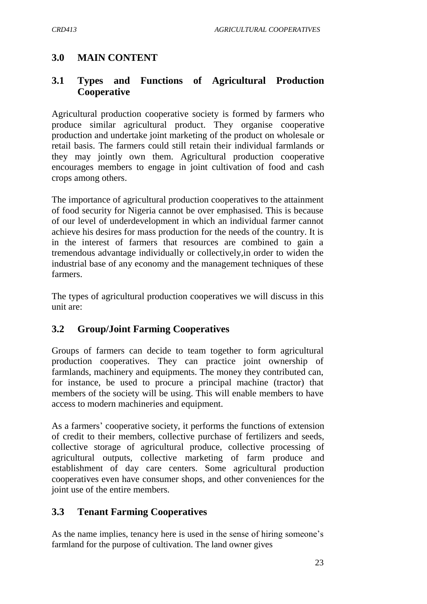### **3.0 MAIN CONTENT**

### **3.1 Types and Functions of Agricultural Production Cooperative**

Agricultural production cooperative society is formed by farmers who produce similar agricultural product. They organise cooperative production and undertake joint marketing of the product on wholesale or retail basis. The farmers could still retain their individual farmlands or they may jointly own them. Agricultural production cooperative encourages members to engage in joint cultivation of food and cash crops among others.

The importance of agricultural production cooperatives to the attainment of food security for Nigeria cannot be over emphasised. This is because of our level of underdevelopment in which an individual farmer cannot achieve his desires for mass production for the needs of the country. It is in the interest of farmers that resources are combined to gain a tremendous advantage individually or collectively,in order to widen the industrial base of any economy and the management techniques of these farmers.

The types of agricultural production cooperatives we will discuss in this unit are:

### **3.2 Group/Joint Farming Cooperatives**

Groups of farmers can decide to team together to form agricultural production cooperatives. They can practice joint ownership of farmlands, machinery and equipments. The money they contributed can, for instance, be used to procure a principal machine (tractor) that members of the society will be using. This will enable members to have access to modern machineries and equipment.

As a farmers' cooperative society, it performs the functions of extension of credit to their members, collective purchase of fertilizers and seeds, collective storage of agricultural produce, collective processing of agricultural outputs, collective marketing of farm produce and establishment of day care centers. Some agricultural production cooperatives even have consumer shops, and other conveniences for the joint use of the entire members.

#### **3.3 Tenant Farming Cooperatives**

As the name implies, tenancy here is used in the sense of hiring someone's farmland for the purpose of cultivation. The land owner gives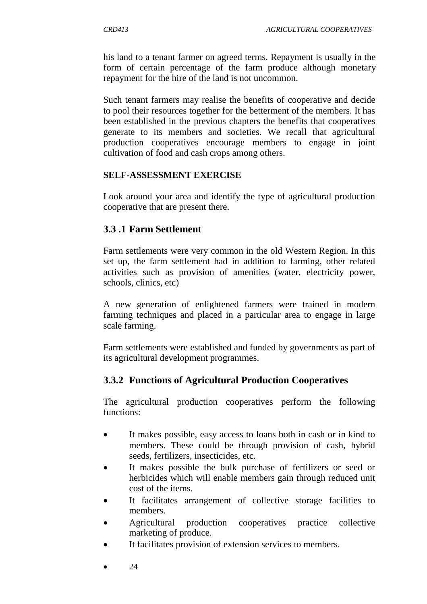his land to a tenant farmer on agreed terms. Repayment is usually in the form of certain percentage of the farm produce although monetary repayment for the hire of the land is not uncommon.

Such tenant farmers may realise the benefits of cooperative and decide to pool their resources together for the betterment of the members. It has been established in the previous chapters the benefits that cooperatives generate to its members and societies. We recall that agricultural production cooperatives encourage members to engage in joint cultivation of food and cash crops among others.

#### **SELF-ASSESSMENT EXERCISE**

Look around your area and identify the type of agricultural production cooperative that are present there.

### **3.3 .1 Farm Settlement**

Farm settlements were very common in the old Western Region. In this set up, the farm settlement had in addition to farming, other related activities such as provision of amenities (water, electricity power, schools, clinics, etc)

A new generation of enlightened farmers were trained in modern farming techniques and placed in a particular area to engage in large scale farming.

Farm settlements were established and funded by governments as part of its agricultural development programmes.

# **3.3.2 Functions of Agricultural Production Cooperatives**

The agricultural production cooperatives perform the following functions:

- It makes possible, easy access to loans both in cash or in kind to members. These could be through provision of cash, hybrid seeds, fertilizers, insecticides, etc.
- It makes possible the bulk purchase of fertilizers or seed or herbicides which will enable members gain through reduced unit cost of the items.
- It facilitates arrangement of collective storage facilities to members.
- Agricultural production cooperatives practice collective marketing of produce.
- It facilitates provision of extension services to members.
- 24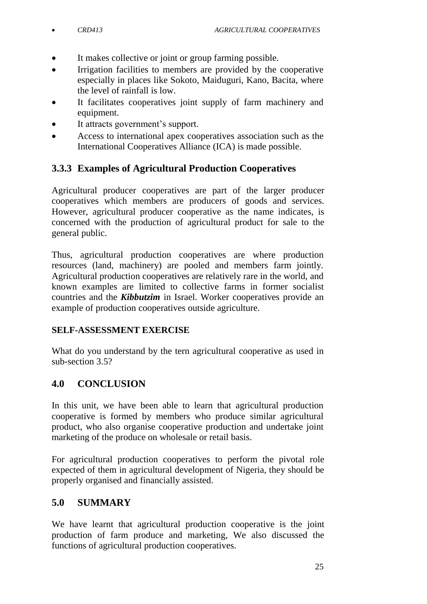- It makes collective or joint or group farming possible.
- Irrigation facilities to members are provided by the cooperative especially in places like Sokoto, Maiduguri, Kano, Bacita, where the level of rainfall is low.
- It facilitates cooperatives joint supply of farm machinery and equipment.
- It attracts government's support.
- Access to international apex cooperatives association such as the International Cooperatives Alliance (ICA) is made possible.

## **3.3.3 Examples of Agricultural Production Cooperatives**

Agricultural producer cooperatives are part of the larger producer cooperatives which members are producers of goods and services. However, agricultural producer cooperative as the name indicates, is concerned with the production of agricultural product for sale to the general public.

Thus, agricultural production cooperatives are where production resources (land, machinery) are pooled and members farm jointly. Agricultural production cooperatives are relatively rare in the world, and known examples are limited to collective farms in former socialist countries and the *Kibbutzim* in Israel. Worker cooperatives provide an example of production cooperatives outside agriculture.

#### **SELF-ASSESSMENT EXERCISE**

What do you understand by the tern agricultural cooperative as used in sub-section 3.5?

# **4.0 CONCLUSION**

In this unit, we have been able to learn that agricultural production cooperative is formed by members who produce similar agricultural product, who also organise cooperative production and undertake joint marketing of the produce on wholesale or retail basis.

For agricultural production cooperatives to perform the pivotal role expected of them in agricultural development of Nigeria, they should be properly organised and financially assisted.

### **5.0 SUMMARY**

We have learnt that agricultural production cooperative is the joint production of farm produce and marketing, We also discussed the functions of agricultural production cooperatives.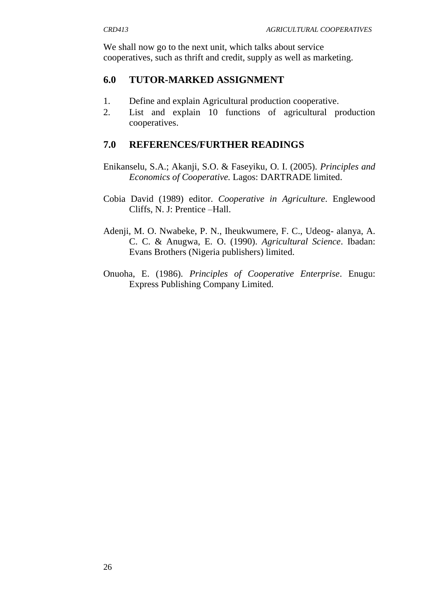We shall now go to the next unit, which talks about service cooperatives, such as thrift and credit, supply as well as marketing.

### **6.0 TUTOR-MARKED ASSIGNMENT**

- 1. Define and explain Agricultural production cooperative.
- 2. List and explain 10 functions of agricultural production cooperatives.

### **7.0 REFERENCES/FURTHER READINGS**

- Enikanselu, S.A.; Akanji, S.O. & Faseyiku, O. I. (2005). *Principles and Economics of Cooperative.* Lagos: DARTRADE limited.
- Cobia David (1989) editor. *Cooperative in Agriculture*. Englewood Cliffs, N. J: Prentice –Hall.
- Adenji, M. O. Nwabeke, P. N., Iheukwumere, F. C., Udeog- alanya, A. C. C. & Anugwa, E. O. (1990). *Agricultural Science*. Ibadan: Evans Brothers (Nigeria publishers) limited.
- Onuoha, E. (1986). *Principles of Cooperative Enterprise*. Enugu: Express Publishing Company Limited.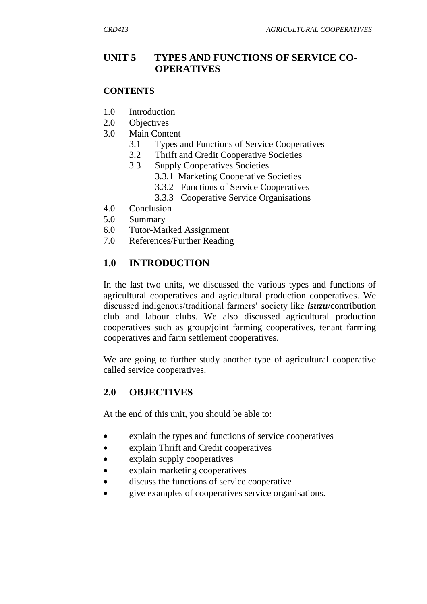### **UNIT 5 TYPES AND FUNCTIONS OF SERVICE CO-OPERATIVES**

#### **CONTENTS**

- 1.0 Introduction
- 2.0 Objectives
- 3.0 Main Content
	- 3.1 Types and Functions of Service Cooperatives
	- 3.2 Thrift and Credit Cooperative Societies
	- 3.3 Supply Cooperatives Societies
		- 3.3.1 Marketing Cooperative Societies
		- 3.3.2 Functions of Service Cooperatives
		- 3.3.3 Cooperative Service Organisations
- 4.0 Conclusion
- 5.0 Summary
- 6.0 Tutor-Marked Assignment
- 7.0 References/Further Reading

### **1.0 INTRODUCTION**

In the last two units, we discussed the various types and functions of agricultural cooperatives and agricultural production cooperatives. We discussed indigenous/traditional farmers" society like *isuzu*/contribution club and labour clubs. We also discussed agricultural production cooperatives such as group/joint farming cooperatives, tenant farming cooperatives and farm settlement cooperatives.

We are going to further study another type of agricultural cooperative called service cooperatives.

#### **2.0 OBJECTIVES**

At the end of this unit, you should be able to:

- explain the types and functions of service cooperatives
- explain Thrift and Credit cooperatives
- explain supply cooperatives
- explain marketing cooperatives
- discuss the functions of service cooperative
- give examples of cooperatives service organisations.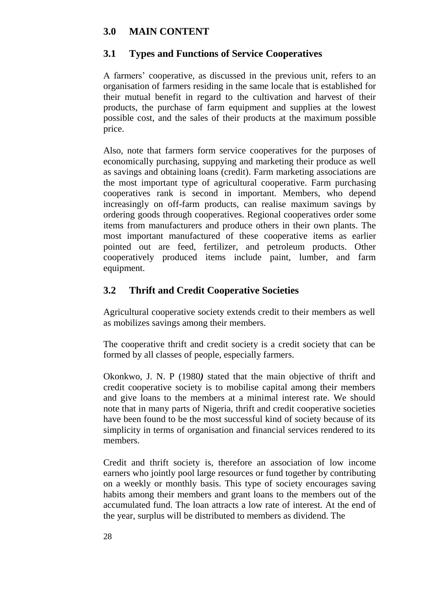## **3.0 MAIN CONTENT**

### **3.1 Types and Functions of Service Cooperatives**

A farmers" cooperative, as discussed in the previous unit, refers to an organisation of farmers residing in the same locale that is established for their mutual benefit in regard to the cultivation and harvest of their products, the purchase of farm equipment and supplies at the lowest possible cost, and the sales of their products at the maximum possible price.

Also, note that farmers form service cooperatives for the purposes of economically purchasing, suppying and marketing their produce as well as savings and obtaining loans (credit). Farm marketing associations are the most important type of agricultural cooperative. Farm purchasing cooperatives rank is second in important. Members, who depend increasingly on off-farm products, can realise maximum savings by ordering goods through cooperatives. Regional cooperatives order some items from manufacturers and produce others in their own plants. The most important manufactured of these cooperative items as earlier pointed out are feed, fertilizer, and petroleum products. Other cooperatively produced items include paint, lumber, and farm equipment.

## **3.2 Thrift and Credit Cooperative Societies**

Agricultural cooperative society extends credit to their members as well as mobilizes savings among their members.

The cooperative thrift and credit society is a credit society that can be formed by all classes of people, especially farmers.

Okonkwo, J. N. P (1980*)* stated that the main objective of thrift and credit cooperative society is to mobilise capital among their members and give loans to the members at a minimal interest rate. We should note that in many parts of Nigeria, thrift and credit cooperative societies have been found to be the most successful kind of society because of its simplicity in terms of organisation and financial services rendered to its members.

Credit and thrift society is, therefore an association of low income earners who jointly pool large resources or fund together by contributing on a weekly or monthly basis. This type of society encourages saving habits among their members and grant loans to the members out of the accumulated fund. The loan attracts a low rate of interest. At the end of the year, surplus will be distributed to members as dividend. The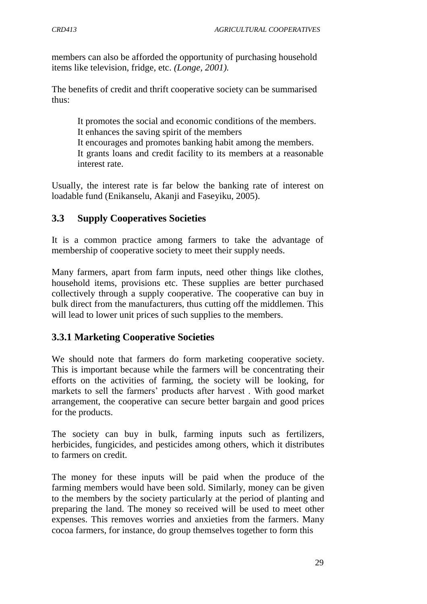members can also be afforded the opportunity of purchasing household items like television, fridge, etc. *(Longe, 2001).*

The benefits of credit and thrift cooperative society can be summarised thus:

It promotes the social and economic conditions of the members. It enhances the saving spirit of the members It encourages and promotes banking habit among the members. It grants loans and credit facility to its members at a reasonable interest rate.

Usually, the interest rate is far below the banking rate of interest on loadable fund (Enikanselu, Akanji and Faseyiku, 2005).

# **3.3 Supply Cooperatives Societies**

It is a common practice among farmers to take the advantage of membership of cooperative society to meet their supply needs.

Many farmers, apart from farm inputs, need other things like clothes, household items, provisions etc. These supplies are better purchased collectively through a supply cooperative. The cooperative can buy in bulk direct from the manufacturers, thus cutting off the middlemen. This will lead to lower unit prices of such supplies to the members.

### **3.3.1 Marketing Cooperative Societies**

We should note that farmers do form marketing cooperative society. This is important because while the farmers will be concentrating their efforts on the activities of farming, the society will be looking, for markets to sell the farmers" products after harvest . With good market arrangement, the cooperative can secure better bargain and good prices for the products.

The society can buy in bulk, farming inputs such as fertilizers, herbicides, fungicides, and pesticides among others, which it distributes to farmers on credit.

The money for these inputs will be paid when the produce of the farming members would have been sold. Similarly, money can be given to the members by the society particularly at the period of planting and preparing the land. The money so received will be used to meet other expenses. This removes worries and anxieties from the farmers. Many cocoa farmers, for instance, do group themselves together to form this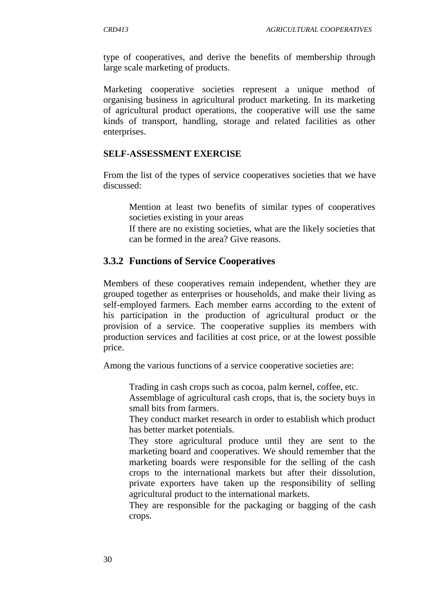type of cooperatives, and derive the benefits of membership through large scale marketing of products.

Marketing cooperative societies represent a unique method of organising business in agricultural product marketing. In its marketing of agricultural product operations, the cooperative will use the same kinds of transport, handling, storage and related facilities as other enterprises.

#### **SELF-ASSESSMENT EXERCISE**

From the list of the types of service cooperatives societies that we have discussed:

Mention at least two benefits of similar types of cooperatives societies existing in your areas

If there are no existing societies, what are the likely societies that can be formed in the area? Give reasons.

#### **3.3.2 Functions of Service Cooperatives**

Members of these cooperatives remain independent, whether they are grouped together as enterprises or households, and make their living as self-employed farmers. Each member earns according to the extent of his participation in the production of agricultural product or the provision of a service. The cooperative supplies its members with production services and facilities at cost price, or at the lowest possible price.

Among the various functions of a service cooperative societies are:

Trading in cash crops such as cocoa, palm kernel, coffee, etc.

Assemblage of agricultural cash crops, that is, the society buys in small bits from farmers.

They conduct market research in order to establish which product has better market potentials.

They store agricultural produce until they are sent to the marketing board and cooperatives. We should remember that the marketing boards were responsible for the selling of the cash crops to the international markets but after their dissolution, private exporters have taken up the responsibility of selling agricultural product to the international markets.

They are responsible for the packaging or bagging of the cash crops.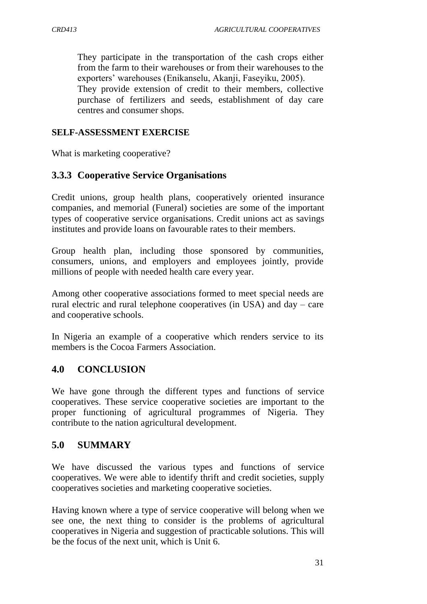They participate in the transportation of the cash crops either from the farm to their warehouses or from their warehouses to the exporters" warehouses (Enikanselu, Akanji, Faseyiku, 2005).

They provide extension of credit to their members, collective purchase of fertilizers and seeds, establishment of day care centres and consumer shops.

#### **SELF-ASSESSMENT EXERCISE**

What is marketing cooperative?

### **3.3.3 Cooperative Service Organisations**

Credit unions, group health plans, cooperatively oriented insurance companies, and memorial (Funeral) societies are some of the important types of cooperative service organisations. Credit unions act as savings institutes and provide loans on favourable rates to their members.

Group health plan, including those sponsored by communities, consumers, unions, and employers and employees jointly, provide millions of people with needed health care every year.

Among other cooperative associations formed to meet special needs are rural electric and rural telephone cooperatives (in USA) and day – care and cooperative schools.

In Nigeria an example of a cooperative which renders service to its members is the Cocoa Farmers Association.

#### **4.0 CONCLUSION**

We have gone through the different types and functions of service cooperatives. These service cooperative societies are important to the proper functioning of agricultural programmes of Nigeria. They contribute to the nation agricultural development.

#### **5.0 SUMMARY**

We have discussed the various types and functions of service cooperatives. We were able to identify thrift and credit societies, supply cooperatives societies and marketing cooperative societies.

Having known where a type of service cooperative will belong when we see one, the next thing to consider is the problems of agricultural cooperatives in Nigeria and suggestion of practicable solutions. This will be the focus of the next unit, which is Unit 6.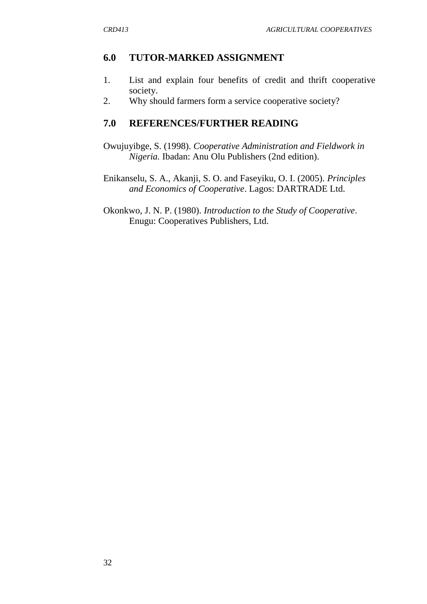### **6.0 TUTOR-MARKED ASSIGNMENT**

- 1. List and explain four benefits of credit and thrift cooperative society.
- 2. Why should farmers form a service cooperative society?

### **7.0 REFERENCES/FURTHER READING**

Owujuyibge, S. (1998). *Cooperative Administration and Fieldwork in Nigeria.* Ibadan: Anu Olu Publishers (2nd edition).

Enikanselu, S. A., Akanji, S. O. and Faseyiku, O. I. (2005). *Principles and Economics of Cooperative*. Lagos: DARTRADE Ltd.

Okonkwo, J. N. P. (1980). *Introduction to the Study of Cooperative*. Enugu: Cooperatives Publishers, Ltd.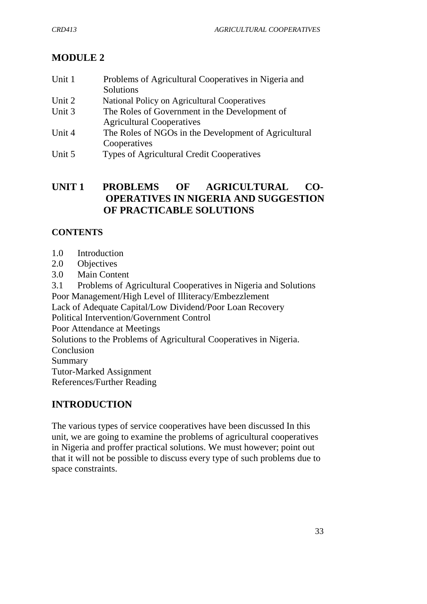# **MODULE 2**

| Unit 1 | Problems of Agricultural Cooperatives in Nigeria and |
|--------|------------------------------------------------------|
|        | Solutions                                            |
| Unit 2 | National Policy on Agricultural Cooperatives         |
| Unit 3 | The Roles of Government in the Development of        |
|        | <b>Agricultural Cooperatives</b>                     |
| Unit 4 | The Roles of NGOs in the Development of Agricultural |
|        | Cooperatives                                         |
| Unit 5 | <b>Types of Agricultural Credit Cooperatives</b>     |

## **UNIT 1 PROBLEMS OF AGRICULTURAL CO-OPERATIVES IN NIGERIA AND SUGGESTION OF PRACTICABLE SOLUTIONS**

# **CONTENTS**

- 1.0 Introduction
- 2.0 Objectives
- 3.0 Main Content

3.1 Problems of Agricultural Cooperatives in Nigeria and Solutions Poor Management/High Level of Illiteracy/Embezzlement Lack of Adequate Capital/Low Dividend/Poor Loan Recovery Political Intervention/Government Control Poor Attendance at Meetings Solutions to the Problems of Agricultural Cooperatives in Nigeria. **Conclusion** Summary Tutor-Marked Assignment References/Further Reading

# **INTRODUCTION**

The various types of service cooperatives have been discussed In this unit, we are going to examine the problems of agricultural cooperatives in Nigeria and proffer practical solutions. We must however; point out that it will not be possible to discuss every type of such problems due to space constraints.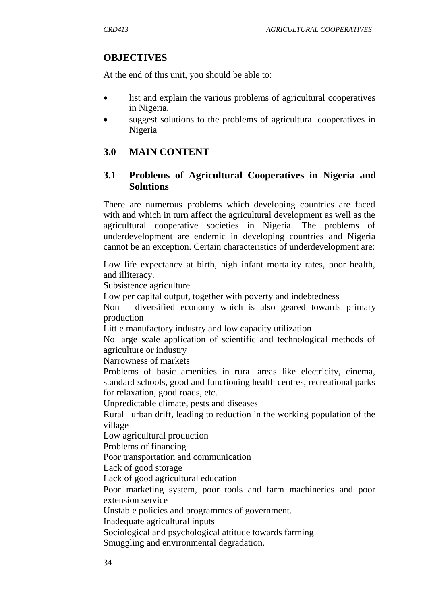#### **OBJECTIVES**

At the end of this unit, you should be able to:

- list and explain the various problems of agricultural cooperatives in Nigeria.
- suggest solutions to the problems of agricultural cooperatives in Nigeria

### **3.0 MAIN CONTENT**

#### **3.1 Problems of Agricultural Cooperatives in Nigeria and Solutions**

There are numerous problems which developing countries are faced with and which in turn affect the agricultural development as well as the agricultural cooperative societies in Nigeria. The problems of underdevelopment are endemic in developing countries and Nigeria cannot be an exception. Certain characteristics of underdevelopment are:

Low life expectancy at birth, high infant mortality rates, poor health, and illiteracy.

Subsistence agriculture

Low per capital output, together with poverty and indebtedness

Non – diversified economy which is also geared towards primary production

Little manufactory industry and low capacity utilization

No large scale application of scientific and technological methods of agriculture or industry

Narrowness of markets

Problems of basic amenities in rural areas like electricity, cinema, standard schools, good and functioning health centres, recreational parks for relaxation, good roads, etc.

Unpredictable climate, pests and diseases

Rural –urban drift, leading to reduction in the working population of the village

Low agricultural production

Problems of financing

Poor transportation and communication

Lack of good storage

Lack of good agricultural education

Poor marketing system, poor tools and farm machineries and poor extension service

Unstable policies and programmes of government.

Inadequate agricultural inputs

Sociological and psychological attitude towards farming

Smuggling and environmental degradation.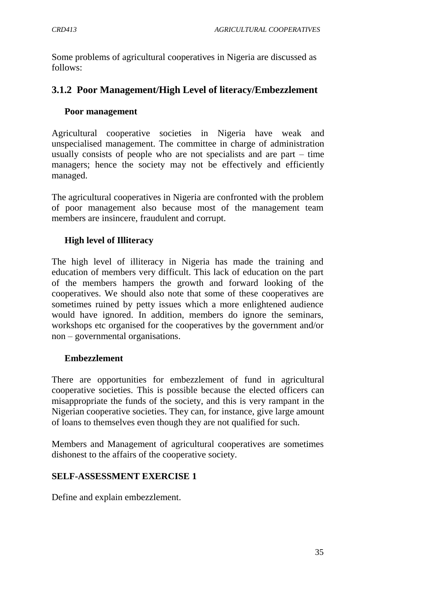Some problems of agricultural cooperatives in Nigeria are discussed as follows:

# **3.1.2 Poor Management/High Level of literacy/Embezzlement**

## **Poor management**

Agricultural cooperative societies in Nigeria have weak and unspecialised management. The committee in charge of administration usually consists of people who are not specialists and are part – time managers; hence the society may not be effectively and efficiently managed.

The agricultural cooperatives in Nigeria are confronted with the problem of poor management also because most of the management team members are insincere, fraudulent and corrupt.

## **High level of Illiteracy**

The high level of illiteracy in Nigeria has made the training and education of members very difficult. This lack of education on the part of the members hampers the growth and forward looking of the cooperatives. We should also note that some of these cooperatives are sometimes ruined by petty issues which a more enlightened audience would have ignored. In addition, members do ignore the seminars, workshops etc organised for the cooperatives by the government and/or non – governmental organisations.

## **Embezzlement**

There are opportunities for embezzlement of fund in agricultural cooperative societies. This is possible because the elected officers can misappropriate the funds of the society, and this is very rampant in the Nigerian cooperative societies. They can, for instance, give large amount of loans to themselves even though they are not qualified for such.

Members and Management of agricultural cooperatives are sometimes dishonest to the affairs of the cooperative society.

## **SELF-ASSESSMENT EXERCISE 1**

Define and explain embezzlement.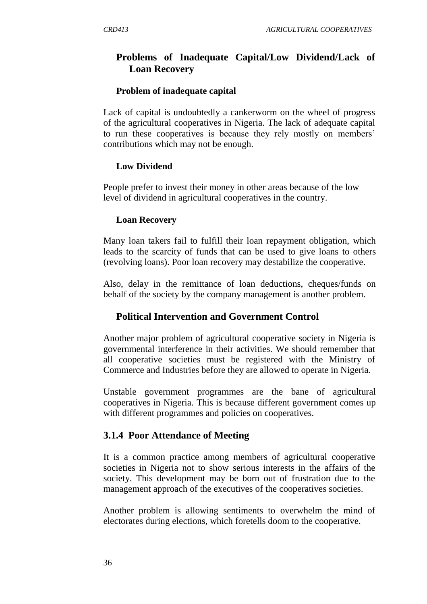# **Problems of Inadequate Capital/Low Dividend/Lack of Loan Recovery**

### **Problem of inadequate capital**

Lack of capital is undoubtedly a cankerworm on the wheel of progress of the agricultural cooperatives in Nigeria. The lack of adequate capital to run these cooperatives is because they rely mostly on members" contributions which may not be enough.

### **Low Dividend**

People prefer to invest their money in other areas because of the low level of dividend in agricultural cooperatives in the country.

### **Loan Recovery**

Many loan takers fail to fulfill their loan repayment obligation, which leads to the scarcity of funds that can be used to give loans to others (revolving loans). Poor loan recovery may destabilize the cooperative.

Also, delay in the remittance of loan deductions, cheques/funds on behalf of the society by the company management is another problem.

## **Political Intervention and Government Control**

Another major problem of agricultural cooperative society in Nigeria is governmental interference in their activities. We should remember that all cooperative societies must be registered with the Ministry of Commerce and Industries before they are allowed to operate in Nigeria.

Unstable government programmes are the bane of agricultural cooperatives in Nigeria. This is because different government comes up with different programmes and policies on cooperatives.

## **3.1.4 Poor Attendance of Meeting**

It is a common practice among members of agricultural cooperative societies in Nigeria not to show serious interests in the affairs of the society. This development may be born out of frustration due to the management approach of the executives of the cooperatives societies.

Another problem is allowing sentiments to overwhelm the mind of electorates during elections, which foretells doom to the cooperative.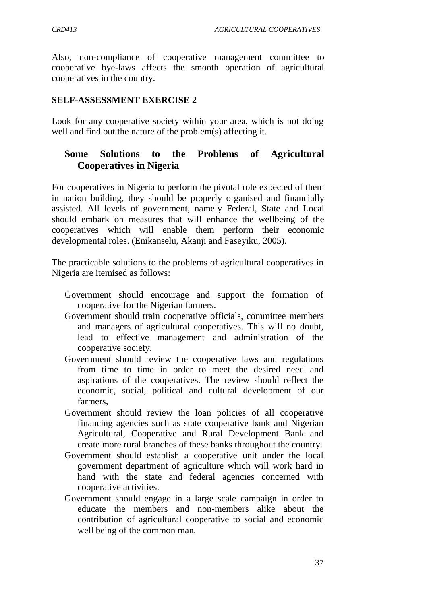Also, non-compliance of cooperative management committee to cooperative bye-laws affects the smooth operation of agricultural cooperatives in the country.

### **SELF-ASSESSMENT EXERCISE 2**

Look for any cooperative society within your area, which is not doing well and find out the nature of the problem(s) affecting it.

# **Some Solutions to the Problems of Agricultural Cooperatives in Nigeria**

For cooperatives in Nigeria to perform the pivotal role expected of them in nation building, they should be properly organised and financially assisted. All levels of government, namely Federal, State and Local should embark on measures that will enhance the wellbeing of the cooperatives which will enable them perform their economic developmental roles. (Enikanselu, Akanji and Faseyiku, 2005).

The practicable solutions to the problems of agricultural cooperatives in Nigeria are itemised as follows:

- Government should encourage and support the formation of cooperative for the Nigerian farmers.
- Government should train cooperative officials, committee members and managers of agricultural cooperatives. This will no doubt, lead to effective management and administration of the cooperative society.
- Government should review the cooperative laws and regulations from time to time in order to meet the desired need and aspirations of the cooperatives. The review should reflect the economic, social, political and cultural development of our farmers,
- Government should review the loan policies of all cooperative financing agencies such as state cooperative bank and Nigerian Agricultural, Cooperative and Rural Development Bank and create more rural branches of these banks throughout the country.
- Government should establish a cooperative unit under the local government department of agriculture which will work hard in hand with the state and federal agencies concerned with cooperative activities.
- Government should engage in a large scale campaign in order to educate the members and non-members alike about the contribution of agricultural cooperative to social and economic well being of the common man.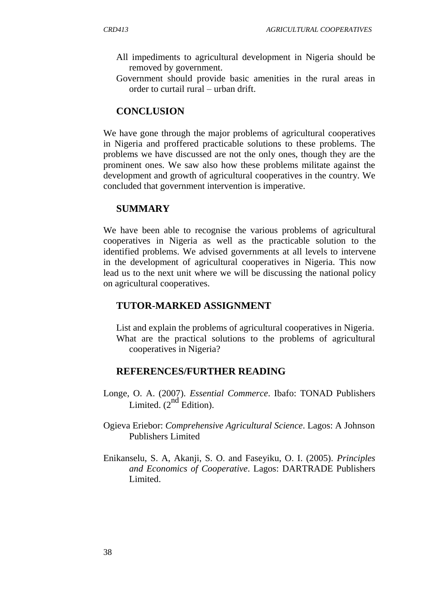- All impediments to agricultural development in Nigeria should be removed by government.
- Government should provide basic amenities in the rural areas in order to curtail rural – urban drift.

# **CONCLUSION**

We have gone through the major problems of agricultural cooperatives in Nigeria and proffered practicable solutions to these problems. The problems we have discussed are not the only ones, though they are the prominent ones. We saw also how these problems militate against the development and growth of agricultural cooperatives in the country. We concluded that government intervention is imperative.

## **SUMMARY**

We have been able to recognise the various problems of agricultural cooperatives in Nigeria as well as the practicable solution to the identified problems. We advised governments at all levels to intervene in the development of agricultural cooperatives in Nigeria. This now lead us to the next unit where we will be discussing the national policy on agricultural cooperatives.

## **TUTOR-MARKED ASSIGNMENT**

List and explain the problems of agricultural cooperatives in Nigeria. What are the practical solutions to the problems of agricultural cooperatives in Nigeria?

## **REFERENCES/FURTHER READING**

- Longe, O. A. (2007). *Essential Commerce*. Ibafo: TONAD Publishers Limited.  $(2^{nd}$  Edition).
- Ogieva Eriebor: *Comprehensive Agricultural Science*. Lagos: A Johnson Publishers Limited
- Enikanselu, S. A, Akanji, S. O. and Faseyiku, O. I. (2005). *Principles and Economics of Cooperative*. Lagos: DARTRADE Publishers Limited.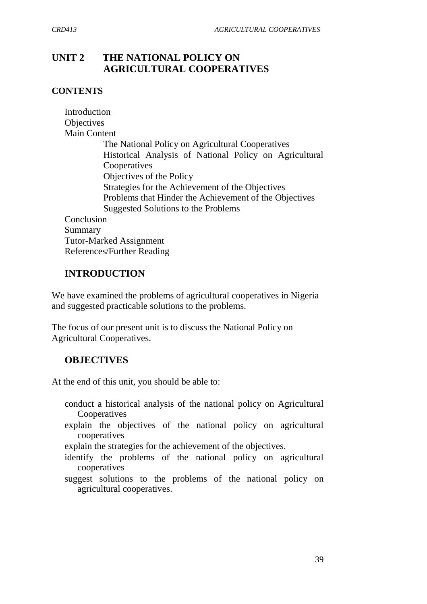# **UNIT 2 THE NATIONAL POLICY ON AGRICULTURAL COOPERATIVES**

### **CONTENTS**

| Introduction                                           |
|--------------------------------------------------------|
| Objectives                                             |
| <b>Main Content</b>                                    |
| The National Policy on Agricultural Cooperatives       |
| Historical Analysis of National Policy on Agricultural |
| Cooperatives                                           |
| Objectives of the Policy                               |
| Strategies for the Achievement of the Objectives       |
| Problems that Hinder the Achievement of the Objectives |
| Suggested Solutions to the Problems                    |
| Conclusion                                             |
| Summary                                                |
| <b>Tutor-Marked Assignment</b>                         |
| References/Further Reading                             |

# **INTRODUCTION**

We have examined the problems of agricultural cooperatives in Nigeria and suggested practicable solutions to the problems.

The focus of our present unit is to discuss the National Policy on Agricultural Cooperatives.

## **OBJECTIVES**

At the end of this unit, you should be able to:

- conduct a historical analysis of the national policy on Agricultural Cooperatives
- explain the objectives of the national policy on agricultural cooperatives
- explain the strategies for the achievement of the objectives.
- identify the problems of the national policy on agricultural cooperatives
- suggest solutions to the problems of the national policy on agricultural cooperatives.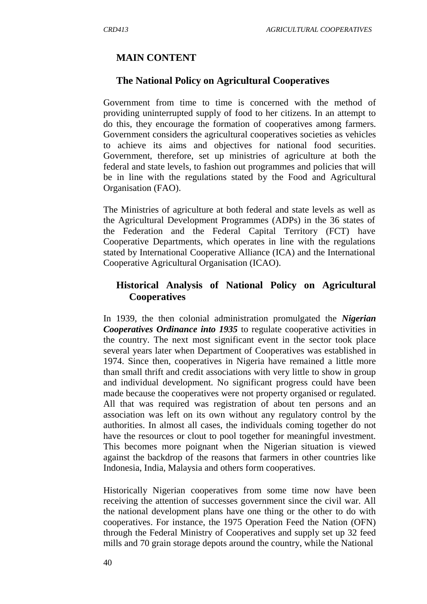### **MAIN CONTENT**

#### **The National Policy on Agricultural Cooperatives**

Government from time to time is concerned with the method of providing uninterrupted supply of food to her citizens. In an attempt to do this, they encourage the formation of cooperatives among farmers. Government considers the agricultural cooperatives societies as vehicles to achieve its aims and objectives for national food securities. Government, therefore, set up ministries of agriculture at both the federal and state levels, to fashion out programmes and policies that will be in line with the regulations stated by the Food and Agricultural Organisation (FAO).

The Ministries of agriculture at both federal and state levels as well as the Agricultural Development Programmes (ADPs) in the 36 states of the Federation and the Federal Capital Territory (FCT) have Cooperative Departments, which operates in line with the regulations stated by International Cooperative Alliance (ICA) and the International Cooperative Agricultural Organisation (ICAO).

## **Historical Analysis of National Policy on Agricultural Cooperatives**

In 1939, the then colonial administration promulgated the *Nigerian Cooperatives Ordinance into 1935* to regulate cooperative activities in the country. The next most significant event in the sector took place several years later when Department of Cooperatives was established in 1974. Since then, cooperatives in Nigeria have remained a little more than small thrift and credit associations with very little to show in group and individual development. No significant progress could have been made because the cooperatives were not property organised or regulated. All that was required was registration of about ten persons and an association was left on its own without any regulatory control by the authorities. In almost all cases, the individuals coming together do not have the resources or clout to pool together for meaningful investment. This becomes more poignant when the Nigerian situation is viewed against the backdrop of the reasons that farmers in other countries like Indonesia, India, Malaysia and others form cooperatives.

Historically Nigerian cooperatives from some time now have been receiving the attention of successes government since the civil war. All the national development plans have one thing or the other to do with cooperatives. For instance, the 1975 Operation Feed the Nation (OFN) through the Federal Ministry of Cooperatives and supply set up 32 feed mills and 70 grain storage depots around the country, while the National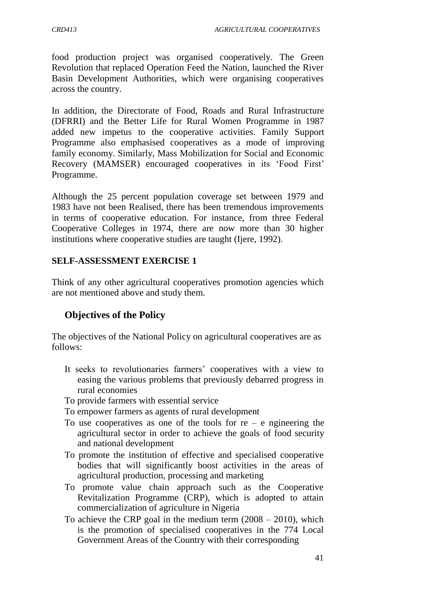food production project was organised cooperatively. The Green Revolution that replaced Operation Feed the Nation, launched the River Basin Development Authorities, which were organising cooperatives across the country.

In addition, the Directorate of Food, Roads and Rural Infrastructure (DFRRI) and the Better Life for Rural Women Programme in 1987 added new impetus to the cooperative activities. Family Support Programme also emphasised cooperatives as a mode of improving family economy. Similarly, Mass Mobilization for Social and Economic Recovery (MAMSER) encouraged cooperatives in its "Food First" Programme.

Although the 25 percent population coverage set between 1979 and 1983 have not been Realised, there has been tremendous improvements in terms of cooperative education. For instance, from three Federal Cooperative Colleges in 1974, there are now more than 30 higher institutions where cooperative studies are taught (Ijere, 1992).

## **SELF-ASSESSMENT EXERCISE 1**

Think of any other agricultural cooperatives promotion agencies which are not mentioned above and study them.

# **Objectives of the Policy**

The objectives of the National Policy on agricultural cooperatives are as follows:

It seeks to revolutionaries farmers' cooperatives with a view to easing the various problems that previously debarred progress in rural economies

To provide farmers with essential service

To empower farmers as agents of rural development

- To use cooperatives as one of the tools for  $re e$  ngineering the agricultural sector in order to achieve the goals of food security and national development
- To promote the institution of effective and specialised cooperative bodies that will significantly boost activities in the areas of agricultural production, processing and marketing
- To promote value chain approach such as the Cooperative Revitalization Programme (CRP), which is adopted to attain commercialization of agriculture in Nigeria
- To achieve the CRP goal in the medium term  $(2008 2010)$ , which is the promotion of specialised cooperatives in the 774 Local Government Areas of the Country with their corresponding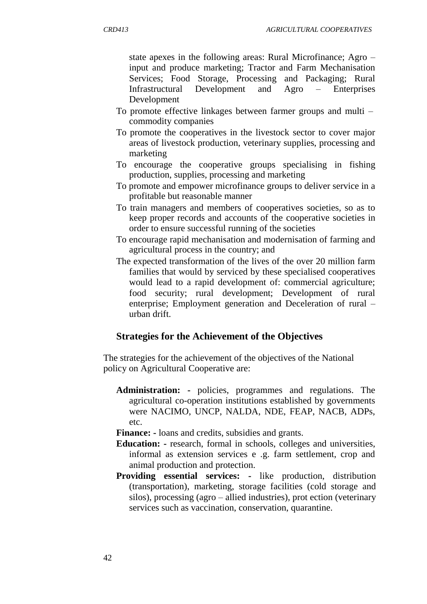state apexes in the following areas: Rural Microfinance; Agro – input and produce marketing; Tractor and Farm Mechanisation Services; Food Storage, Processing and Packaging; Rural Infrastructural Development and Agro – Enterprises Development

- To promote effective linkages between farmer groups and multi commodity companies
- To promote the cooperatives in the livestock sector to cover major areas of livestock production, veterinary supplies, processing and marketing
- To encourage the cooperative groups specialising in fishing production, supplies, processing and marketing
- To promote and empower microfinance groups to deliver service in a profitable but reasonable manner
- To train managers and members of cooperatives societies, so as to keep proper records and accounts of the cooperative societies in order to ensure successful running of the societies
- To encourage rapid mechanisation and modernisation of farming and agricultural process in the country; and
- The expected transformation of the lives of the over 20 million farm families that would by serviced by these specialised cooperatives would lead to a rapid development of: commercial agriculture; food security; rural development; Development of rural enterprise; Employment generation and Deceleration of rural – urban drift.

### **Strategies for the Achievement of the Objectives**

The strategies for the achievement of the objectives of the National policy on Agricultural Cooperative are:

**Administration: -** policies, programmes and regulations. The agricultural co-operation institutions established by governments were NACIMO, UNCP, NALDA, NDE, FEAP, NACB, ADPs, etc.

**Finance: -** loans and credits, subsidies and grants.

- **Education: -** research, formal in schools, colleges and universities, informal as extension services e .g. farm settlement, crop and animal production and protection.
- **Providing essential services: -** like production, distribution (transportation), marketing, storage facilities (cold storage and silos), processing (agro – allied industries), prot ection (veterinary services such as vaccination, conservation, quarantine.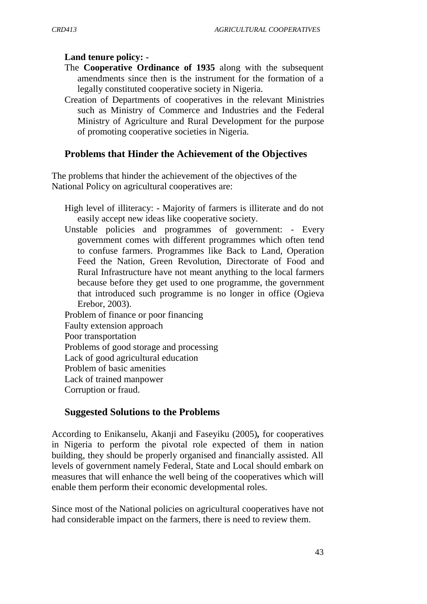#### **Land tenure policy: -**

- The **Cooperative Ordinance of 1935** along with the subsequent amendments since then is the instrument for the formation of a legally constituted cooperative society in Nigeria.
- Creation of Departments of cooperatives in the relevant Ministries such as Ministry of Commerce and Industries and the Federal Ministry of Agriculture and Rural Development for the purpose of promoting cooperative societies in Nigeria.

### **Problems that Hinder the Achievement of the Objectives**

The problems that hinder the achievement of the objectives of the National Policy on agricultural cooperatives are:

- High level of illiteracy: Majority of farmers is illiterate and do not easily accept new ideas like cooperative society.
- Unstable policies and programmes of government: Every government comes with different programmes which often tend to confuse farmers. Programmes like Back to Land, Operation Feed the Nation, Green Revolution, Directorate of Food and Rural Infrastructure have not meant anything to the local farmers because before they get used to one programme, the government that introduced such programme is no longer in office (Ogieva Erebor, 2003).

## Problem of finance or poor financing Faulty extension approach Poor transportation Problems of good storage and processing Lack of good agricultural education Problem of basic amenities Lack of trained manpower Corruption or fraud.

### **Suggested Solutions to the Problems**

According to Enikanselu, Akanji and Faseyiku (2005)*,* for cooperatives in Nigeria to perform the pivotal role expected of them in nation building, they should be properly organised and financially assisted. All levels of government namely Federal, State and Local should embark on measures that will enhance the well being of the cooperatives which will enable them perform their economic developmental roles.

Since most of the National policies on agricultural cooperatives have not had considerable impact on the farmers, there is need to review them.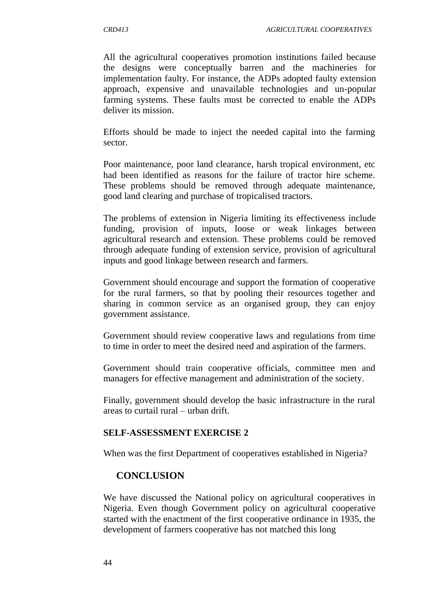All the agricultural cooperatives promotion institutions failed because the designs were conceptually barren and the machineries for implementation faulty. For instance, the ADPs adopted faulty extension approach, expensive and unavailable technologies and un-popular farming systems. These faults must be corrected to enable the ADPs deliver its mission.

Efforts should be made to inject the needed capital into the farming sector.

Poor maintenance, poor land clearance, harsh tropical environment, etc had been identified as reasons for the failure of tractor hire scheme. These problems should be removed through adequate maintenance, good land clearing and purchase of tropicalised tractors.

The problems of extension in Nigeria limiting its effectiveness include funding, provision of inputs, loose or weak linkages between agricultural research and extension. These problems could be removed through adequate funding of extension service, provision of agricultural inputs and good linkage between research and farmers.

Government should encourage and support the formation of cooperative for the rural farmers, so that by pooling their resources together and sharing in common service as an organised group, they can enjoy government assistance.

Government should review cooperative laws and regulations from time to time in order to meet the desired need and aspiration of the farmers.

Government should train cooperative officials, committee men and managers for effective management and administration of the society.

Finally, government should develop the basic infrastructure in the rural areas to curtail rural – urban drift.

### **SELF-ASSESSMENT EXERCISE 2**

When was the first Department of cooperatives established in Nigeria?

## **CONCLUSION**

We have discussed the National policy on agricultural cooperatives in Nigeria. Even though Government policy on agricultural cooperative started with the enactment of the first cooperative ordinance in 1935, the development of farmers cooperative has not matched this long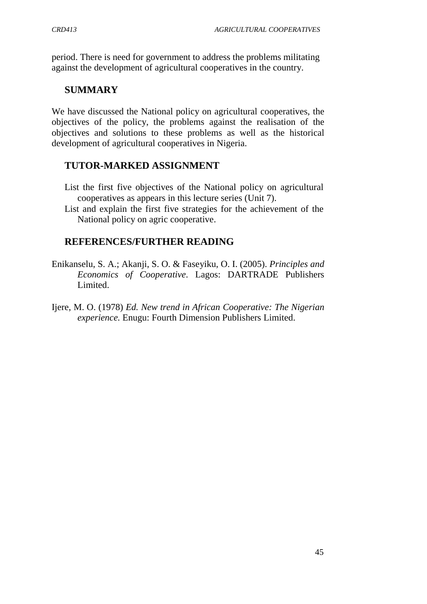period. There is need for government to address the problems militating against the development of agricultural cooperatives in the country.

## **SUMMARY**

We have discussed the National policy on agricultural cooperatives, the objectives of the policy, the problems against the realisation of the objectives and solutions to these problems as well as the historical development of agricultural cooperatives in Nigeria.

## **TUTOR-MARKED ASSIGNMENT**

- List the first five objectives of the National policy on agricultural cooperatives as appears in this lecture series (Unit 7).
- List and explain the first five strategies for the achievement of the National policy on agric cooperative.

## **REFERENCES/FURTHER READING**

- Enikanselu, S. A.; Akanji, S. O. & Faseyiku, O. I. (2005). *Principles and Economics of Cooperative*. Lagos: DARTRADE Publishers Limited.
- Ijere, M. O. (1978) *Ed. New trend in African Cooperative: The Nigerian experience.* Enugu: Fourth Dimension Publishers Limited.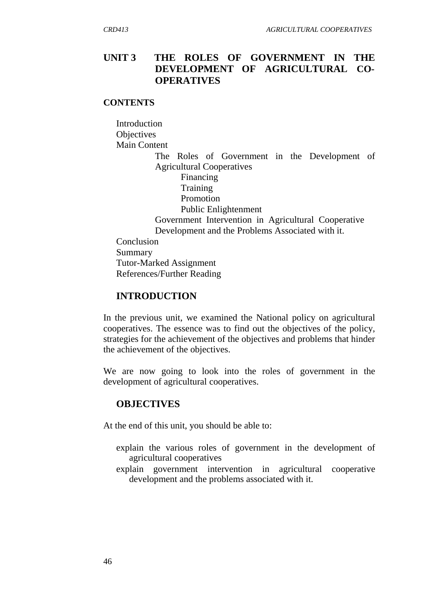# **UNIT 3 THE ROLES OF GOVERNMENT IN THE DEVELOPMENT OF AGRICULTURAL CO-OPERATIVES**

#### **CONTENTS**

**Introduction Objectives** Main Content

> The Roles of Government in the Development of Agricultural Cooperatives

Financing **Training** Promotion Public Enlightenment Government Intervention in Agricultural Cooperative Development and the Problems Associated with it. Conclusion Summary

Tutor-Marked Assignment References/Further Reading

#### **INTRODUCTION**

In the previous unit, we examined the National policy on agricultural cooperatives. The essence was to find out the objectives of the policy, strategies for the achievement of the objectives and problems that hinder the achievement of the objectives.

We are now going to look into the roles of government in the development of agricultural cooperatives.

#### **OBJECTIVES**

At the end of this unit, you should be able to:

- explain the various roles of government in the development of agricultural cooperatives
- explain government intervention in agricultural cooperative development and the problems associated with it.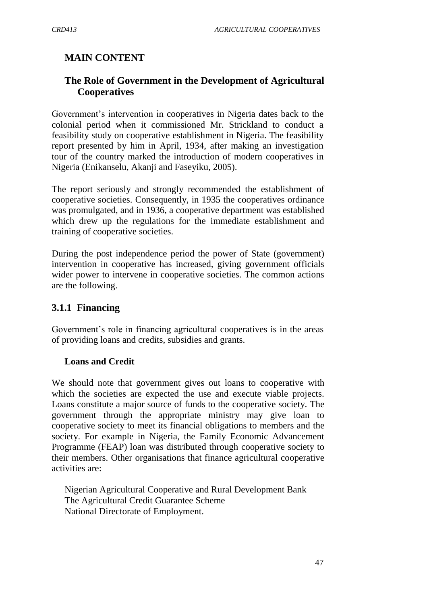# **MAIN CONTENT**

# **The Role of Government in the Development of Agricultural Cooperatives**

Government's intervention in cooperatives in Nigeria dates back to the colonial period when it commissioned Mr. Strickland to conduct a feasibility study on cooperative establishment in Nigeria. The feasibility report presented by him in April, 1934, after making an investigation tour of the country marked the introduction of modern cooperatives in Nigeria (Enikanselu, Akanji and Faseyiku, 2005).

The report seriously and strongly recommended the establishment of cooperative societies. Consequently, in 1935 the cooperatives ordinance was promulgated, and in 1936, a cooperative department was established which drew up the regulations for the immediate establishment and training of cooperative societies.

During the post independence period the power of State (government) intervention in cooperative has increased, giving government officials wider power to intervene in cooperative societies. The common actions are the following.

# **3.1.1 Financing**

Government's role in financing agricultural cooperatives is in the areas of providing loans and credits, subsidies and grants.

## **Loans and Credit**

We should note that government gives out loans to cooperative with which the societies are expected the use and execute viable projects. Loans constitute a major source of funds to the cooperative society. The government through the appropriate ministry may give loan to cooperative society to meet its financial obligations to members and the society. For example in Nigeria, the Family Economic Advancement Programme (FEAP) loan was distributed through cooperative society to their members. Other organisations that finance agricultural cooperative activities are:

Nigerian Agricultural Cooperative and Rural Development Bank The Agricultural Credit Guarantee Scheme National Directorate of Employment.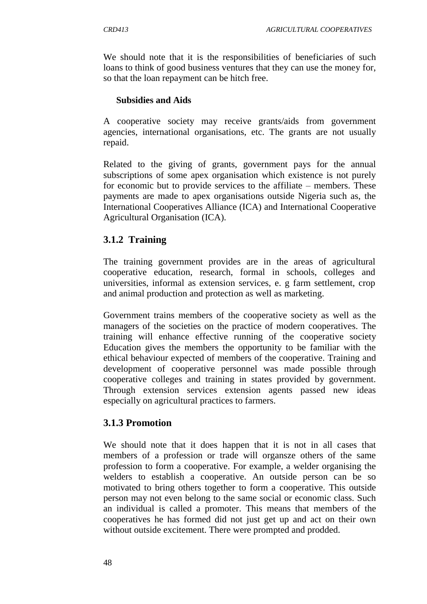We should note that it is the responsibilities of beneficiaries of such loans to think of good business ventures that they can use the money for, so that the loan repayment can be hitch free.

## **Subsidies and Aids**

A cooperative society may receive grants/aids from government agencies, international organisations, etc. The grants are not usually repaid.

Related to the giving of grants, government pays for the annual subscriptions of some apex organisation which existence is not purely for economic but to provide services to the affiliate – members. These payments are made to apex organisations outside Nigeria such as, the International Cooperatives Alliance (ICA) and International Cooperative Agricultural Organisation (ICA).

# **3.1.2 Training**

The training government provides are in the areas of agricultural cooperative education, research, formal in schools, colleges and universities, informal as extension services, e. g farm settlement, crop and animal production and protection as well as marketing.

Government trains members of the cooperative society as well as the managers of the societies on the practice of modern cooperatives. The training will enhance effective running of the cooperative society Education gives the members the opportunity to be familiar with the ethical behaviour expected of members of the cooperative. Training and development of cooperative personnel was made possible through cooperative colleges and training in states provided by government. Through extension services extension agents passed new ideas especially on agricultural practices to farmers.

# **3.1.3 Promotion**

We should note that it does happen that it is not in all cases that members of a profession or trade will organsze others of the same profession to form a cooperative. For example, a welder organising the welders to establish a cooperative. An outside person can be so motivated to bring others together to form a cooperative. This outside person may not even belong to the same social or economic class. Such an individual is called a promoter. This means that members of the cooperatives he has formed did not just get up and act on their own without outside excitement. There were prompted and prodded.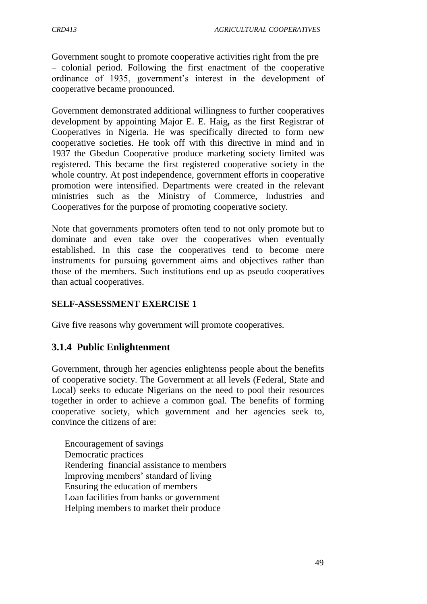Government sought to promote cooperative activities right from the pre – colonial period. Following the first enactment of the cooperative ordinance of 1935, government's interest in the development of cooperative became pronounced.

Government demonstrated additional willingness to further cooperatives development by appointing Major E. E. Haig*,* as the first Registrar of Cooperatives in Nigeria. He was specifically directed to form new cooperative societies. He took off with this directive in mind and in 1937 the Gbedun Cooperative produce marketing society limited was registered. This became the first registered cooperative society in the whole country. At post independence, government efforts in cooperative promotion were intensified. Departments were created in the relevant ministries such as the Ministry of Commerce, Industries and Cooperatives for the purpose of promoting cooperative society.

Note that governments promoters often tend to not only promote but to dominate and even take over the cooperatives when eventually established. In this case the cooperatives tend to become mere instruments for pursuing government aims and objectives rather than those of the members. Such institutions end up as pseudo cooperatives than actual cooperatives.

## **SELF-ASSESSMENT EXERCISE 1**

Give five reasons why government will promote cooperatives.

# **3.1.4 Public Enlightenment**

Government, through her agencies enlightenss people about the benefits of cooperative society. The Government at all levels (Federal, State and Local) seeks to educate Nigerians on the need to pool their resources together in order to achieve a common goal. The benefits of forming cooperative society, which government and her agencies seek to, convince the citizens of are:

Encouragement of savings Democratic practices Rendering financial assistance to members Improving members" standard of living Ensuring the education of members Loan facilities from banks or government Helping members to market their produce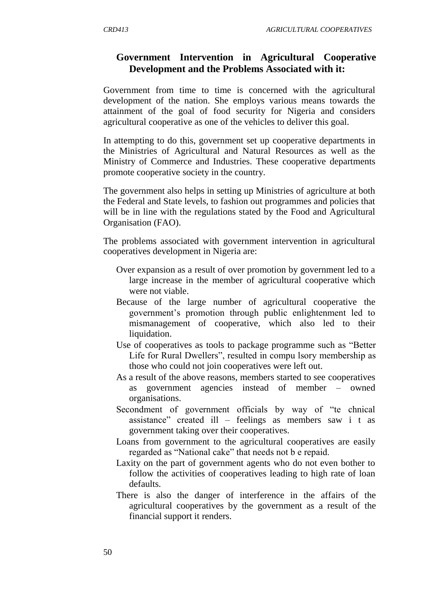## **Government Intervention in Agricultural Cooperative Development and the Problems Associated with it:**

Government from time to time is concerned with the agricultural development of the nation. She employs various means towards the attainment of the goal of food security for Nigeria and considers agricultural cooperative as one of the vehicles to deliver this goal.

In attempting to do this, government set up cooperative departments in the Ministries of Agricultural and Natural Resources as well as the Ministry of Commerce and Industries. These cooperative departments promote cooperative society in the country.

The government also helps in setting up Ministries of agriculture at both the Federal and State levels, to fashion out programmes and policies that will be in line with the regulations stated by the Food and Agricultural Organisation (FAO).

The problems associated with government intervention in agricultural cooperatives development in Nigeria are:

- Over expansion as a result of over promotion by government led to a large increase in the member of agricultural cooperative which were not viable.
- Because of the large number of agricultural cooperative the government"s promotion through public enlightenment led to mismanagement of cooperative, which also led to their liquidation.
- Use of cooperatives as tools to package programme such as "Better Life for Rural Dwellers", resulted in compu lsory membership as those who could not join cooperatives were left out.
- As a result of the above reasons, members started to see cooperatives as government agencies instead of member – owned organisations.
- Secondment of government officials by way of "te chnical assistance" created ill – feelings as members saw i t as government taking over their cooperatives.
- Loans from government to the agricultural cooperatives are easily regarded as "National cake" that needs not b e repaid.
- Laxity on the part of government agents who do not even bother to follow the activities of cooperatives leading to high rate of loan defaults.
- There is also the danger of interference in the affairs of the agricultural cooperatives by the government as a result of the financial support it renders.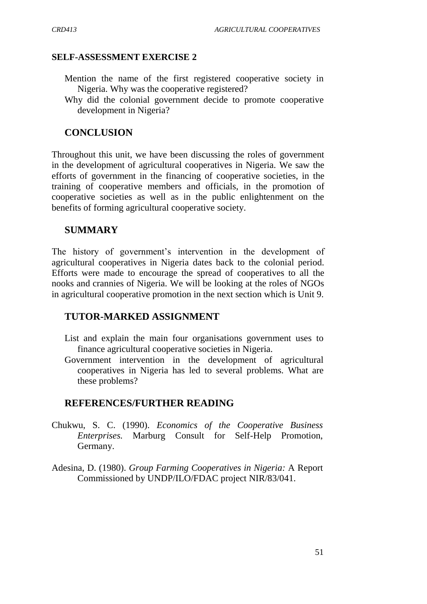#### **SELF-ASSESSMENT EXERCISE 2**

- Mention the name of the first registered cooperative society in Nigeria. Why was the cooperative registered?
- Why did the colonial government decide to promote cooperative development in Nigeria?

### **CONCLUSION**

Throughout this unit, we have been discussing the roles of government in the development of agricultural cooperatives in Nigeria. We saw the efforts of government in the financing of cooperative societies, in the training of cooperative members and officials, in the promotion of cooperative societies as well as in the public enlightenment on the benefits of forming agricultural cooperative society.

### **SUMMARY**

The history of government's intervention in the development of agricultural cooperatives in Nigeria dates back to the colonial period. Efforts were made to encourage the spread of cooperatives to all the nooks and crannies of Nigeria. We will be looking at the roles of NGOs in agricultural cooperative promotion in the next section which is Unit 9.

#### **TUTOR-MARKED ASSIGNMENT**

- List and explain the main four organisations government uses to finance agricultural cooperative societies in Nigeria.
- Government intervention in the development of agricultural cooperatives in Nigeria has led to several problems. What are these problems?

#### **REFERENCES/FURTHER READING**

- Chukwu, S. C. (1990). *Economics of the Cooperative Business Enterprises.* Marburg Consult for Self-Help Promotion, Germany.
- Adesina, D. (1980). *Group Farming Cooperatives in Nigeria:* A Report Commissioned by UNDP/ILO/FDAC project NIR/83/041.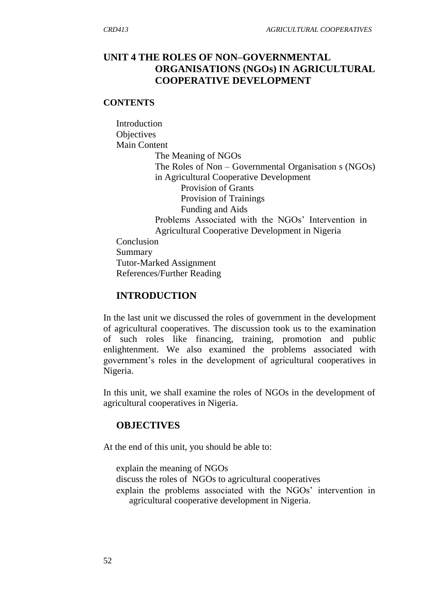## **UNIT 4 THE ROLES OF NON–GOVERNMENTAL ORGANISATIONS (NGOs) IN AGRICULTURAL COOPERATIVE DEVELOPMENT**

#### **CONTENTS**

**Introduction Objectives** Main Content The Meaning of NGOs The Roles of Non – Governmental Organisation s (NGOs) in Agricultural Cooperative Development Provision of Grants Provision of Trainings Funding and Aids Problems Associated with the NGOs' Intervention in Agricultural Cooperative Development in Nigeria Conclusion Summary Tutor-Marked Assignment References/Further Reading

#### **INTRODUCTION**

In the last unit we discussed the roles of government in the development of agricultural cooperatives. The discussion took us to the examination of such roles like financing, training, promotion and public enlightenment. We also examined the problems associated with government"s roles in the development of agricultural cooperatives in Nigeria.

In this unit, we shall examine the roles of NGOs in the development of agricultural cooperatives in Nigeria.

#### **OBJECTIVES**

At the end of this unit, you should be able to:

explain the meaning of NGOs

- discuss the roles of NGOs to agricultural cooperatives
- explain the problems associated with the NGOs' intervention in agricultural cooperative development in Nigeria.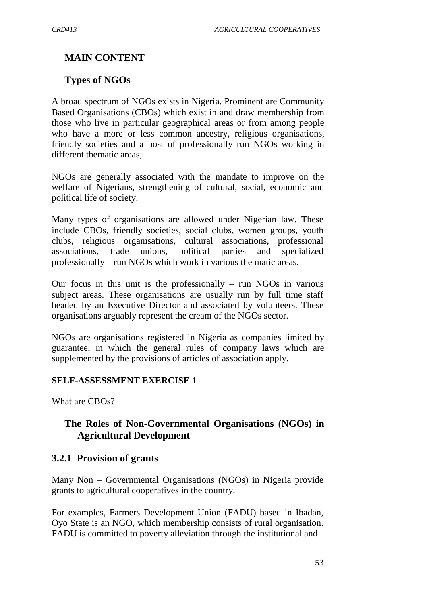# **MAIN CONTENT**

## **Types of NGOs**

A broad spectrum of NGOs exists in Nigeria. Prominent are Community Based Organisations (CBOs) which exist in and draw membership from those who live in particular geographical areas or from among people who have a more or less common ancestry, religious organisations, friendly societies and a host of professionally run NGOs working in different thematic areas,

NGOs are generally associated with the mandate to improve on the welfare of Nigerians, strengthening of cultural, social, economic and political life of society.

Many types of organisations are allowed under Nigerian law. These include CBOs, friendly societies, social clubs, women groups, youth clubs, religious organisations, cultural associations, professional associations, trade unions, political parties and specialized professionally – run NGOs which work in various the matic areas.

Our focus in this unit is the professionally – run NGOs in various subject areas. These organisations are usually run by full time staff headed by an Executive Director and associated by volunteers. These organisations arguably represent the cream of the NGOs sector.

NGOs are organisations registered in Nigeria as companies limited by guarantee, in which the general rules of company laws which are supplemented by the provisions of articles of association apply.

## **SELF-ASSESSMENT EXERCISE 1**

What are CBOs?

# **The Roles of Non-Governmental Organisations (NGOs) in Agricultural Development**

## **3.2.1 Provision of grants**

Many Non – Governmental Organisations **(**NGOs) in Nigeria provide grants to agricultural cooperatives in the country.

For examples, Farmers Development Union (FADU) based in Ibadan, Oyo State is an NGO, which membership consists of rural organisation. FADU is committed to poverty alleviation through the institutional and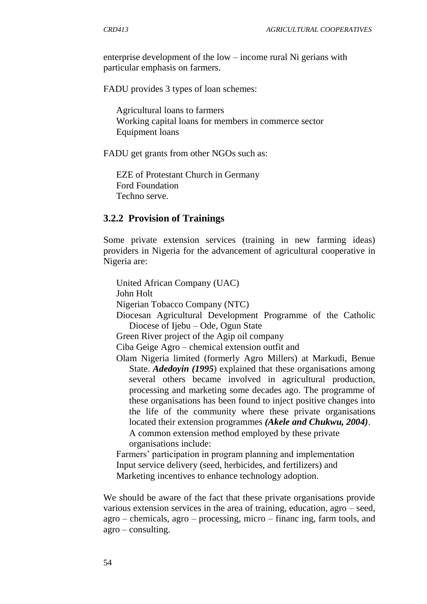enterprise development of the low – income rural Ni gerians with particular emphasis on farmers.

FADU provides 3 types of loan schemes:

Agricultural loans to farmers Working capital loans for members in commerce sector Equipment loans

FADU get grants from other NGOs such as:

EZE of Protestant Church in Germany Ford Foundation Techno serve.

## **3.2.2 Provision of Trainings**

Some private extension services (training in new farming ideas) providers in Nigeria for the advancement of agricultural cooperative in Nigeria are:

United African Company (UAC) John Holt Nigerian Tobacco Company (NTC) Diocesan Agricultural Development Programme of the Catholic Diocese of Ijebu – Ode, Ogun State

Green River project of the Agip oil company

Ciba Geige Agro – chemical extension outfit and

Olam Nigeria limited (formerly Agro Millers) at Markudi, Benue State. *Adedoyin (1995*) explained that these organisations among several others became involved in agricultural production, processing and marketing some decades ago. The programme of these organisations has been found to inject positive changes into the life of the community where these private organisations located their extension programmes *(Akele and Chukwu, 2004)*. A common extension method employed by these private organisations include:

Farmers" participation in program planning and implementation Input service delivery (seed, herbicides, and fertilizers) and Marketing incentives to enhance technology adoption.

We should be aware of the fact that these private organisations provide various extension services in the area of training, education, agro – seed, agro – chemicals, agro – processing, micro – financ ing, farm tools, and  $agro$  – consulting.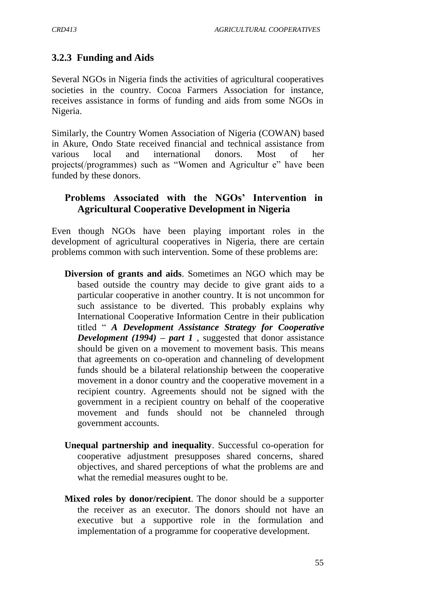# **3.2.3 Funding and Aids**

Several NGOs in Nigeria finds the activities of agricultural cooperatives societies in the country. Cocoa Farmers Association for instance, receives assistance in forms of funding and aids from some NGOs in Nigeria.

Similarly, the Country Women Association of Nigeria (COWAN) based in Akure, Ondo State received financial and technical assistance from various local and international donors. Most of her projects(/programmes) such as "Women and Agricultur e" have been funded by these donors.

## **Problems Associated with the NGOs' Intervention in Agricultural Cooperative Development in Nigeria**

Even though NGOs have been playing important roles in the development of agricultural cooperatives in Nigeria, there are certain problems common with such intervention. Some of these problems are:

- **Diversion of grants and aids**. Sometimes an NGO which may be based outside the country may decide to give grant aids to a particular cooperative in another country. It is not uncommon for such assistance to be diverted. This probably explains why International Cooperative Information Centre in their publication titled " *A Development Assistance Strategy for Cooperative Development (1994) – part 1* , suggested that donor assistance should be given on a movement to movement basis. This means that agreements on co-operation and channeling of development funds should be a bilateral relationship between the cooperative movement in a donor country and the cooperative movement in a recipient country. Agreements should not be signed with the government in a recipient country on behalf of the cooperative movement and funds should not be channeled through government accounts.
- **Unequal partnership and inequality**. Successful co-operation for cooperative adjustment presupposes shared concerns, shared objectives, and shared perceptions of what the problems are and what the remedial measures ought to be.
- **Mixed roles by donor/recipient**. The donor should be a supporter the receiver as an executor. The donors should not have an executive but a supportive role in the formulation and implementation of a programme for cooperative development.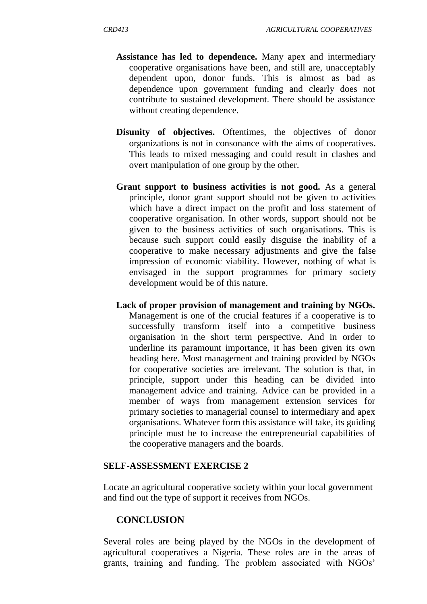- **Assistance has led to dependence.** Many apex and intermediary cooperative organisations have been, and still are, unacceptably dependent upon, donor funds. This is almost as bad as dependence upon government funding and clearly does not contribute to sustained development. There should be assistance without creating dependence.
- **Disunity of objectives.** Oftentimes, the objectives of donor organizations is not in consonance with the aims of cooperatives. This leads to mixed messaging and could result in clashes and overt manipulation of one group by the other.
- **Grant support to business activities is not good.** As a general principle, donor grant support should not be given to activities which have a direct impact on the profit and loss statement of cooperative organisation. In other words, support should not be given to the business activities of such organisations. This is because such support could easily disguise the inability of a cooperative to make necessary adjustments and give the false impression of economic viability. However, nothing of what is envisaged in the support programmes for primary society development would be of this nature.
- **Lack of proper provision of management and training by NGOs.**  Management is one of the crucial features if a cooperative is to successfully transform itself into a competitive business organisation in the short term perspective. And in order to underline its paramount importance, it has been given its own heading here. Most management and training provided by NGOs for cooperative societies are irrelevant. The solution is that, in principle, support under this heading can be divided into management advice and training. Advice can be provided in a member of ways from management extension services for primary societies to managerial counsel to intermediary and apex organisations. Whatever form this assistance will take, its guiding principle must be to increase the entrepreneurial capabilities of the cooperative managers and the boards.

#### **SELF-ASSESSMENT EXERCISE 2**

Locate an agricultural cooperative society within your local government and find out the type of support it receives from NGOs.

#### **CONCLUSION**

Several roles are being played by the NGOs in the development of agricultural cooperatives a Nigeria. These roles are in the areas of grants, training and funding. The problem associated with NGOs"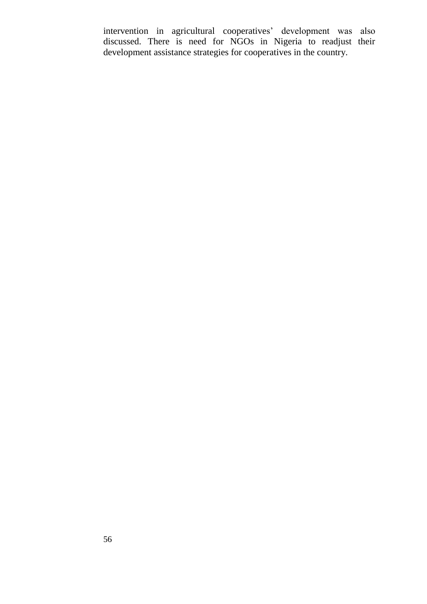intervention in agricultural cooperatives' development was also discussed. There is need for NGOs in Nigeria to readjust their development assistance strategies for cooperatives in the country.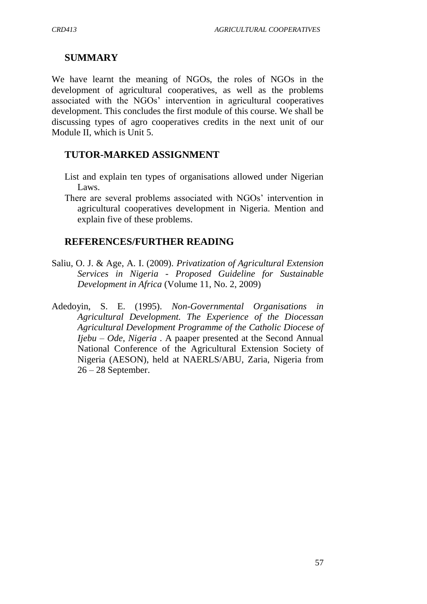## **SUMMARY**

We have learnt the meaning of NGOs, the roles of NGOs in the development of agricultural cooperatives, as well as the problems associated with the NGOs' intervention in agricultural cooperatives development. This concludes the first module of this course. We shall be discussing types of agro cooperatives credits in the next unit of our Module II, which is Unit 5.

## **TUTOR-MARKED ASSIGNMENT**

- List and explain ten types of organisations allowed under Nigerian Laws.
- There are several problems associated with NGOs' intervention in agricultural cooperatives development in Nigeria. Mention and explain five of these problems.

## **REFERENCES/FURTHER READING**

- Saliu, O. J. & Age, A. I. (2009). *Privatization of Agricultural Extension Services in Nigeria - Proposed Guideline for Sustainable Development in Africa* (Volume 11, No. 2, 2009)
- Adedoyin, S. E. (1995). *Non-Governmental Organisations in Agricultural Development. The Experience of the Diocessan Agricultural Development Programme of the Catholic Diocese of Ijebu – Ode, Nigeria* . A paaper presented at the Second Annual National Conference of the Agricultural Extension Society of Nigeria (AESON), held at NAERLS/ABU, Zaria, Nigeria from 26 – 28 September.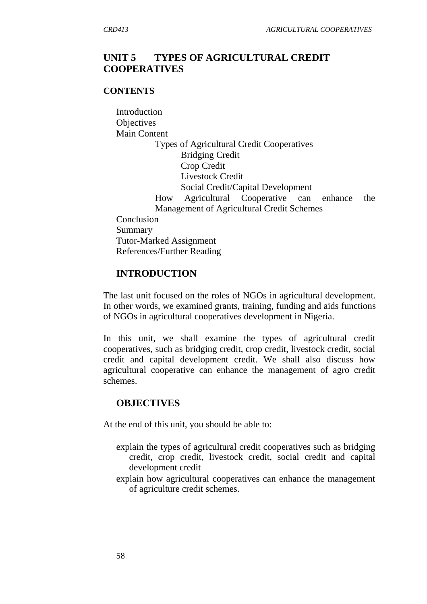## **UNIT 5 TYPES OF AGRICULTURAL CREDIT COOPERATIVES**

#### **CONTENTS**

Introduction **Objectives** Main Content Types of Agricultural Credit Cooperatives Bridging Credit Crop Credit Livestock Credit Social Credit/Capital Development How Agricultural Cooperative can enhance the Management of Agricultural Credit Schemes Conclusion Summary Tutor-Marked Assignment References/Further Reading

### **INTRODUCTION**

The last unit focused on the roles of NGOs in agricultural development. In other words, we examined grants, training, funding and aids functions of NGOs in agricultural cooperatives development in Nigeria.

In this unit, we shall examine the types of agricultural credit cooperatives, such as bridging credit, crop credit, livestock credit, social credit and capital development credit. We shall also discuss how agricultural cooperative can enhance the management of agro credit schemes.

#### **OBJECTIVES**

At the end of this unit, you should be able to:

- explain the types of agricultural credit cooperatives such as bridging credit, crop credit, livestock credit, social credit and capital development credit
- explain how agricultural cooperatives can enhance the management of agriculture credit schemes.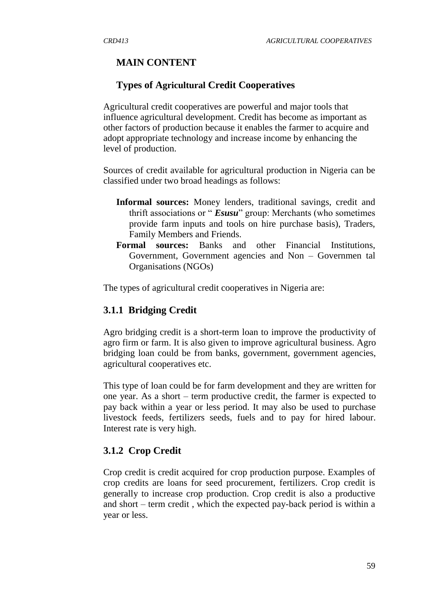# **MAIN CONTENT**

## **Types of Agricultural Credit Cooperatives**

Agricultural credit cooperatives are powerful and major tools that influence agricultural development. Credit has become as important as other factors of production because it enables the farmer to acquire and adopt appropriate technology and increase income by enhancing the level of production.

Sources of credit available for agricultural production in Nigeria can be classified under two broad headings as follows:

- **Informal sources:** Money lenders, traditional savings, credit and thrift associations or " *Esusu*" group: Merchants (who sometimes provide farm inputs and tools on hire purchase basis), Traders, Family Members and Friends.
- **Formal sources:** Banks and other Financial Institutions, Government, Government agencies and Non – Governmen tal Organisations (NGOs)

The types of agricultural credit cooperatives in Nigeria are:

## **3.1.1 Bridging Credit**

Agro bridging credit is a short-term loan to improve the productivity of agro firm or farm. It is also given to improve agricultural business. Agro bridging loan could be from banks, government, government agencies, agricultural cooperatives etc.

This type of loan could be for farm development and they are written for one year. As a short – term productive credit, the farmer is expected to pay back within a year or less period. It may also be used to purchase livestock feeds, fertilizers seeds, fuels and to pay for hired labour. Interest rate is very high.

## **3.1.2 Crop Credit**

Crop credit is credit acquired for crop production purpose. Examples of crop credits are loans for seed procurement, fertilizers. Crop credit is generally to increase crop production. Crop credit is also a productive and short – term credit , which the expected pay-back period is within a year or less.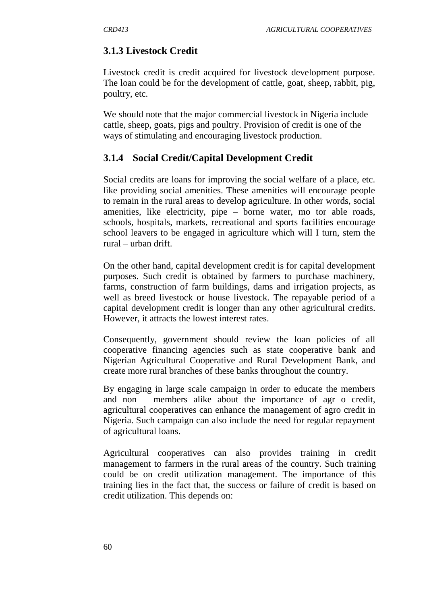## **3.1.3 Livestock Credit**

Livestock credit is credit acquired for livestock development purpose. The loan could be for the development of cattle, goat, sheep, rabbit, pig, poultry, etc.

We should note that the major commercial livestock in Nigeria include cattle, sheep, goats, pigs and poultry. Provision of credit is one of the ways of stimulating and encouraging livestock production.

### **3.1.4 Social Credit/Capital Development Credit**

Social credits are loans for improving the social welfare of a place, etc. like providing social amenities. These amenities will encourage people to remain in the rural areas to develop agriculture. In other words, social amenities, like electricity, pipe – borne water, mo tor able roads, schools, hospitals, markets, recreational and sports facilities encourage school leavers to be engaged in agriculture which will I turn, stem the rural – urban drift.

On the other hand, capital development credit is for capital development purposes. Such credit is obtained by farmers to purchase machinery, farms, construction of farm buildings, dams and irrigation projects, as well as breed livestock or house livestock. The repayable period of a capital development credit is longer than any other agricultural credits. However, it attracts the lowest interest rates.

Consequently, government should review the loan policies of all cooperative financing agencies such as state cooperative bank and Nigerian Agricultural Cooperative and Rural Development Bank, and create more rural branches of these banks throughout the country.

By engaging in large scale campaign in order to educate the members and non – members alike about the importance of agr o credit, agricultural cooperatives can enhance the management of agro credit in Nigeria. Such campaign can also include the need for regular repayment of agricultural loans.

Agricultural cooperatives can also provides training in credit management to farmers in the rural areas of the country. Such training could be on credit utilization management. The importance of this training lies in the fact that, the success or failure of credit is based on credit utilization. This depends on: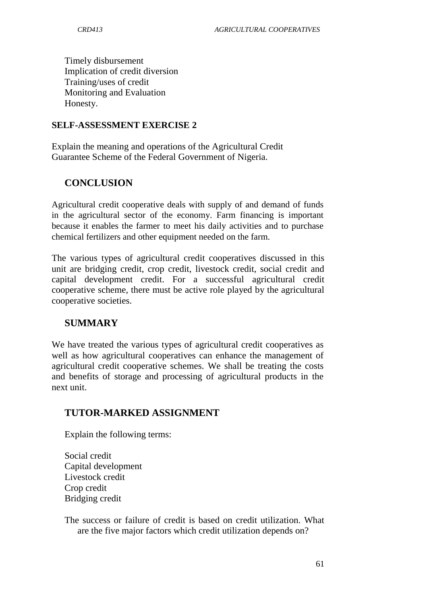Timely disbursement Implication of credit diversion Training/uses of credit Monitoring and Evaluation Honesty.

### **SELF-ASSESSMENT EXERCISE 2**

Explain the meaning and operations of the Agricultural Credit Guarantee Scheme of the Federal Government of Nigeria.

# **CONCLUSION**

Agricultural credit cooperative deals with supply of and demand of funds in the agricultural sector of the economy. Farm financing is important because it enables the farmer to meet his daily activities and to purchase chemical fertilizers and other equipment needed on the farm.

The various types of agricultural credit cooperatives discussed in this unit are bridging credit, crop credit, livestock credit, social credit and capital development credit. For a successful agricultural credit cooperative scheme, there must be active role played by the agricultural cooperative societies.

## **SUMMARY**

We have treated the various types of agricultural credit cooperatives as well as how agricultural cooperatives can enhance the management of agricultural credit cooperative schemes. We shall be treating the costs and benefits of storage and processing of agricultural products in the next unit.

## **TUTOR-MARKED ASSIGNMENT**

Explain the following terms:

Social credit Capital development Livestock credit Crop credit Bridging credit

The success or failure of credit is based on credit utilization. What are the five major factors which credit utilization depends on?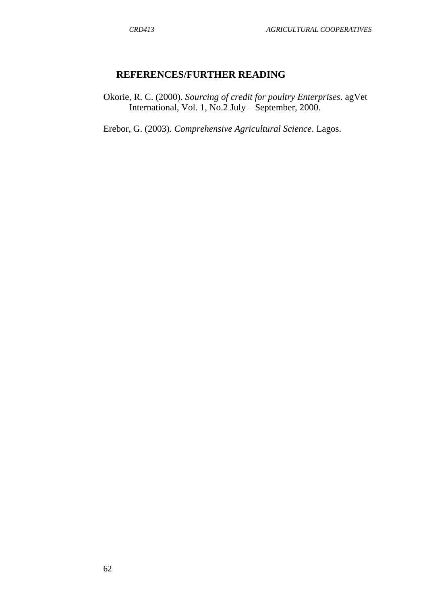## **REFERENCES/FURTHER READING**

Okorie, R. C. (2000). *Sourcing of credit for poultry Enterprises*. agVet International, Vol. 1, No.2 July – September, 2000.

Erebor, G. (2003)*. Comprehensive Agricultural Science*. Lagos.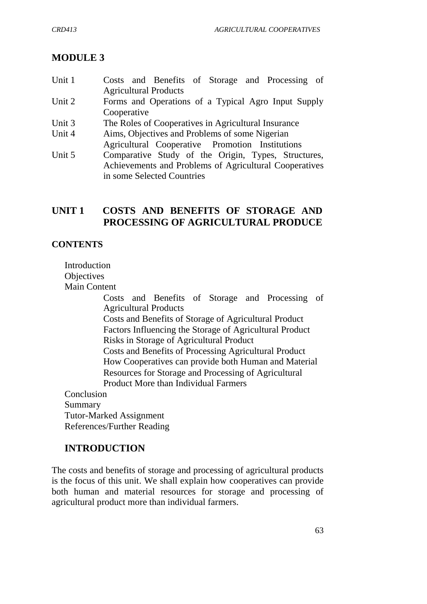# **MODULE 3**

- Unit 1 Costs and Benefits of Storage and Processing of Agricultural Products
- Unit 2 Forms and Operations of a Typical Agro Input Supply Cooperative
- Unit 3 The Roles of Cooperatives in Agricultural Insurance
- Unit 4 Aims, Objectives and Problems of some Nigerian
- Agricultural Cooperative Promotion Institutions
- Unit 5 Comparative Study of the Origin, Types, Structures, Achievements and Problems of Agricultural Cooperatives in some Selected Countries

# **UNIT 1 COSTS AND BENEFITS OF STORAGE AND PROCESSING OF AGRICULTURAL PRODUCE**

## **CONTENTS**

**Introduction Objectives** Main Content

Costs and Benefits of Storage and Processing of Agricultural Products Costs and Benefits of Storage of Agricultural Product Factors Influencing the Storage of Agricultural Product Risks in Storage of Agricultural Product Costs and Benefits of Processing Agricultural Product How Cooperatives can provide both Human and Material Resources for Storage and Processing of Agricultural Product More than Individual Farmers Conclusion

Summary Tutor-Marked Assignment References/Further Reading

# **INTRODUCTION**

The costs and benefits of storage and processing of agricultural products is the focus of this unit. We shall explain how cooperatives can provide both human and material resources for storage and processing of agricultural product more than individual farmers.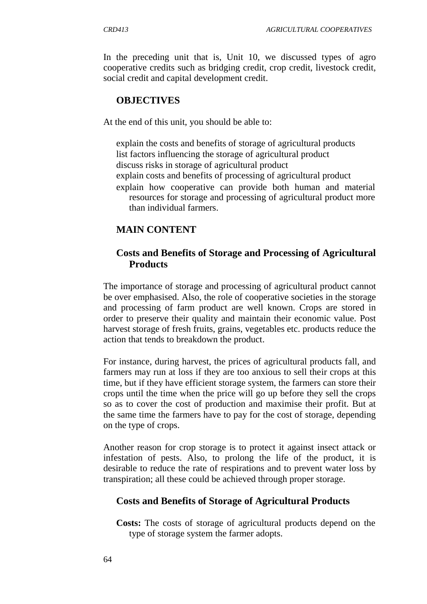In the preceding unit that is, Unit 10, we discussed types of agro cooperative credits such as bridging credit, crop credit, livestock credit, social credit and capital development credit.

### **OBJECTIVES**

At the end of this unit, you should be able to:

explain the costs and benefits of storage of agricultural products list factors influencing the storage of agricultural product discuss risks in storage of agricultural product explain costs and benefits of processing of agricultural product explain how cooperative can provide both human and material resources for storage and processing of agricultural product more than individual farmers.

## **MAIN CONTENT**

## **Costs and Benefits of Storage and Processing of Agricultural Products**

The importance of storage and processing of agricultural product cannot be over emphasised. Also, the role of cooperative societies in the storage and processing of farm product are well known. Crops are stored in order to preserve their quality and maintain their economic value. Post harvest storage of fresh fruits, grains, vegetables etc. products reduce the action that tends to breakdown the product.

For instance, during harvest, the prices of agricultural products fall, and farmers may run at loss if they are too anxious to sell their crops at this time, but if they have efficient storage system, the farmers can store their crops until the time when the price will go up before they sell the crops so as to cover the cost of production and maximise their profit. But at the same time the farmers have to pay for the cost of storage, depending on the type of crops.

Another reason for crop storage is to protect it against insect attack or infestation of pests. Also, to prolong the life of the product, it is desirable to reduce the rate of respirations and to prevent water loss by transpiration; all these could be achieved through proper storage.

### **Costs and Benefits of Storage of Agricultural Products**

**Costs:** The costs of storage of agricultural products depend on the type of storage system the farmer adopts.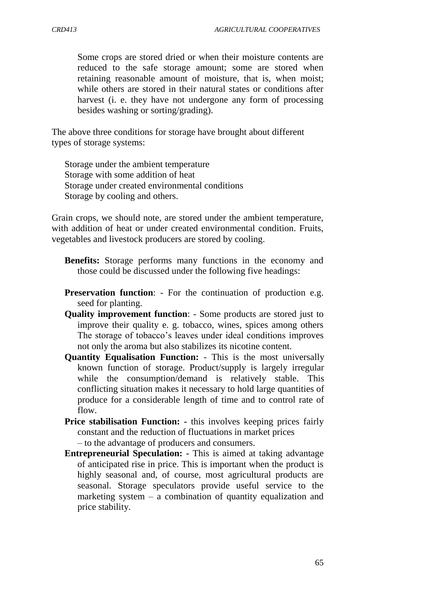Some crops are stored dried or when their moisture contents are reduced to the safe storage amount; some are stored when retaining reasonable amount of moisture, that is, when moist; while others are stored in their natural states or conditions after harvest (i. e. they have not undergone any form of processing besides washing or sorting/grading).

The above three conditions for storage have brought about different types of storage systems:

Storage under the ambient temperature Storage with some addition of heat Storage under created environmental conditions Storage by cooling and others.

Grain crops, we should note, are stored under the ambient temperature, with addition of heat or under created environmental condition. Fruits, vegetables and livestock producers are stored by cooling.

- **Benefits:** Storage performs many functions in the economy and those could be discussed under the following five headings:
- **Preservation function:** For the continuation of production e.g. seed for planting.
- **Quality improvement function**: Some products are stored just to improve their quality e. g. tobacco, wines, spices among others The storage of tobacco's leaves under ideal conditions improves not only the aroma but also stabilizes its nicotine content.
- **Quantity Equalisation Function:**  This is the most universally known function of storage. Product/supply is largely irregular while the consumption/demand is relatively stable. This conflicting situation makes it necessary to hold large quantities of produce for a considerable length of time and to control rate of flow.
- **Price stabilisation Function: -** this involves keeping prices fairly constant and the reduction of fluctuations in market prices

– to the advantage of producers and consumers.

**Entrepreneurial Speculation: -** This is aimed at taking advantage of anticipated rise in price. This is important when the product is highly seasonal and, of course, most agricultural products are seasonal. Storage speculators provide useful service to the marketing system  $-$  a combination of quantity equalization and price stability.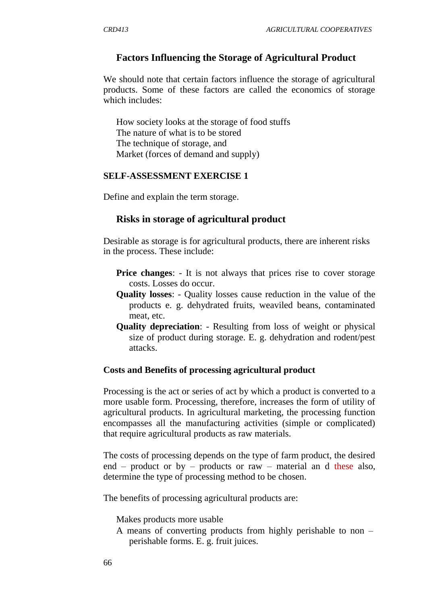### **Factors Influencing the Storage of Agricultural Product**

We should note that certain factors influence the storage of agricultural products. Some of these factors are called the economics of storage which includes:

How society looks at the storage of food stuffs The nature of what is to be stored The technique of storage, and Market (forces of demand and supply)

#### **SELF-ASSESSMENT EXERCISE 1**

Define and explain the term storage.

#### **Risks in storage of agricultural product**

Desirable as storage is for agricultural products, there are inherent risks in the process. These include:

- **Price changes:** It is not always that prices rise to cover storage costs. Losses do occur.
- **Quality losses**: Quality losses cause reduction in the value of the products e. g. dehydrated fruits, weaviled beans, contaminated meat, etc.
- **Quality depreciation**: Resulting from loss of weight or physical size of product during storage. E. g. dehydration and rodent/pest attacks.

#### **Costs and Benefits of processing agricultural product**

Processing is the act or series of act by which a product is converted to a more usable form. Processing, therefore, increases the form of utility of agricultural products. In agricultural marketing, the processing function encompasses all the manufacturing activities (simple or complicated) that require agricultural products as raw materials.

The costs of processing depends on the type of farm product, the desired end – product or by – products or raw – material and these also, determine the type of processing method to be chosen.

The benefits of processing agricultural products are:

Makes products more usable

A means of converting products from highly perishable to non – perishable forms. E. g. fruit juices.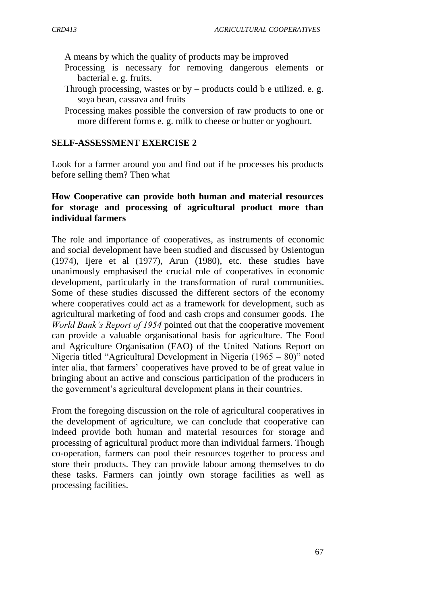A means by which the quality of products may be improved

- Processing is necessary for removing dangerous elements or bacterial e. g. fruits.
- Through processing, wastes or  $by$  products could b e utilized. e. g. soya bean, cassava and fruits
- Processing makes possible the conversion of raw products to one or more different forms e. g. milk to cheese or butter or yoghourt.

#### **SELF-ASSESSMENT EXERCISE 2**

Look for a farmer around you and find out if he processes his products before selling them? Then what

### **How Cooperative can provide both human and material resources for storage and processing of agricultural product more than individual farmers**

The role and importance of cooperatives, as instruments of economic and social development have been studied and discussed by Osientogun (1974), Ijere et al (1977), Arun (1980), etc. these studies have unanimously emphasised the crucial role of cooperatives in economic development, particularly in the transformation of rural communities. Some of these studies discussed the different sectors of the economy where cooperatives could act as a framework for development, such as agricultural marketing of food and cash crops and consumer goods. The *World Bank's Report of 1954* pointed out that the cooperative movement can provide a valuable organisational basis for agriculture. The Food and Agriculture Organisation (FAO) of the United Nations Report on Nigeria titled "Agricultural Development in Nigeria (1965 – 80)" noted inter alia, that farmers' cooperatives have proved to be of great value in bringing about an active and conscious participation of the producers in the government"s agricultural development plans in their countries.

From the foregoing discussion on the role of agricultural cooperatives in the development of agriculture, we can conclude that cooperative can indeed provide both human and material resources for storage and processing of agricultural product more than individual farmers. Though co-operation, farmers can pool their resources together to process and store their products. They can provide labour among themselves to do these tasks. Farmers can jointly own storage facilities as well as processing facilities.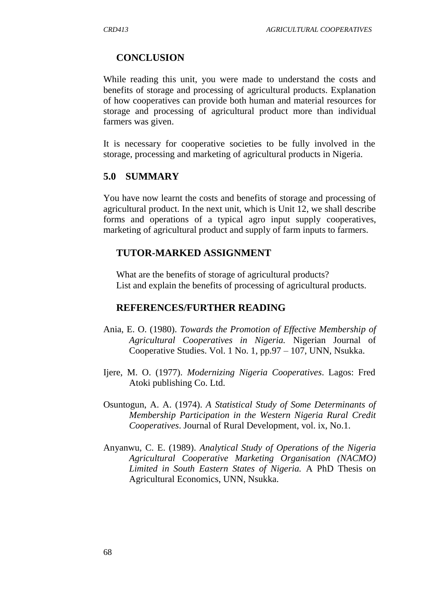### **CONCLUSION**

While reading this unit, you were made to understand the costs and benefits of storage and processing of agricultural products. Explanation of how cooperatives can provide both human and material resources for storage and processing of agricultural product more than individual farmers was given.

It is necessary for cooperative societies to be fully involved in the storage, processing and marketing of agricultural products in Nigeria.

### **5.0 SUMMARY**

You have now learnt the costs and benefits of storage and processing of agricultural product. In the next unit, which is Unit 12, we shall describe forms and operations of a typical agro input supply cooperatives, marketing of agricultural product and supply of farm inputs to farmers.

#### **TUTOR-MARKED ASSIGNMENT**

What are the benefits of storage of agricultural products? List and explain the benefits of processing of agricultural products.

#### **REFERENCES/FURTHER READING**

- Ania, E. O. (1980). *Towards the Promotion of Effective Membership of Agricultural Cooperatives in Nigeria.* Nigerian Journal of Cooperative Studies. Vol. 1 No. 1, pp.97 – 107, UNN, Nsukka.
- Ijere, M. O. (1977). *Modernizing Nigeria Cooperatives*. Lagos: Fred Atoki publishing Co. Ltd.
- Osuntogun, A. A. (1974). *A Statistical Study of Some Determinants of Membership Participation in the Western Nigeria Rural Credit Cooperatives*. Journal of Rural Development, vol. ix, No.1.
- Anyanwu, C. E. (1989). *Analytical Study of Operations of the Nigeria Agricultural Cooperative Marketing Organisation (NACMO) Limited in South Eastern States of Nigeria.* A PhD Thesis on Agricultural Economics, UNN, Nsukka.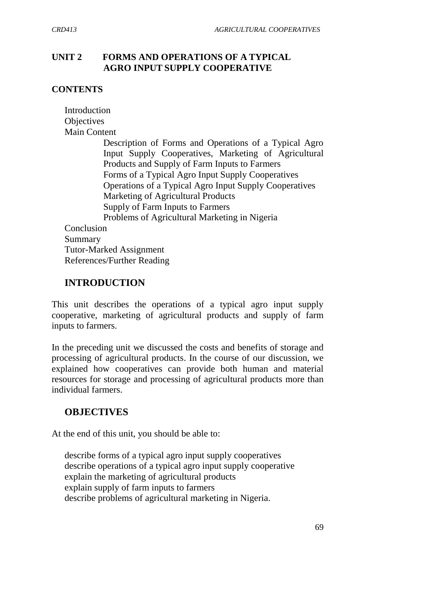## **UNIT 2 FORMS AND OPERATIONS OF A TYPICAL AGRO INPUT SUPPLY COOPERATIVE**

## **CONTENTS**

| Introduction                                           |
|--------------------------------------------------------|
| Objectives                                             |
| <b>Main Content</b>                                    |
| Description of Forms and Operations of a Typical Agro  |
| Input Supply Cooperatives, Marketing of Agricultural   |
| Products and Supply of Farm Inputs to Farmers          |
| Forms of a Typical Agro Input Supply Cooperatives      |
| Operations of a Typical Agro Input Supply Cooperatives |
| Marketing of Agricultural Products                     |
| Supply of Farm Inputs to Farmers                       |
| Problems of Agricultural Marketing in Nigeria          |
| Conclusion                                             |
| Summary                                                |
| <b>Tutor-Marked Assignment</b>                         |
| References/Further Reading                             |

## **INTRODUCTION**

This unit describes the operations of a typical agro input supply cooperative, marketing of agricultural products and supply of farm inputs to farmers.

In the preceding unit we discussed the costs and benefits of storage and processing of agricultural products. In the course of our discussion, we explained how cooperatives can provide both human and material resources for storage and processing of agricultural products more than individual farmers.

# **OBJECTIVES**

At the end of this unit, you should be able to:

describe forms of a typical agro input supply cooperatives describe operations of a typical agro input supply cooperative explain the marketing of agricultural products explain supply of farm inputs to farmers describe problems of agricultural marketing in Nigeria.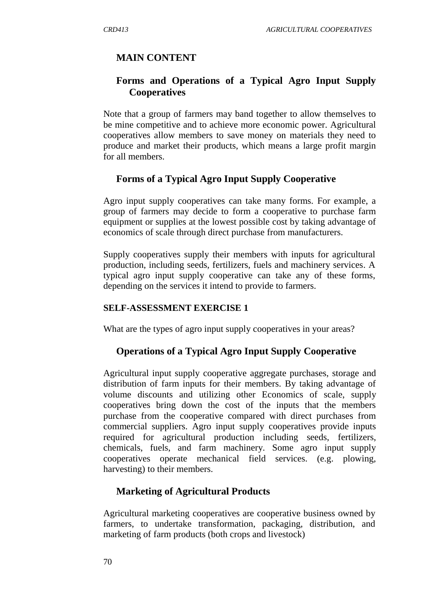# **MAIN CONTENT**

# **Forms and Operations of a Typical Agro Input Supply Cooperatives**

Note that a group of farmers may band together to allow themselves to be mine competitive and to achieve more economic power. Agricultural cooperatives allow members to save money on materials they need to produce and market their products, which means a large profit margin for all members.

## **Forms of a Typical Agro Input Supply Cooperative**

Agro input supply cooperatives can take many forms. For example, a group of farmers may decide to form a cooperative to purchase farm equipment or supplies at the lowest possible cost by taking advantage of economics of scale through direct purchase from manufacturers.

Supply cooperatives supply their members with inputs for agricultural production, including seeds, fertilizers, fuels and machinery services. A typical agro input supply cooperative can take any of these forms, depending on the services it intend to provide to farmers.

#### **SELF-ASSESSMENT EXERCISE 1**

What are the types of agro input supply cooperatives in your areas?

## **Operations of a Typical Agro Input Supply Cooperative**

Agricultural input supply cooperative aggregate purchases, storage and distribution of farm inputs for their members. By taking advantage of volume discounts and utilizing other Economics of scale, supply cooperatives bring down the cost of the inputs that the members purchase from the cooperative compared with direct purchases from commercial suppliers. Agro input supply cooperatives provide inputs required for agricultural production including seeds, fertilizers, chemicals, fuels, and farm machinery. Some agro input supply cooperatives operate mechanical field services. (e.g. plowing, harvesting) to their members.

## **Marketing of Agricultural Products**

Agricultural marketing cooperatives are cooperative business owned by farmers, to undertake transformation, packaging, distribution, and marketing of farm products (both crops and livestock)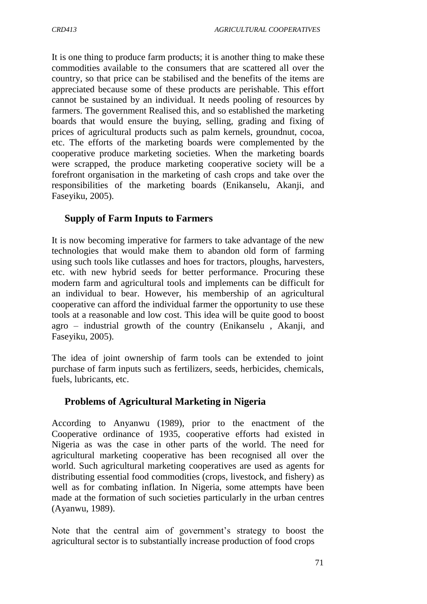It is one thing to produce farm products; it is another thing to make these commodities available to the consumers that are scattered all over the country, so that price can be stabilised and the benefits of the items are appreciated because some of these products are perishable. This effort cannot be sustained by an individual. It needs pooling of resources by farmers. The government Realised this, and so established the marketing boards that would ensure the buying, selling, grading and fixing of prices of agricultural products such as palm kernels, groundnut, cocoa, etc. The efforts of the marketing boards were complemented by the cooperative produce marketing societies. When the marketing boards were scrapped, the produce marketing cooperative society will be a forefront organisation in the marketing of cash crops and take over the responsibilities of the marketing boards (Enikanselu, Akanji, and Faseyiku, 2005).

# **Supply of Farm Inputs to Farmers**

It is now becoming imperative for farmers to take advantage of the new technologies that would make them to abandon old form of farming using such tools like cutlasses and hoes for tractors, ploughs, harvesters, etc. with new hybrid seeds for better performance. Procuring these modern farm and agricultural tools and implements can be difficult for an individual to bear. However, his membership of an agricultural cooperative can afford the individual farmer the opportunity to use these tools at a reasonable and low cost. This idea will be quite good to boost agro – industrial growth of the country (Enikanselu , Akanji, and Faseyiku, 2005).

The idea of joint ownership of farm tools can be extended to joint purchase of farm inputs such as fertilizers, seeds, herbicides, chemicals, fuels, lubricants, etc.

# **Problems of Agricultural Marketing in Nigeria**

According to Anyanwu (1989), prior to the enactment of the Cooperative ordinance of 1935, cooperative efforts had existed in Nigeria as was the case in other parts of the world. The need for agricultural marketing cooperative has been recognised all over the world. Such agricultural marketing cooperatives are used as agents for distributing essential food commodities (crops, livestock, and fishery) as well as for combating inflation. In Nigeria, some attempts have been made at the formation of such societies particularly in the urban centres (Ayanwu, 1989).

Note that the central aim of government's strategy to boost the agricultural sector is to substantially increase production of food crops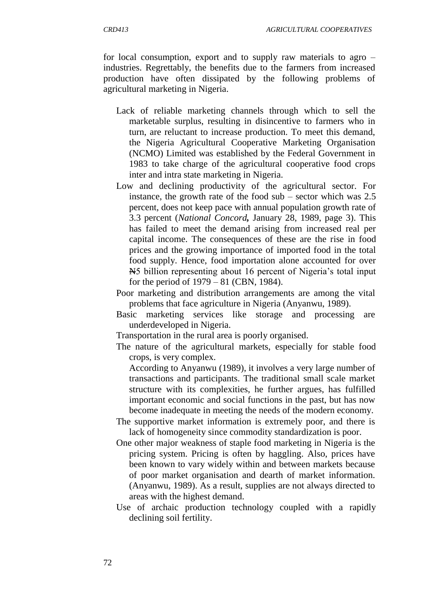for local consumption, export and to supply raw materials to agro – industries. Regrettably, the benefits due to the farmers from increased production have often dissipated by the following problems of agricultural marketing in Nigeria.

- Lack of reliable marketing channels through which to sell the marketable surplus, resulting in disincentive to farmers who in turn, are reluctant to increase production. To meet this demand, the Nigeria Agricultural Cooperative Marketing Organisation (NCMO) Limited was established by the Federal Government in 1983 to take charge of the agricultural cooperative food crops inter and intra state marketing in Nigeria.
- Low and declining productivity of the agricultural sector. For instance, the growth rate of the food sub – sector which was 2.5 percent, does not keep pace with annual population growth rate of 3.3 percent (*National Concord,* January 28, 1989, page 3). This has failed to meet the demand arising from increased real per capital income. The consequences of these are the rise in food prices and the growing importance of imported food in the total food supply. Hence, food importation alone accounted for over N5 billion representing about 16 percent of Nigeria"s total input for the period of 1979 – 81 (CBN, 1984).
- Poor marketing and distribution arrangements are among the vital problems that face agriculture in Nigeria (Anyanwu, 1989).
- Basic marketing services like storage and processing are underdeveloped in Nigeria.
- Transportation in the rural area is poorly organised.
- The nature of the agricultural markets, especially for stable food crops, is very complex.
	- According to Anyanwu (1989), it involves a very large number of transactions and participants. The traditional small scale market structure with its complexities, he further argues, has fulfilled important economic and social functions in the past, but has now become inadequate in meeting the needs of the modern economy.
- The supportive market information is extremely poor, and there is lack of homogeneity since commodity standardization is poor.
- One other major weakness of staple food marketing in Nigeria is the pricing system. Pricing is often by haggling. Also, prices have been known to vary widely within and between markets because of poor market organisation and dearth of market information. (Anyanwu, 1989). As a result, supplies are not always directed to areas with the highest demand.
- Use of archaic production technology coupled with a rapidly declining soil fertility.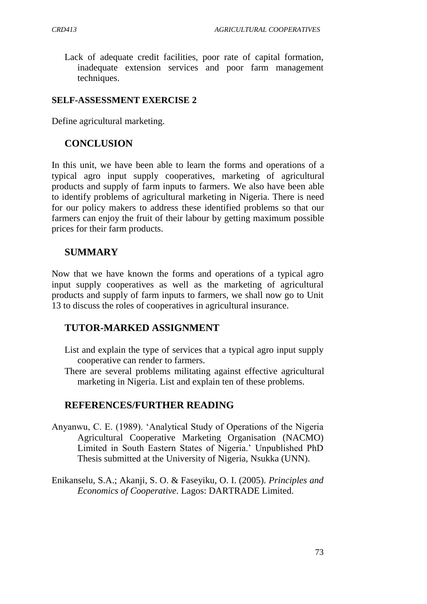Lack of adequate credit facilities, poor rate of capital formation, inadequate extension services and poor farm management techniques.

### **SELF-ASSESSMENT EXERCISE 2**

Define agricultural marketing.

## **CONCLUSION**

In this unit, we have been able to learn the forms and operations of a typical agro input supply cooperatives, marketing of agricultural products and supply of farm inputs to farmers. We also have been able to identify problems of agricultural marketing in Nigeria. There is need for our policy makers to address these identified problems so that our farmers can enjoy the fruit of their labour by getting maximum possible prices for their farm products.

# **SUMMARY**

Now that we have known the forms and operations of a typical agro input supply cooperatives as well as the marketing of agricultural products and supply of farm inputs to farmers, we shall now go to Unit 13 to discuss the roles of cooperatives in agricultural insurance.

## **TUTOR-MARKED ASSIGNMENT**

- List and explain the type of services that a typical agro input supply cooperative can render to farmers.
- There are several problems militating against effective agricultural marketing in Nigeria. List and explain ten of these problems.

# **REFERENCES/FURTHER READING**

- Anyanwu, C. E. (1989). "Analytical Study of Operations of the Nigeria Agricultural Cooperative Marketing Organisation (NACMO) Limited in South Eastern States of Nigeria." Unpublished PhD Thesis submitted at the University of Nigeria, Nsukka (UNN).
- Enikanselu, S.A.; Akanji, S. O. & Faseyiku, O. I. (2005). *Principles and Economics of Cooperative.* Lagos: DARTRADE Limited.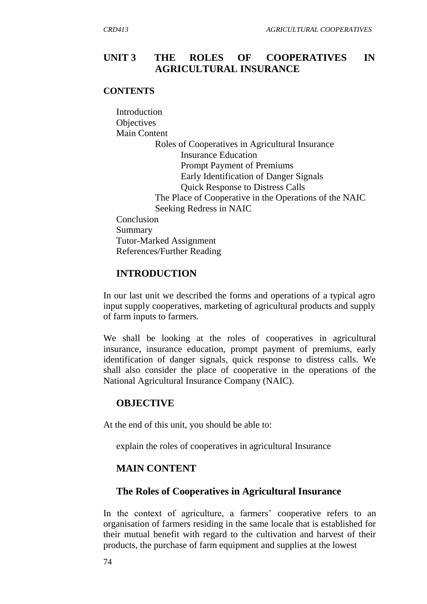## **UNIT 3 THE ROLES OF COOPERATIVES IN AGRICULTURAL INSURANCE**

#### **CONTENTS**

Introduction **Objectives** Main Content Roles of Cooperatives in Agricultural Insurance Insurance Education Prompt Payment of Premiums Early Identification of Danger Signals Quick Response to Distress Calls The Place of Cooperative in the Operations of the NAIC Seeking Redress in NAIC Conclusion Summary Tutor-Marked Assignment References/Further Reading

#### **INTRODUCTION**

In our last unit we described the forms and operations of a typical agro input supply cooperatives, marketing of agricultural products and supply of farm inputs to farmers.

We shall be looking at the roles of cooperatives in agricultural insurance, insurance education, prompt payment of premiums, early identification of danger signals, quick response to distress calls. We shall also consider the place of cooperative in the operations of the National Agricultural Insurance Company (NAIC).

#### **OBJECTIVE**

At the end of this unit, you should be able to:

explain the roles of cooperatives in agricultural Insurance

#### **MAIN CONTENT**

#### **The Roles of Cooperatives in Agricultural Insurance**

In the context of agriculture, a farmers' cooperative refers to an organisation of farmers residing in the same locale that is established for their mutual benefit with regard to the cultivation and harvest of their products, the purchase of farm equipment and supplies at the lowest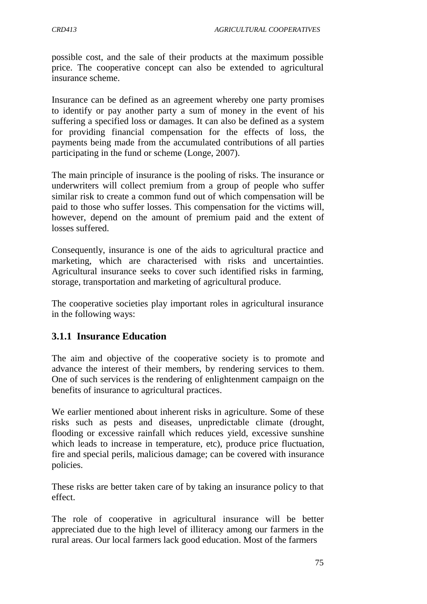possible cost, and the sale of their products at the maximum possible price. The cooperative concept can also be extended to agricultural insurance scheme.

Insurance can be defined as an agreement whereby one party promises to identify or pay another party a sum of money in the event of his suffering a specified loss or damages. It can also be defined as a system for providing financial compensation for the effects of loss, the payments being made from the accumulated contributions of all parties participating in the fund or scheme (Longe, 2007).

The main principle of insurance is the pooling of risks. The insurance or underwriters will collect premium from a group of people who suffer similar risk to create a common fund out of which compensation will be paid to those who suffer losses. This compensation for the victims will, however, depend on the amount of premium paid and the extent of losses suffered.

Consequently, insurance is one of the aids to agricultural practice and marketing, which are characterised with risks and uncertainties. Agricultural insurance seeks to cover such identified risks in farming, storage, transportation and marketing of agricultural produce.

The cooperative societies play important roles in agricultural insurance in the following ways:

# **3.1.1 Insurance Education**

The aim and objective of the cooperative society is to promote and advance the interest of their members, by rendering services to them. One of such services is the rendering of enlightenment campaign on the benefits of insurance to agricultural practices.

We earlier mentioned about inherent risks in agriculture. Some of these risks such as pests and diseases, unpredictable climate (drought, flooding or excessive rainfall which reduces yield, excessive sunshine which leads to increase in temperature, etc), produce price fluctuation, fire and special perils, malicious damage; can be covered with insurance policies.

These risks are better taken care of by taking an insurance policy to that effect.

The role of cooperative in agricultural insurance will be better appreciated due to the high level of illiteracy among our farmers in the rural areas. Our local farmers lack good education. Most of the farmers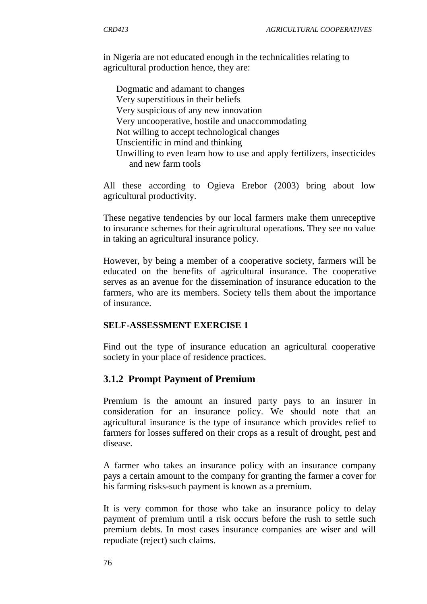in Nigeria are not educated enough in the technicalities relating to agricultural production hence, they are:

Dogmatic and adamant to changes Very superstitious in their beliefs Very suspicious of any new innovation Very uncooperative, hostile and unaccommodating Not willing to accept technological changes Unscientific in mind and thinking Unwilling to even learn how to use and apply fertilizers, insecticides and new farm tools

All these according to Ogieva Erebor (2003) bring about low agricultural productivity.

These negative tendencies by our local farmers make them unreceptive to insurance schemes for their agricultural operations. They see no value in taking an agricultural insurance policy.

However, by being a member of a cooperative society, farmers will be educated on the benefits of agricultural insurance. The cooperative serves as an avenue for the dissemination of insurance education to the farmers, who are its members. Society tells them about the importance of insurance.

### **SELF-ASSESSMENT EXERCISE 1**

Find out the type of insurance education an agricultural cooperative society in your place of residence practices.

#### **3.1.2 Prompt Payment of Premium**

Premium is the amount an insured party pays to an insurer in consideration for an insurance policy. We should note that an agricultural insurance is the type of insurance which provides relief to farmers for losses suffered on their crops as a result of drought, pest and disease.

A farmer who takes an insurance policy with an insurance company pays a certain amount to the company for granting the farmer a cover for his farming risks-such payment is known as a premium.

It is very common for those who take an insurance policy to delay payment of premium until a risk occurs before the rush to settle such premium debts. In most cases insurance companies are wiser and will repudiate (reject) such claims.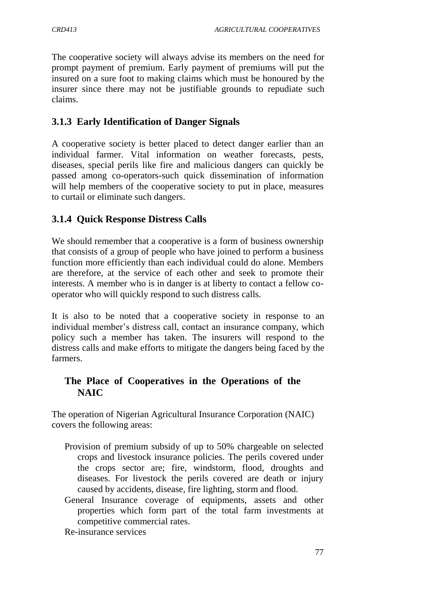The cooperative society will always advise its members on the need for prompt payment of premium. Early payment of premiums will put the insured on a sure foot to making claims which must be honoured by the insurer since there may not be justifiable grounds to repudiate such claims.

# **3.1.3 Early Identification of Danger Signals**

A cooperative society is better placed to detect danger earlier than an individual farmer. Vital information on weather forecasts, pests, diseases, special perils like fire and malicious dangers can quickly be passed among co-operators-such quick dissemination of information will help members of the cooperative society to put in place, measures to curtail or eliminate such dangers.

# **3.1.4 Quick Response Distress Calls**

We should remember that a cooperative is a form of business ownership that consists of a group of people who have joined to perform a business function more efficiently than each individual could do alone. Members are therefore, at the service of each other and seek to promote their interests. A member who is in danger is at liberty to contact a fellow cooperator who will quickly respond to such distress calls.

It is also to be noted that a cooperative society in response to an individual member's distress call, contact an insurance company, which policy such a member has taken. The insurers will respond to the distress calls and make efforts to mitigate the dangers being faced by the farmers.

# **The Place of Cooperatives in the Operations of the NAIC**

The operation of Nigerian Agricultural Insurance Corporation (NAIC) covers the following areas:

- Provision of premium subsidy of up to 50% chargeable on selected crops and livestock insurance policies. The perils covered under the crops sector are; fire, windstorm, flood, droughts and diseases. For livestock the perils covered are death or injury caused by accidents, disease, fire lighting, storm and flood.
- General Insurance coverage of equipments, assets and other properties which form part of the total farm investments at competitive commercial rates.

Re-insurance services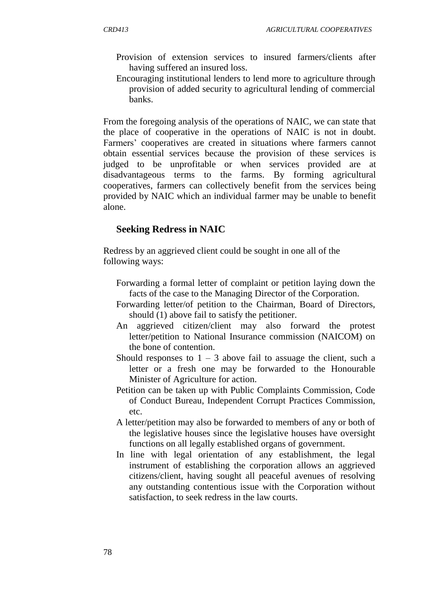- Provision of extension services to insured farmers/clients after having suffered an insured loss.
- Encouraging institutional lenders to lend more to agriculture through provision of added security to agricultural lending of commercial banks.

From the foregoing analysis of the operations of NAIC, we can state that the place of cooperative in the operations of NAIC is not in doubt. Farmers' cooperatives are created in situations where farmers cannot obtain essential services because the provision of these services is judged to be unprofitable or when services provided are at disadvantageous terms to the farms. By forming agricultural cooperatives, farmers can collectively benefit from the services being provided by NAIC which an individual farmer may be unable to benefit alone.

#### **Seeking Redress in NAIC**

Redress by an aggrieved client could be sought in one all of the following ways:

- Forwarding a formal letter of complaint or petition laying down the facts of the case to the Managing Director of the Corporation.
- Forwarding letter/of petition to the Chairman, Board of Directors, should (1) above fail to satisfy the petitioner.
- An aggrieved citizen/client may also forward the protest letter/petition to National Insurance commission (NAICOM) on the bone of contention.
- Should responses to  $1 3$  above fail to assuage the client, such a letter or a fresh one may be forwarded to the Honourable Minister of Agriculture for action.
- Petition can be taken up with Public Complaints Commission, Code of Conduct Bureau, Independent Corrupt Practices Commission, etc.
- A letter/petition may also be forwarded to members of any or both of the legislative houses since the legislative houses have oversight functions on all legally established organs of government.
- In line with legal orientation of any establishment, the legal instrument of establishing the corporation allows an aggrieved citizens/client, having sought all peaceful avenues of resolving any outstanding contentious issue with the Corporation without satisfaction, to seek redress in the law courts.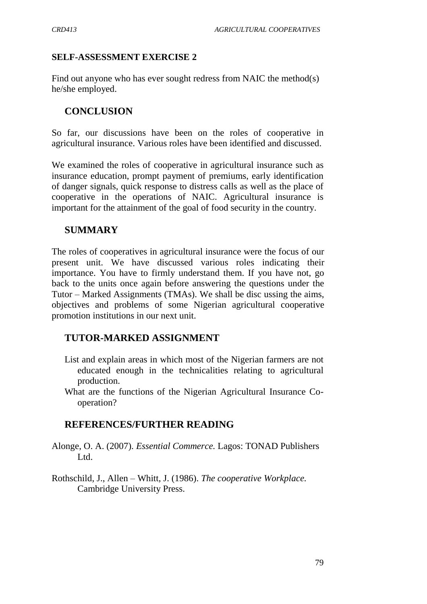### **SELF-ASSESSMENT EXERCISE 2**

Find out anyone who has ever sought redress from NAIC the method(s) he/she employed.

## **CONCLUSION**

So far, our discussions have been on the roles of cooperative in agricultural insurance. Various roles have been identified and discussed.

We examined the roles of cooperative in agricultural insurance such as insurance education, prompt payment of premiums, early identification of danger signals, quick response to distress calls as well as the place of cooperative in the operations of NAIC. Agricultural insurance is important for the attainment of the goal of food security in the country.

## **SUMMARY**

The roles of cooperatives in agricultural insurance were the focus of our present unit. We have discussed various roles indicating their importance. You have to firmly understand them. If you have not, go back to the units once again before answering the questions under the Tutor – Marked Assignments (TMAs). We shall be disc ussing the aims, objectives and problems of some Nigerian agricultural cooperative promotion institutions in our next unit.

## **TUTOR-MARKED ASSIGNMENT**

- List and explain areas in which most of the Nigerian farmers are not educated enough in the technicalities relating to agricultural production.
- What are the functions of the Nigerian Agricultural Insurance Cooperation?

## **REFERENCES/FURTHER READING**

- Alonge, O. A. (2007). *Essential Commerce.* Lagos: TONAD Publishers Ltd.
- Rothschild, J., Allen Whitt, J. (1986). *The cooperative Workplace.* Cambridge University Press.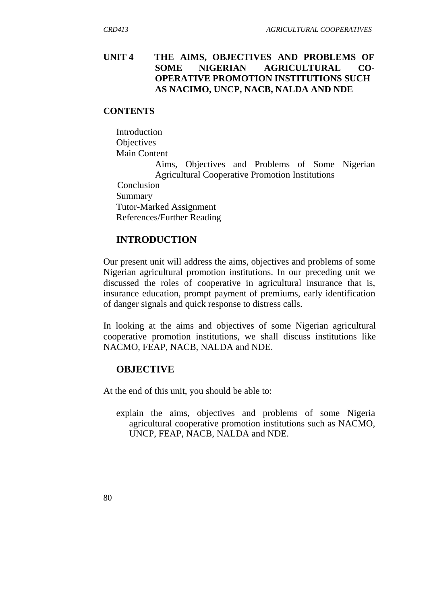### **UNIT 4 THE AIMS, OBJECTIVES AND PROBLEMS OF SOME NIGERIAN AGRICULTURAL CO-OPERATIVE PROMOTION INSTITUTIONS SUCH AS NACIMO, UNCP, NACB, NALDA AND NDE**

#### **CONTENTS**

Introduction **Objectives** Main Content

> Aims, Objectives and Problems of Some Nigerian Agricultural Cooperative Promotion Institutions

 Conclusion Summary Tutor-Marked Assignment References/Further Reading

#### **INTRODUCTION**

Our present unit will address the aims, objectives and problems of some Nigerian agricultural promotion institutions. In our preceding unit we discussed the roles of cooperative in agricultural insurance that is, insurance education, prompt payment of premiums, early identification of danger signals and quick response to distress calls.

In looking at the aims and objectives of some Nigerian agricultural cooperative promotion institutions, we shall discuss institutions like NACMO, FEAP, NACB, NALDA and NDE.

#### **OBJECTIVE**

At the end of this unit, you should be able to:

explain the aims, objectives and problems of some Nigeria agricultural cooperative promotion institutions such as NACMO, UNCP, FEAP, NACB, NALDA and NDE.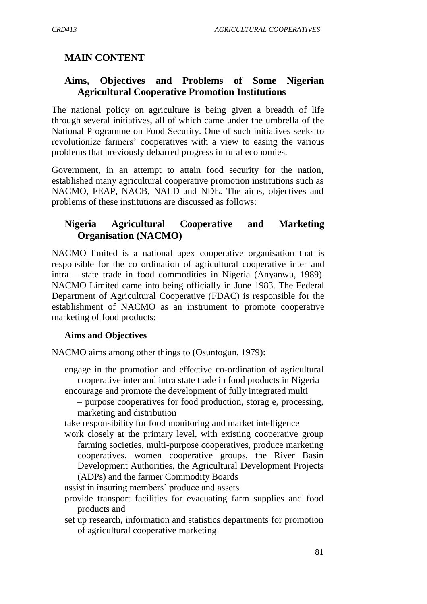# **MAIN CONTENT**

## **Aims, Objectives and Problems of Some Nigerian Agricultural Cooperative Promotion Institutions**

The national policy on agriculture is being given a breadth of life through several initiatives, all of which came under the umbrella of the National Programme on Food Security. One of such initiatives seeks to revolutionize farmers' cooperatives with a view to easing the various problems that previously debarred progress in rural economies.

Government, in an attempt to attain food security for the nation, established many agricultural cooperative promotion institutions such as NACMO, FEAP, NACB, NALD and NDE. The aims, objectives and problems of these institutions are discussed as follows:

## **Nigeria Agricultural Cooperative and Marketing Organisation (NACMO)**

NACMO limited is a national apex cooperative organisation that is responsible for the co ordination of agricultural cooperative inter and intra – state trade in food commodities in Nigeria (Anyanwu, 1989). NACMO Limited came into being officially in June 1983. The Federal Department of Agricultural Cooperative (FDAC) is responsible for the establishment of NACMO as an instrument to promote cooperative marketing of food products:

#### **Aims and Objectives**

NACMO aims among other things to (Osuntogun, 1979):

engage in the promotion and effective co-ordination of agricultural cooperative inter and intra state trade in food products in Nigeria encourage and promote the development of fully integrated multi

– purpose cooperatives for food production, storag e, processing, marketing and distribution

take responsibility for food monitoring and market intelligence

work closely at the primary level, with existing cooperative group farming societies, multi-purpose cooperatives, produce marketing cooperatives, women cooperative groups, the River Basin Development Authorities, the Agricultural Development Projects (ADPs) and the farmer Commodity Boards

assist in insuring members' produce and assets

- provide transport facilities for evacuating farm supplies and food products and
- set up research, information and statistics departments for promotion of agricultural cooperative marketing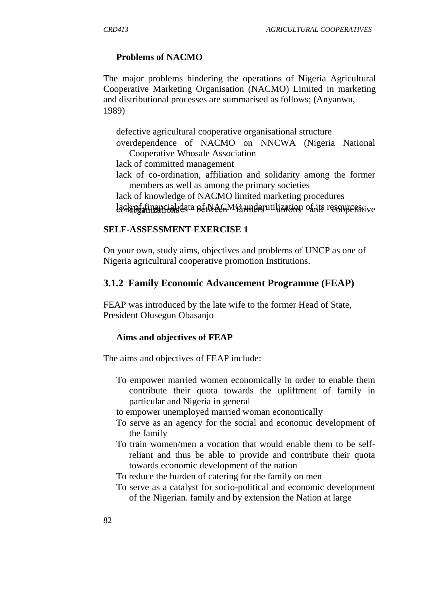#### **Problems of NACMO**

The major problems hindering the operations of Nigeria Agricultural Cooperative Marketing Organisation (NACMO) Limited in marketing and distributional processes are summarised as follows; (Anyanwu, 1989)

defective agricultural cooperative organisational structure

overdependence of NACMO on NNCWA (Nigeria National Cooperative Whosale Association

lack of committed management

- lack of co-ordination, affiliation and solidarity among the former members as well as among the primary societies
- lack of knowledge of NACMO limited marketing procedures

lack of financial data of tween MO underutilization of its resources tive

#### **SELF-ASSESSMENT EXERCISE 1**

On your own, study aims, objectives and problems of UNCP as one of Nigeria agricultural cooperative promotion Institutions.

#### **3.1.2 Family Economic Advancement Programme (FEAP)**

FEAP was introduced by the late wife to the former Head of State, President Olusegun Obasanjo

#### **Aims and objectives of FEAP**

The aims and objectives of FEAP include:

- To empower married women economically in order to enable them contribute their quota towards the upliftment of family in particular and Nigeria in general
- to empower unemployed married woman economically
- To serve as an agency for the social and economic development of the family
- To train women/men a vocation that would enable them to be selfreliant and thus be able to provide and contribute their quota towards economic development of the nation
- To reduce the burden of catering for the family on men
- To serve as a catalyst for socio-political and economic development of the Nigerian. family and by extension the Nation at large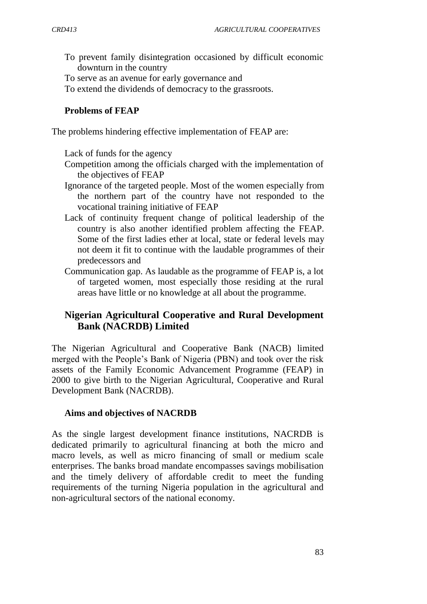- To prevent family disintegration occasioned by difficult economic downturn in the country
- To serve as an avenue for early governance and
- To extend the dividends of democracy to the grassroots.

## **Problems of FEAP**

The problems hindering effective implementation of FEAP are:

Lack of funds for the agency

- Competition among the officials charged with the implementation of the objectives of FEAP
- Ignorance of the targeted people. Most of the women especially from the northern part of the country have not responded to the vocational training initiative of FEAP
- Lack of continuity frequent change of political leadership of the country is also another identified problem affecting the FEAP. Some of the first ladies ether at local, state or federal levels may not deem it fit to continue with the laudable programmes of their predecessors and
- Communication gap. As laudable as the programme of FEAP is, a lot of targeted women, most especially those residing at the rural areas have little or no knowledge at all about the programme.

# **Nigerian Agricultural Cooperative and Rural Development Bank (NACRDB) Limited**

The Nigerian Agricultural and Cooperative Bank (NACB) limited merged with the People"s Bank of Nigeria (PBN) and took over the risk assets of the Family Economic Advancement Programme (FEAP) in 2000 to give birth to the Nigerian Agricultural, Cooperative and Rural Development Bank (NACRDB).

## **Aims and objectives of NACRDB**

As the single largest development finance institutions, NACRDB is dedicated primarily to agricultural financing at both the micro and macro levels, as well as micro financing of small or medium scale enterprises. The banks broad mandate encompasses savings mobilisation and the timely delivery of affordable credit to meet the funding requirements of the turning Nigeria population in the agricultural and non-agricultural sectors of the national economy.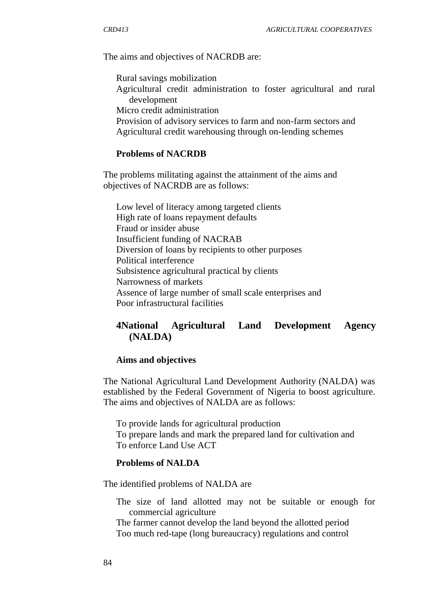The aims and objectives of NACRDB are:

Rural savings mobilization Agricultural credit administration to foster agricultural and rural development Micro credit administration

Provision of advisory services to farm and non-farm sectors and Agricultural credit warehousing through on-lending schemes

#### **Problems of NACRDB**

The problems militating against the attainment of the aims and objectives of NACRDB are as follows:

Low level of literacy among targeted clients High rate of loans repayment defaults Fraud or insider abuse Insufficient funding of NACRAB Diversion of loans by recipients to other purposes Political interference Subsistence agricultural practical by clients Narrowness of markets Assence of large number of small scale enterprises and Poor infrastructural facilities

# **4National Agricultural Land Development Agency (NALDA)**

#### **Aims and objectives**

The National Agricultural Land Development Authority (NALDA) was established by the Federal Government of Nigeria to boost agriculture. The aims and objectives of NALDA are as follows:

To provide lands for agricultural production To prepare lands and mark the prepared land for cultivation and To enforce Land Use ACT

#### **Problems of NALDA**

The identified problems of NALDA are

The size of land allotted may not be suitable or enough for commercial agriculture

The farmer cannot develop the land beyond the allotted period Too much red-tape (long bureaucracy) regulations and control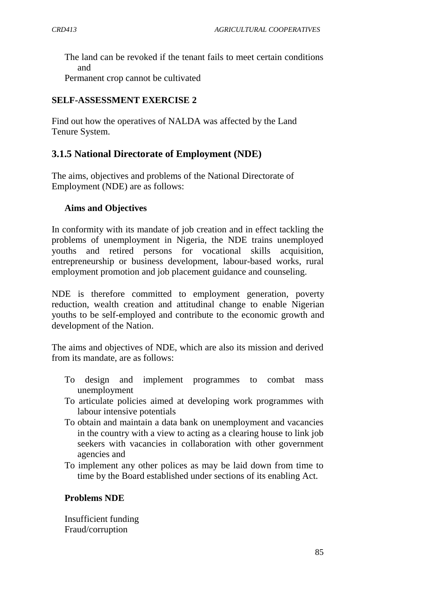The land can be revoked if the tenant fails to meet certain conditions and

Permanent crop cannot be cultivated

## **SELF-ASSESSMENT EXERCISE 2**

Find out how the operatives of NALDA was affected by the Land Tenure System.

# **3.1.5 National Directorate of Employment (NDE)**

The aims, objectives and problems of the National Directorate of Employment (NDE) are as follows:

## **Aims and Objectives**

In conformity with its mandate of job creation and in effect tackling the problems of unemployment in Nigeria, the NDE trains unemployed youths and retired persons for vocational skills acquisition, entrepreneurship or business development, labour-based works, rural employment promotion and job placement guidance and counseling.

NDE is therefore committed to employment generation, poverty reduction, wealth creation and attitudinal change to enable Nigerian youths to be self-employed and contribute to the economic growth and development of the Nation.

The aims and objectives of NDE, which are also its mission and derived from its mandate, are as follows:

- To design and implement programmes to combat mass unemployment
- To articulate policies aimed at developing work programmes with labour intensive potentials
- To obtain and maintain a data bank on unemployment and vacancies in the country with a view to acting as a clearing house to link job seekers with vacancies in collaboration with other government agencies and
- To implement any other polices as may be laid down from time to time by the Board established under sections of its enabling Act.

## **Problems NDE**

Insufficient funding Fraud/corruption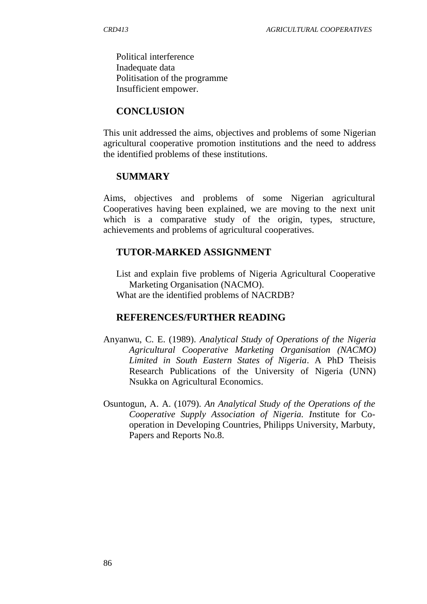Political interference Inadequate data Politisation of the programme Insufficient empower.

#### **CONCLUSION**

This unit addressed the aims, objectives and problems of some Nigerian agricultural cooperative promotion institutions and the need to address the identified problems of these institutions.

#### **SUMMARY**

Aims, objectives and problems of some Nigerian agricultural Cooperatives having been explained, we are moving to the next unit which is a comparative study of the origin, types, structure, achievements and problems of agricultural cooperatives.

### **TUTOR-MARKED ASSIGNMENT**

List and explain five problems of Nigeria Agricultural Cooperative Marketing Organisation (NACMO). What are the identified problems of NACRDB?

#### **REFERENCES/FURTHER READING**

- Anyanwu, C. E. (1989). *Analytical Study of Operations of the Nigeria Agricultural Cooperative Marketing Organisation (NACMO) Limited in South Eastern States of Nigeria*. A PhD Theisis Research Publications of the University of Nigeria (UNN) Nsukka on Agricultural Economics.
- Osuntogun, A. A. (1079). *An Analytical Study of the Operations of the Cooperative Supply Association of Nigeria. I*nstitute for Cooperation in Developing Countries, Philipps University, Marbuty, Papers and Reports No.8.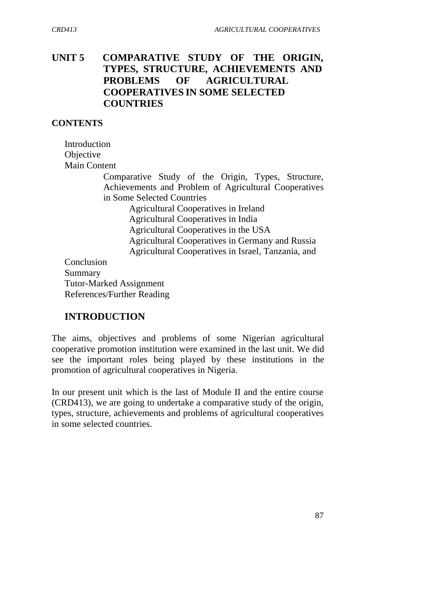# **UNIT 5 COMPARATIVE STUDY OF THE ORIGIN, TYPES, STRUCTURE, ACHIEVEMENTS AND PROBLEMS OF AGRICULTURAL COOPERATIVES IN SOME SELECTED COUNTRIES**

### **CONTENTS**

Introduction **Objective** Main Content

> Comparative Study of the Origin, Types, Structure, Achievements and Problem of Agricultural Cooperatives in Some Selected Countries

Agricultural Cooperatives in Ireland Agricultural Cooperatives in India Agricultural Cooperatives in the USA Agricultural Cooperatives in Germany and Russia Agricultural Cooperatives in Israel, Tanzania, and

Conclusion Summary Tutor-Marked Assignment References/Further Reading

# **INTRODUCTION**

The aims, objectives and problems of some Nigerian agricultural cooperative promotion institution were examined in the last unit. We did see the important roles being played by these institutions in the promotion of agricultural cooperatives in Nigeria.

In our present unit which is the last of Module II and the entire course (CRD413), we are going to undertake a comparative study of the origin, types, structure, achievements and problems of agricultural cooperatives in some selected countries.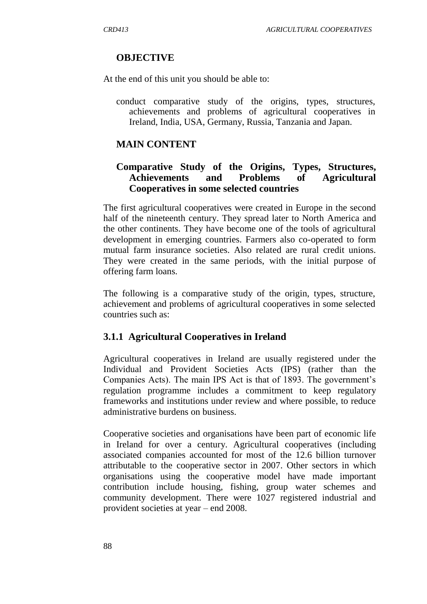## **OBJECTIVE**

At the end of this unit you should be able to:

conduct comparative study of the origins, types, structures, achievements and problems of agricultural cooperatives in Ireland, India, USA, Germany, Russia, Tanzania and Japan.

## **MAIN CONTENT**

## **Comparative Study of the Origins, Types, Structures, Achievements and Problems of Agricultural Cooperatives in some selected countries**

The first agricultural cooperatives were created in Europe in the second half of the nineteenth century. They spread later to North America and the other continents. They have become one of the tools of agricultural development in emerging countries. Farmers also co-operated to form mutual farm insurance societies. Also related are rural credit unions. They were created in the same periods, with the initial purpose of offering farm loans.

The following is a comparative study of the origin, types, structure, achievement and problems of agricultural cooperatives in some selected countries such as:

## **3.1.1 Agricultural Cooperatives in Ireland**

Agricultural cooperatives in Ireland are usually registered under the Individual and Provident Societies Acts (IPS) (rather than the Companies Acts). The main IPS Act is that of 1893. The government"s regulation programme includes a commitment to keep regulatory frameworks and institutions under review and where possible, to reduce administrative burdens on business.

Cooperative societies and organisations have been part of economic life in Ireland for over a century. Agricultural cooperatives (including associated companies accounted for most of the 12.6 billion turnover attributable to the cooperative sector in 2007. Other sectors in which organisations using the cooperative model have made important contribution include housing, fishing, group water schemes and community development. There were 1027 registered industrial and provident societies at year – end 2008.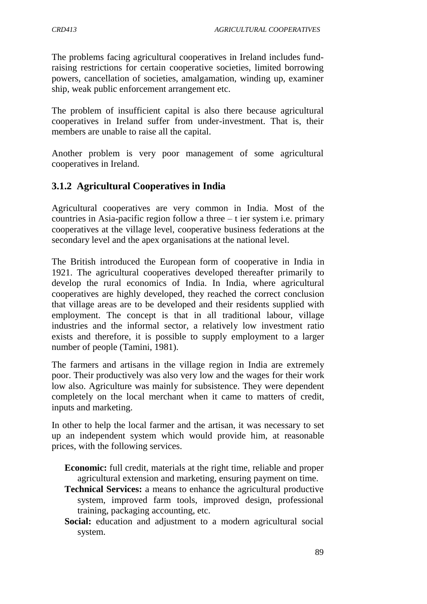The problems facing agricultural cooperatives in Ireland includes fundraising restrictions for certain cooperative societies, limited borrowing powers, cancellation of societies, amalgamation, winding up, examiner ship, weak public enforcement arrangement etc.

The problem of insufficient capital is also there because agricultural cooperatives in Ireland suffer from under-investment. That is, their members are unable to raise all the capital.

Another problem is very poor management of some agricultural cooperatives in Ireland.

# **3.1.2 Agricultural Cooperatives in India**

Agricultural cooperatives are very common in India. Most of the countries in Asia-pacific region follow a three – t ier system i.e. primary cooperatives at the village level, cooperative business federations at the secondary level and the apex organisations at the national level.

The British introduced the European form of cooperative in India in 1921. The agricultural cooperatives developed thereafter primarily to develop the rural economics of India. In India, where agricultural cooperatives are highly developed, they reached the correct conclusion that village areas are to be developed and their residents supplied with employment. The concept is that in all traditional labour, village industries and the informal sector, a relatively low investment ratio exists and therefore, it is possible to supply employment to a larger number of people (Tamini, 1981).

The farmers and artisans in the village region in India are extremely poor. Their productively was also very low and the wages for their work low also. Agriculture was mainly for subsistence. They were dependent completely on the local merchant when it came to matters of credit, inputs and marketing.

In other to help the local farmer and the artisan, it was necessary to set up an independent system which would provide him, at reasonable prices, with the following services.

**Economic:** full credit, materials at the right time, reliable and proper agricultural extension and marketing, ensuring payment on time.

- **Technical Services:** a means to enhance the agricultural productive system, improved farm tools, improved design, professional training, packaging accounting, etc.
- **Social:** education and adjustment to a modern agricultural social system.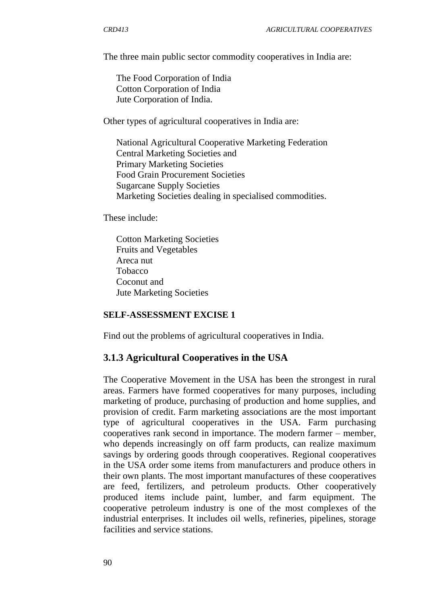The three main public sector commodity cooperatives in India are:

The Food Corporation of India Cotton Corporation of India Jute Corporation of India.

Other types of agricultural cooperatives in India are:

National Agricultural Cooperative Marketing Federation Central Marketing Societies and Primary Marketing Societies Food Grain Procurement Societies Sugarcane Supply Societies Marketing Societies dealing in specialised commodities.

These include:

Cotton Marketing Societies Fruits and Vegetables Areca nut Tobacco Coconut and Jute Marketing Societies

#### **SELF-ASSESSMENT EXCISE 1**

Find out the problems of agricultural cooperatives in India.

## **3.1.3 Agricultural Cooperatives in the USA**

The Cooperative Movement in the USA has been the strongest in rural areas. Farmers have formed cooperatives for many purposes, including marketing of produce, purchasing of production and home supplies, and provision of credit. Farm marketing associations are the most important type of agricultural cooperatives in the USA. Farm purchasing cooperatives rank second in importance. The modern farmer – member, who depends increasingly on off farm products, can realize maximum savings by ordering goods through cooperatives. Regional cooperatives in the USA order some items from manufacturers and produce others in their own plants. The most important manufactures of these cooperatives are feed, fertilizers, and petroleum products. Other cooperatively produced items include paint, lumber, and farm equipment. The cooperative petroleum industry is one of the most complexes of the industrial enterprises. It includes oil wells, refineries, pipelines, storage facilities and service stations.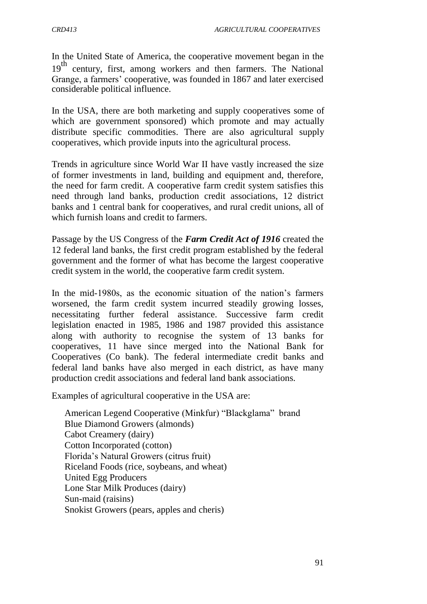In the United State of America, the cooperative movement began in the 19<sup>th</sup> century, first, among workers and then farmers. The National Grange, a farmers' cooperative, was founded in 1867 and later exercised considerable political influence.

In the USA, there are both marketing and supply cooperatives some of which are government sponsored) which promote and may actually distribute specific commodities. There are also agricultural supply cooperatives, which provide inputs into the agricultural process.

Trends in agriculture since World War II have vastly increased the size of former investments in land, building and equipment and, therefore, the need for farm credit. A cooperative farm credit system satisfies this need through land banks, production credit associations, 12 district banks and 1 central bank for cooperatives, and rural credit unions, all of which furnish loans and credit to farmers.

Passage by the US Congress of the *Farm Credit Act of 1916* created the 12 federal land banks, the first credit program established by the federal government and the former of what has become the largest cooperative credit system in the world, the cooperative farm credit system.

In the mid-1980s, as the economic situation of the nation's farmers worsened, the farm credit system incurred steadily growing losses, necessitating further federal assistance. Successive farm credit legislation enacted in 1985, 1986 and 1987 provided this assistance along with authority to recognise the system of 13 banks for cooperatives, 11 have since merged into the National Bank for Cooperatives (Co bank). The federal intermediate credit banks and federal land banks have also merged in each district, as have many production credit associations and federal land bank associations.

Examples of agricultural cooperative in the USA are:

American Legend Cooperative (Minkfur) "Blackglama" brand Blue Diamond Growers (almonds) Cabot Creamery (dairy) Cotton Incorporated (cotton) Florida"s Natural Growers (citrus fruit) Riceland Foods (rice, soybeans, and wheat) United Egg Producers Lone Star Milk Produces (dairy) Sun-maid (raisins) Snokist Growers (pears, apples and cheris)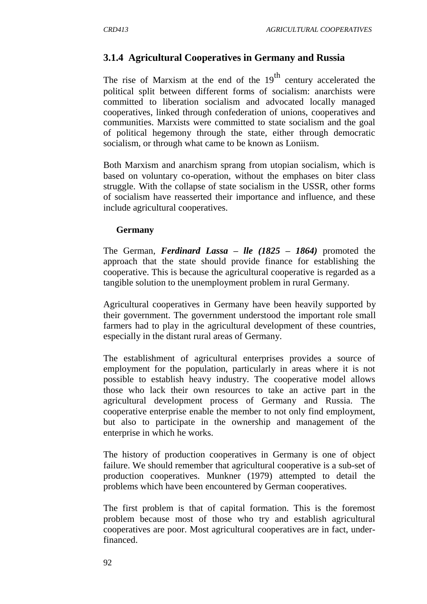## **3.1.4 Agricultural Cooperatives in Germany and Russia**

The rise of Marxism at the end of the  $19<sup>th</sup>$  century accelerated the political split between different forms of socialism: anarchists were committed to liberation socialism and advocated locally managed cooperatives, linked through confederation of unions, cooperatives and communities. Marxists were committed to state socialism and the goal of political hegemony through the state, either through democratic socialism, or through what came to be known as Loniism.

Both Marxism and anarchism sprang from utopian socialism, which is based on voluntary co-operation, without the emphases on biter class struggle. With the collapse of state socialism in the USSR, other forms of socialism have reasserted their importance and influence, and these include agricultural cooperatives.

#### **Germany**

The German, *Ferdinard Lassa – lle (1825 – 1864)* promoted the approach that the state should provide finance for establishing the cooperative. This is because the agricultural cooperative is regarded as a tangible solution to the unemployment problem in rural Germany.

Agricultural cooperatives in Germany have been heavily supported by their government. The government understood the important role small farmers had to play in the agricultural development of these countries, especially in the distant rural areas of Germany.

The establishment of agricultural enterprises provides a source of employment for the population, particularly in areas where it is not possible to establish heavy industry. The cooperative model allows those who lack their own resources to take an active part in the agricultural development process of Germany and Russia. The cooperative enterprise enable the member to not only find employment, but also to participate in the ownership and management of the enterprise in which he works.

The history of production cooperatives in Germany is one of object failure. We should remember that agricultural cooperative is a sub-set of production cooperatives. Munkner (1979) attempted to detail the problems which have been encountered by German cooperatives.

The first problem is that of capital formation. This is the foremost problem because most of those who try and establish agricultural cooperatives are poor. Most agricultural cooperatives are in fact, underfinanced.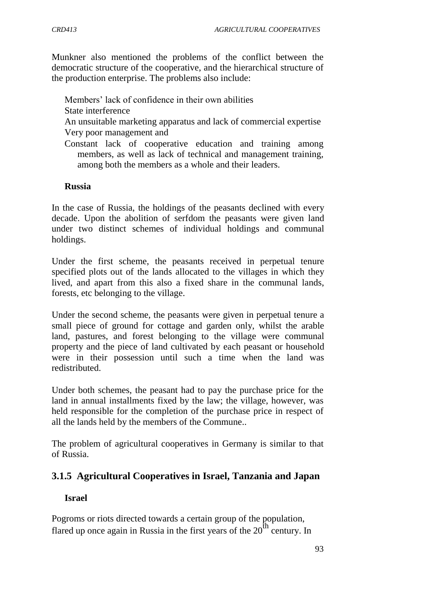Munkner also mentioned the problems of the conflict between the democratic structure of the cooperative, and the hierarchical structure of the production enterprise. The problems also include:

Members' lack of confidence in their own abilities State interference An unsuitable marketing apparatus and lack of commercial expertise Very poor management and Constant lack of cooperative education and training among

members, as well as lack of technical and management training, among both the members as a whole and their leaders.

#### **Russia**

In the case of Russia, the holdings of the peasants declined with every decade. Upon the abolition of serfdom the peasants were given land under two distinct schemes of individual holdings and communal holdings.

Under the first scheme, the peasants received in perpetual tenure specified plots out of the lands allocated to the villages in which they lived, and apart from this also a fixed share in the communal lands, forests, etc belonging to the village.

Under the second scheme, the peasants were given in perpetual tenure a small piece of ground for cottage and garden only, whilst the arable land, pastures, and forest belonging to the village were communal property and the piece of land cultivated by each peasant or household were in their possession until such a time when the land was redistributed.

Under both schemes, the peasant had to pay the purchase price for the land in annual installments fixed by the law; the village, however, was held responsible for the completion of the purchase price in respect of all the lands held by the members of the Commune..

The problem of agricultural cooperatives in Germany is similar to that of Russia.

## **3.1.5 Agricultural Cooperatives in Israel, Tanzania and Japan**

#### **Israel**

Pogroms or riots directed towards a certain group of the population, flared up once again in Russia in the first years of the  $20<sup>th</sup>$  century. In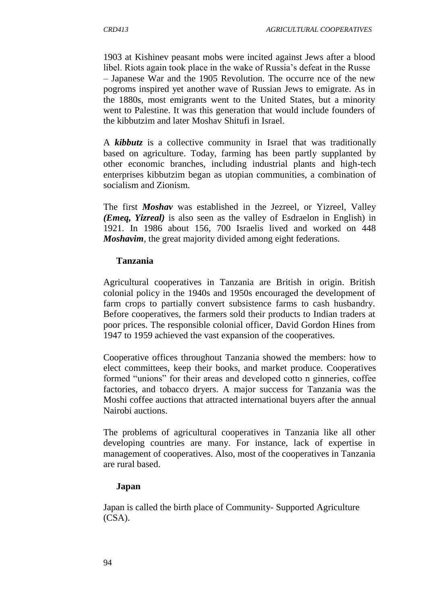1903 at Kishinev peasant mobs were incited against Jews after a blood libel. Riots again took place in the wake of Russia"s defeat in the Russe – Japanese War and the 1905 Revolution. The occurre nce of the new pogroms inspired yet another wave of Russian Jews to emigrate. As in the 1880s, most emigrants went to the United States, but a minority went to Palestine. It was this generation that would include founders of the kibbutzim and later Moshav Shitufi in Israel.

A *kibbutz* is a collective community in Israel that was traditionally based on agriculture. Today, farming has been partly supplanted by other economic branches, including industrial plants and high-tech enterprises kibbutzim began as utopian communities, a combination of socialism and Zionism.

The first *Moshav* was established in the Jezreel, or Yizreel, Valley *(Emeq, Yizreal)* is also seen as the valley of Esdraelon in English) in 1921. In 1986 about 156, 700 Israelis lived and worked on 448 *Moshavim*, the great majority divided among eight federations.

### **Tanzania**

Agricultural cooperatives in Tanzania are British in origin. British colonial policy in the 1940s and 1950s encouraged the development of farm crops to partially convert subsistence farms to cash husbandry. Before cooperatives, the farmers sold their products to Indian traders at poor prices. The responsible colonial officer, David Gordon Hines from 1947 to 1959 achieved the vast expansion of the cooperatives.

Cooperative offices throughout Tanzania showed the members: how to elect committees, keep their books, and market produce. Cooperatives formed "unions" for their areas and developed cotto n ginneries, coffee factories, and tobacco dryers. A major success for Tanzania was the Moshi coffee auctions that attracted international buyers after the annual Nairobi auctions.

The problems of agricultural cooperatives in Tanzania like all other developing countries are many. For instance, lack of expertise in management of cooperatives. Also, most of the cooperatives in Tanzania are rural based.

#### **Japan**

Japan is called the birth place of Community- Supported Agriculture (CSA).